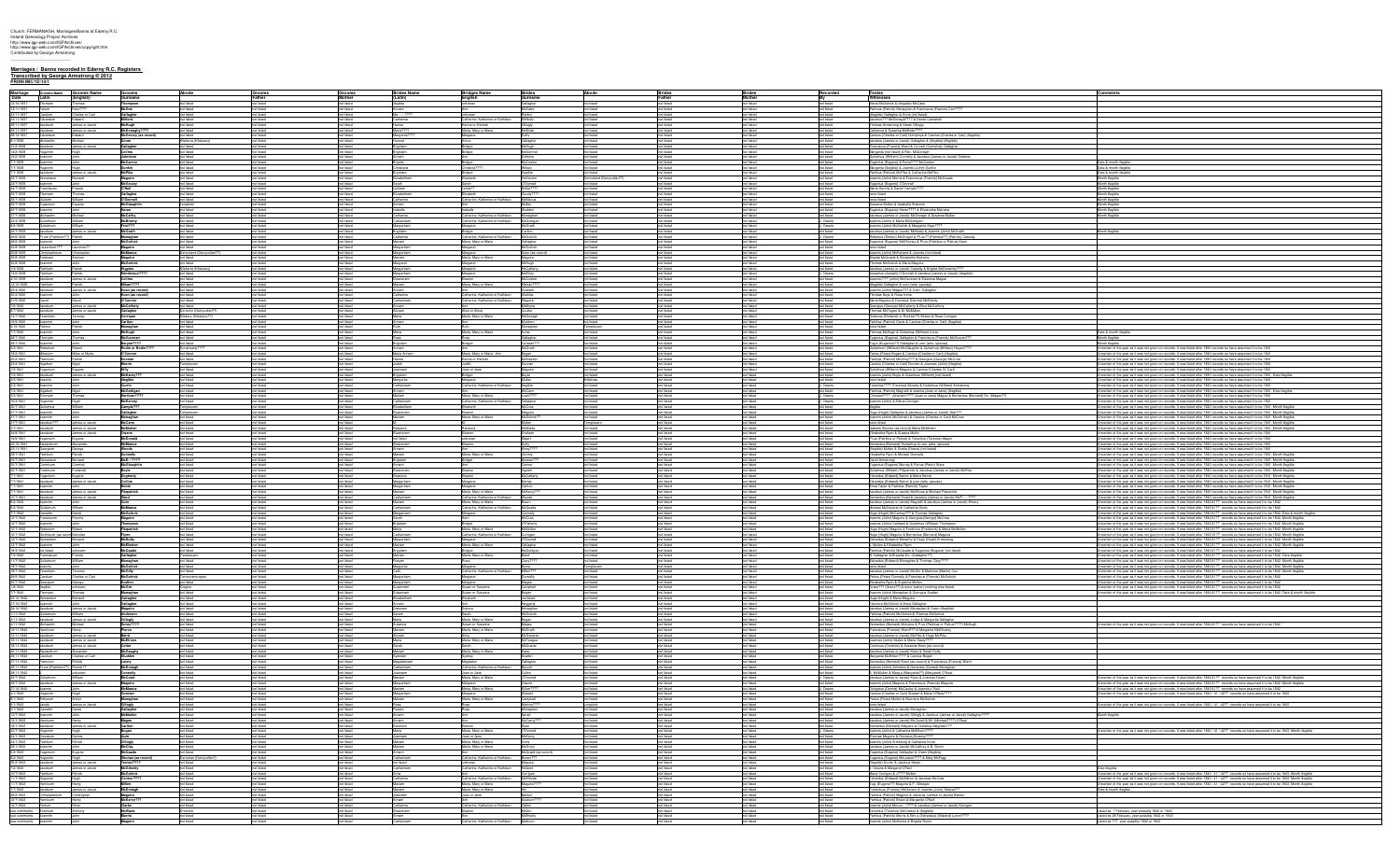Church: FERMANAGH, Marriages/Banns at Ederny R.C. Ireland Genealogy Project Archives http://www.igp-web.com/IGPArchives/

http://www.igp-web.com/IGPArchives/copyright.htm Contributed by George Armstrong

 $\overline{\phantom{a}}$  , we can consider the constant of the constant of the constant of the constant of the constant of the constant of the constant of the constant of the constant of the constant of the constant of the constant of

**Marriages / Banns recorded in Ederny R.C. Registers Transcribed by George Armstrong © 2012 PRONI MIC/1D/14/1**

|                                                                                                                                 | <b>Grooms Name</b>               | Grooms                              |                                          |                         |                          | <b>Brides Name</b>               |                                                                  |                               | <u>Abode</u>                             |                                |                          | Recorded                                     | <b>Testes</b>                                                                                                                          | Comments                                                                                                                                                                                                                                                                                               |
|---------------------------------------------------------------------------------------------------------------------------------|----------------------------------|-------------------------------------|------------------------------------------|-------------------------|--------------------------|----------------------------------|------------------------------------------------------------------|-------------------------------|------------------------------------------|--------------------------------|--------------------------|----------------------------------------------|----------------------------------------------------------------------------------------------------------------------------------------|--------------------------------------------------------------------------------------------------------------------------------------------------------------------------------------------------------------------------------------------------------------------------------------------------------|
| Marriage Grooms Name<br>Date Latin                                                                                              |                                  | <b>Surname</b>                      |                                          | <u>Grooms</u><br>Father | <b>Grooms</b><br>Mother  |                                  | Bridges Name<br>English                                          | <b>Brides</b><br>Surname      |                                          | <b>Brides</b><br>Father        | <b>Brides</b><br>Mother  |                                              | Witnesses                                                                                                                              |                                                                                                                                                                                                                                                                                                        |
| 12/10/1837<br><b>IFelium</b>                                                                                                    |                                  | <u>Thompson</u>                     | not listed<br>not listed                 | not listed<br>ot listed | not listed<br>not listed |                                  | unknown                                                          | <u>àallagher</u>              | not listed<br>not listed                 | not listed<br>not listed       | not listed<br>not listed | not listed<br>not listed                     | Maria McGolrick & (illegible) McCabe<br>Patricus (Patrick) Monaghan & Franciscus (Francis) Corr????                                    |                                                                                                                                                                                                                                                                                                        |
| 13/11/1837<br>23/11/1837<br>Carolum                                                                                             | Charles or Carl                  | McGee<br>Gallagher                  | ot listed                                | ot listed               | not listed               | ----- 2222                       |                                                                  |                               | not listed                               | ot listed                      | าot listed               | iot listed                                   | (illegible) Gallagher & Anna (not listed)                                                                                              |                                                                                                                                                                                                                                                                                                        |
| 23/11/1837<br>Edvardum                                                                                                          |                                  | <b>Milford</b>                      | not listed                               | าot listed              | not listed               | atharina                         | atherine , Katherine or Kathleen                                 |                               | not listed                               | not listed                     | not listed               | not listed                                   | Jacobus??? McDonagh???? & Daniel Campbell                                                                                              |                                                                                                                                                                                                                                                                                                        |
| 28/11/1837<br>Jacobum<br>29/11/1837<br>Jacobum                                                                                  | James or Jacob<br>James or Jacob | <u>McHugh</u><br>McDonaghy????      | not listed<br>not listed                 | ot listed<br>ot listed  | not listed<br>not listed |                                  | anna or Hannah<br>Maria, Mary or Marie                           |                               | not listed<br>not listed                 | not listed<br>not listed       | not listed<br>not listed | not listed<br>ot listed                      | homas Armstrong & Sarah Gillogly<br>Catharina & Susanna McBride????                                                                    |                                                                                                                                                                                                                                                                                                        |
| 28/12/1837<br>Edvardum                                                                                                          |                                  | McGroory (as record                 |                                          | ot listed               | not listed               | largarita???                     | <u>Aargaret</u>                                                  |                               | not listed                               | าot listed                     | not listed               | ıot listed                                   | Carolus (Charles or Carl) Humphrys & Carolus (Charles or Carl) (illegible)                                                             |                                                                                                                                                                                                                                                                                                        |
| 8/1/1838<br>Michaelim<br>10/2/1838<br>Jacobum                                                                                   | James or Jacob                   | Gallagher                           | Kilskerra (Kilskeery)<br>ot listed       | ot listec<br>ot listed  | not listed<br>not listed |                                  |                                                                  |                               | not listed<br>not listed                 | าot listed<br>ot listed        | not listed<br>not listed | ıot listed<br>iot listed                     | Jacobus (James or Jacob) Gallagher & (illegible) (illegible)<br>Franciscus (Francis) Ward & Cornelii (Cornelius) Gallagher             |                                                                                                                                                                                                                                                                                                        |
| 14/2/1838 Hugonim                                                                                                               |                                  | <b>Collins</b>                      | not listed                               | ıot listed              | not listed               |                                  |                                                                  | cDermot                       | not listed                               | าot listed                     | not listed               | iot listed                                   | Aargarita (not listed) & Rev. McDonagh                                                                                                 |                                                                                                                                                                                                                                                                                                        |
| 15/2/1838<br>Joannim<br>Joannim                                                                                                 |                                  | <b>Johnston</b><br>McCarron         | not listed<br>not listed                 | ot listec<br>ot listed  | not listed<br>not listed |                                  |                                                                  |                               | not listed<br>not listed                 | not listed<br>not listed       | not listed<br>not listed | not listed<br>not listed                     | Gulielmus (William) Connolly & Jacobus (James or Jacob) Dobbins<br>Eugenius (Eugene) & Funia???? McCosker                              | Date & month illegible                                                                                                                                                                                                                                                                                 |
| $\frac{?!7!1838}{?!7!1838}$<br>Hugonim                                                                                          |                                  | <b>Dunkin</b>                       | not listed                               | ot listed               | not listed               |                                  | hristina????                                                     |                               | not listed                               | not listed                     | not listed               | not listed                                   | Margarita (illegible) & Joannis (John) Dunkin                                                                                          | Date & month illegible                                                                                                                                                                                                                                                                                 |
| $\frac{?}{?}/1838$<br>Jacobum<br>Bernardum                                                                                      | James or Jacob                   | <b>McPike</b><br>Maguire            | iot listed<br>not listed                 | ot listed<br>ot listed  | not listed<br>not listed | lizabetham                       | lizabetl                                                         |                               | hot listed<br>Derivoland (Derryvullan??) | าot listed<br>าot listed       | not listed<br>not listed | ot listed<br>iot listed                      | Patritius (Patrick) McPike & Catharina McPike<br>Joannis (John) Morris & Franciscus (Francis) McQuade                                  | Date & month illegible<br>Month illegible                                                                                                                                                                                                                                                              |
| 22/?/1838 Be<br>24/?/1838 Jo<br>24/?/1838 Fr<br>Joannim                                                                         |                                  | <u>McGroary</u>                     | not listed                               | ot listed               | not listed               |                                  |                                                                  | Donnell                       | not listed                               | not listed                     | not listed               | not listed                                   | iugenius (Eugene) O'Donnell                                                                                                            | Month illegible                                                                                                                                                                                                                                                                                        |
| ranciscum                                                                                                                       |                                  | O'Neil<br><u>Gallagher</u>          | ot listed<br>ıot listed                  | าot listed              | not listed<br>not listed | zabetham                         |                                                                  | udv2222                       | not listed<br>not listed                 | าot listed                     | ot listed<br>าot listed  | ot listec<br>ıot listed                      | Maria Gormly & Daniel Cample????<br>none listed                                                                                        | Month illegible<br>Month illegible                                                                                                                                                                                                                                                                     |
| 25/?/1838 Thomam<br>25/?/1838 Gulielmi<br>25/?/1838 Eugenium<br>26/?/1838 Joannim<br>27/?/1838 Michaelim<br>27/?/1838 Michaelim |                                  | O'Donnell                           | not listed                               | ot listed               | not listed               | atharina                         | atherine , Katherine or Kathleen                                 |                               | not listed                               | not listed                     | not listed               | not listed                                   | none listed                                                                                                                            | Month illegible                                                                                                                                                                                                                                                                                        |
| Eugenium                                                                                                                        |                                  | McGlaughlin<br><b>Haran</b>         | .ongfield<br>not listed                  | ot listed<br>าot listed | not listed<br>not listed |                                  |                                                                  |                               | not listed<br>not listed                 | not listed<br>not listed       | าot listed<br>not listed | ıot listed<br>not listed                     | iusanna Mullen & Issabella Shannon<br>Tugenius (Eugene) Haran???? & Elizabetha Mulraine                                                | Month illegible<br>Month illegible                                                                                                                                                                                                                                                                     |
|                                                                                                                                 |                                  | <b>McCaffry</b>                     | ot listed                                | ot listed               | not listed               |                                  | atherine , Katherine or Kathleen                                 |                               | not listed                               | าot listed                     | not listed               | ıot listed                                   | Jacobus (James or Jacob) McDonagh & Susanna Mullen                                                                                     | Month illegible                                                                                                                                                                                                                                                                                        |
| 22/3/1838<br>8/6/1838<br>Gulielmum<br>Gulielmum                                                                                 |                                  | <b>McBrierty</b><br>Friel???        | not listed<br>not listed                 | ot listed<br>ot listed  | not listed<br>not listed | Catharinam<br><u> Aargaritam</u> | atherine ,Katherine or Kathleen<br>largaret                      | Gettigan                      | not listed<br>not listed                 | not listed<br>not listed       | not listed<br>not listed | . Owens<br>Owens                             | Joannis (John) & Maria McGettigan<br>Joannis (John) McGolrick & Margarita Keys????                                                     |                                                                                                                                                                                                                                                                                                        |
| 22/?/1838<br>Jacobum                                                                                                            | James or Jacob                   | <b>McGrath</b>                      | iot listed                               | ot listec               | not listed               |                                  |                                                                  |                               | not listed                               | ot listed                      | าot listed               | ot listed                                    | Jacobus (James or Jacob) McNeely & Joannis (John) McGratl                                                                              | Month illegible                                                                                                                                                                                                                                                                                        |
| 26/6/1838 Pt.um (Patritium??) Patrici<br>28/6/1838<br><b>Joannim</b>                                                            |                                  | Monaghan<br><b>McGolrick</b>        | not listed<br>not listed                 | าot listed<br>ot listed | not listed<br>not listed | Catharina                        | Catherine ,Katherine or Kathleen<br><i>l</i> aria, Mary or Marie |                               | not listed<br>not listed                 | not listed<br>not listed       | not listed<br>not listed | . Owens<br>not listed                        | Robertus (Robert) McGregor & Pt.us?? (Patritius??) (Patrick) Cassidy<br>Eugenius (Eugene) McElhoney & Pt.us (Patritius or Petrus) Keon |                                                                                                                                                                                                                                                                                                        |
| 20/8/1838<br>Laurentium???                                                                                                      |                                  | Maguire                             | ot listed                                | ot listed               | not listed               |                                  | largaret                                                         |                               | not listed                               | าot listed                     | าot listed               | iot listed                                   | none listed                                                                                                                            |                                                                                                                                                                                                                                                                                                        |
| 25/8/1838<br>Christopherum<br>Andream                                                                                           | <u>nistopher</u>                 | <b>McManus</b><br><u>Maguire</u>    | Derivoland (Derryvullan??)<br>ıot listed | າot listed<br>ot listed | not listed<br>not listed | Margaritam                       | <u>Margaret</u><br><i>A</i> aria, Mary or Marie                  | Koen (as record)              | not listed<br>not listed                 | not listed<br>not listed       | not listed<br>not listed | not listed<br>iot listed                     | Joannis (John) McFarland & Joannis (not listed)<br>gida McQuade & Elizabetha Mulraine                                                  |                                                                                                                                                                                                                                                                                                        |
| 25/8/1838 Ar<br>30/8/1838 Jo<br>Joannim                                                                                         |                                  | <b>McGolrick</b>                    | ot listed                                | ot listed               | not listed               |                                  | <u>Aargaret</u>                                                  |                               | not listed                               | not listed                     | not listed               | ot listed                                    | homas McGolrick & Maria Maguire                                                                                                        |                                                                                                                                                                                                                                                                                                        |
| 1/9/1838<br><b>Patritium</b><br>13/9/1838<br>Patritium                                                                          |                                  | <b>Higgins</b><br>Henderson???      | (ilskerra (Kilskeery)<br>ot listed       | ot listed<br>ot listed  | not listed<br>not listed | Margaritam                       | Margaret<br><u>Aargaret</u>                                      | cCafferty                     | not listed<br>not listed                 | าot listed<br>not listed       | าot listed<br>not listed | ıot listed<br>. Owens                        | Jacobus (James or Jacob) Cassidy & Brigida McDonachy????<br>Josephus (Joseph) O'Donnell & Jacobus (James or Jacob) (illegible)         |                                                                                                                                                                                                                                                                                                        |
| 4/10/1838<br>Jacobum                                                                                                            | James or Jacob                   | <b>Collins</b>                      | not listed                               |                         | not listed               | eanoram                          |                                                                  |                               | not listed                               | ot listed                      | not listed               | iot listed                                   | Joannis???? (John) McGoveran & Eleanora Magee                                                                                          |                                                                                                                                                                                                                                                                                                        |
| 12/10/1838<br>Patritium<br>25/4/1840<br>Jacobum                                                                                 | James or Jacob                   | Mihan????<br>Koen (as record)       | ıot listed<br>ıot listed                 | ıot listed<br>ot listed | not listed<br>not listed |                                  | laria, Mary or Marie                                             |                               | not listed<br>not listed                 | not listed<br>าot listed       | not listed<br>not listed | not listed<br>ot listed                      | (illegible) Gallagher & uxor (wife, spouse)<br>Joannis (John) Magee??? & Cath. Gallagher                                               |                                                                                                                                                                                                                                                                                                        |
| 30/4/1840<br>Joannim                                                                                                            |                                  | Koen (as record)                    | not listed                               | ot listed               | not listed               | Jatharina                        | atherine ,Katherine or Kathleen                                  |                               | not listed                               | not listed                     | not listed               | not listed                                   | homas Keys & Rosa Irvine                                                                                                               |                                                                                                                                                                                                                                                                                                        |
| 21/5/1840<br>7/6/1840                                                                                                           | James or Jacob                   | )'Connor<br><b>McCafferty</b>       | not listed                               | ot listed<br>ot listed  | not listed<br>not listed | atharinam                        | atherine ,Katherine or Kathleen                                  |                               | not listed<br>not listed                 | not listed<br>าot listed       | not listed<br>not listed | not listed<br>iot listed                     | Aaria Maguire & Dionisius (Dennis) McBrierty<br>Reorgius (George) McCafferty & Eliza McCafferty                                        |                                                                                                                                                                                                                                                                                                        |
| 8/7/1840<br>14/7/1840<br>Jacobum                                                                                                | James or Jacob                   | <u>Gallagher</u>                    | Derivolin (Derryvullan??)                | ıot listed              | not listed               |                                  | lice or Alicia                                                   |                               | not listed                               | not listed                     | not listed               | not listed                                   | Thomas McTegart & M. McMullen                                                                                                          |                                                                                                                                                                                                                                                                                                        |
| Terentium<br>16/9/1840<br>Joannim                                                                                               | erence                           | Corrigan<br>Carlton                 | (ilskery (Kilskeery??)                   | ot listed               | not listed<br>not listed |                                  | laria, Mary or Marie                                             |                               | not listed<br>not listed                 | าot listed<br>ot listed        | not listed<br>ot listed  | ot listed<br>ot listec                       | Rodricus (Roderick or Rodrick??) Mullen & Rosa Corrigan<br>Patritius (Patrick) Davis & Carolus (Charles or Carl) (illegible            |                                                                                                                                                                                                                                                                                                        |
| 6/10/1840 Patrico                                                                                                               | Patrick                          | Monaghan                            | ıot listed                               | ot listed               | not listed               |                                  |                                                                  |                               |                                          | not listed                     | not listed               | not listed                                   | none listed                                                                                                                            |                                                                                                                                                                                                                                                                                                        |
| $\frac{7}{7}$ 1840<br>Joannim                                                                                                   |                                  | <b>McHugh</b><br>McGoveran          | not listed<br>not listed                 |                         | not listed<br>not listed |                                  | laria, Mary or Marie                                             |                               | not listed<br>not listed                 | าot listed<br>not listed       | ot listed<br>ot listed   | ot listed<br>ot listed                       | homas McHugh & Gulielmus (William) Irvine<br>Eugenius (Eugene) Gallagher & Franciscus (Francis) McGovran???                            | Date & month illegible<br>Month illegible                                                                                                                                                                                                                                                              |
| 28/?/1840<br>28/?/1840<br>2/2/1841<br>Joannim                                                                                   |                                  | Beryan????                          | ot listed                                | not listed              | not listed               |                                  |                                                                  | ohelan???                     | not listed                               | not listed                     | not listed               | not listed                                   | Eug.s (Eugenius??) Gallagher & uxor (wife, spouse)                                                                                     | Month illegible                                                                                                                                                                                                                                                                                        |
| Robertum<br>18/2/1841<br>Milesium                                                                                               | Miles or Myles                   | Rodin or Bodin????<br>O'Connor      | onaheady????<br>ıot listed               | ot listed               | not listed<br>not listed | Maria Annam                      | <i>A</i> aria, Mary or Marie, Ann                                |                               | not listed<br>not listed                 | ot listed<br>not listed        | ot listed<br>not listed  | iot listed<br>not listed                     | Gulielmum (William) McGlaughlin & Gulielmus (William) Hogan????<br>Petrus (Peter) Bogan & Carolus (Charles or Carl) (illegible)        | Uncertain of the year as it was not given on records. It was listed after 1840 records so have assumed it to be 1841<br>Uncertain of the year as it was not given on records. It was listed after 1840 records so have assumed it to be 1841                                                           |
| 20/2/1841<br>Patricium                                                                                                          |                                  |                                     | ot listed                                | າot listed              | not listed               |                                  | anna or Hannah                                                   |                               | not listed                               | not listed                     | not listed               | not listed                                   | Patritius (Patrick) McGirny??? & Georgius (George) McCrea                                                                              | Uncertain of the year as it was not given on records. It was listed after 1840 records so have assumed it to be 1841                                                                                                                                                                                   |
| 23/2/1841<br><b>Nigellum</b><br>1/3/1841<br>ugenium:                                                                            |                                  | Morris                              | emplecarn<br>not listed                  | ot listed               | not listed<br>not listed |                                  | Joan or Jane                                                     |                               | not listed<br>not listed                 | ot listed<br>not listed        | ot listed<br>not listed  | ot listed<br>not listed                      | Carolus (Charles or Carl) Doonan & Joannes (John) (illegible)<br>Gulielmus (William) Maguire & Carolus (Charles Or Carl)               | Incertain of the year as it was not given on records. It was listed after 1840 records so have assumed it to be 1841<br>Uncertain of the year as it was not given on records. It was listed after 1840 records so have assumed it to be 1841                                                           |
| ? / 3 / 1841<br>Jacobum                                                                                                         | James or Jacob                   | McKarny???                          | not listed                               | ot listed               | not listed               |                                  |                                                                  |                               | not listed                               | not listed                     | not listed               | not listed                                   | Joannis (John) Boyle & Gulielmus (Willaim) (not listed)                                                                                | Uncertain of the year as it was not given on records. It was listed after 1840 records so have assumed it to be 1841. Date illegible                                                                                                                                                                   |
| 2/3/1841<br>2/3/1841<br>Joannim                                                                                                 |                                  | illegible<br>Currin                 | ot listed<br>not listed                  | ot listed               | not listed<br>not listed | Catharinam                       | atherine ,Katherine or Kathleen                                  |                               | Ardstraw<br>not listed                   | ot listed<br>not listed        | ot listed<br>not listed  | ot listec<br>. Owens                         | Terentius???? (Terence) Murphy & Gulielmus (William) Armstrong                                                                         | Jncertain of the year as it was not given on records. It was listed after 1840 records so have assumed it to be 1841.<br>Uncertain of the year as it was not given on records. It was listed after 1840 records so have assumed it to be 1841                                                          |
| $\frac{?}{3/1841}$                                                                                                              |                                  | McGettigan                          | not listed                               | ot listed               | not listed               |                                  |                                                                  |                               | not listed                               | ot listed                      | not listed               | ot listed                                    | Patritius (Patrick) Magrath & Joanna (Joan or Jane) (illegible)                                                                        | Incertain of the year as it was not given on records. It was listed after 1840 records so have assumed it to be 1841. Date illegible                                                                                                                                                                   |
| $\frac{3/3/1841}{2(1/10^{21})}$<br>`homam<br>16/3/1841<br>-lugonim                                                              |                                  | Herrican????<br>McKervey            | not listed<br>not listed                 | ot listed               | not listed<br>not listed | atharinam                        | laria, Mary or Marie<br>atherine ,Katherine or Kathleen          |                               | not listed<br>not listed                 | not listed<br>ot listed        | not listed<br>not listed | Owens<br>Owens                               | hristian???? Johanam???? (Joan or Jane) Magee & Bernardus (Bernard) Do. (Magee??)<br>oannis (John) & Ellena Corrigan                   | Uncertain of the year as it was not given on records. It was listed after 1840 records so have assumed it to be 1841<br>Uncertain of the year as it was not given on records. It was listed after 1840 records so have assumed it to be 1841                                                           |
| 26/?/1841<br>Gulielmus                                                                                                          |                                  | Cample???                           | <sup>-</sup> emplecarn                   | t listed                | not listed               | lizabetham                       |                                                                  |                               | not listed                               | ot listed<br>ot listed         | ot listed                | ot listed                                    | Hugo (Hugh) Gallagher & Jacobus (James or Jacob) Star???                                                                               | Uncertain of the year as it was not given on records. It was listed after 1840 records so have assumed it to be 1841. Month illegible                                                                                                                                                                  |
| 27/?/1841<br>Joannim<br>27/?/1841<br>oannim                                                                                     |                                  | <b>Gallagher</b><br><u>Monaghan</u> | emplecarn<br>not listed                  | ot listed               | not listed<br>not listed | eanoram                          | <i>A</i> aria, Mary or Marie                                     | :Golrick??                    | not listed<br>not listed                 | not listed                     | not listed<br>not listed | ot listed<br>ot listed                       | Joannis (John) McGolrick) & Carolus (Charles or Carl) McCrea                                                                           | Incertain of the year as it was not given on records. It was listed after 1840 records so have assumed it to be 1841. Month illegible<br>Uncertain of the year as it was not given on records. It was listed after 1840 records so have assumed it to be 1841. Month illegible                         |
| 27/?/1841<br>acobus???<br>3/?/1841<br>acobum                                                                                    | James or Jacob<br>James or Jacob | <b>McCann</b><br>McMullen           | ot listed<br>not listed                  | ot listed               | not listed<br>not listed |                                  |                                                                  | McWade                        | Templecarn<br>not listed                 | ot listeo<br>not listed        | ot listed<br>not listed  | ot listed<br>not listed                      | Isabella Shunan (as record) Maria McMullen                                                                                             | Uncertain of the year as it was not given on records. It was listed after 1840 records so have assumed it to be 1841. Month illegible<br>Uncertain of the year as it was not given on records. It was listed after 1840 records so have assumed it to be 1841. Month illegible                         |
| 24/8/1841                                                                                                                       | James or Jacob                   | Owens                               | not listed                               | nt lister               | not listed               | leanoram                         |                                                                  |                               | not listed                               | ot listed                      | not listed               | ot listed                                    | lizabetha Ryan & Susana Mullin                                                                                                         | Uncertain of the year as it was not given on records. It was listed after 1840 records so have assumed it to be 1841                                                                                                                                                                                   |
| 19/9/1841<br>22/10/1841<br>Alexandrum                                                                                           |                                  | <b>McDonald</b><br><b>McManus</b>   | ot listed<br>not listed                  | it lister<br>ot listed  | not listed<br>not listed | leanoram                         |                                                                  |                               | not listed<br>not listed                 | ot listed<br>not listed        | ot listed<br>not listed  | ıot listed<br>not listed                     | t.us (Patritius or Petrus) & Terentius (Terence) Magirr<br>Bernardus (Bernard) Humphrys & uxor (wife, spouse)                          | Uncertain of the year as it was not given on records. It was listed after 1840 records so have assumed it to be 1841<br>Uncertain of the year as it was not given on records. It was listed after 1840 records so have assumed it to be 1841                                                           |
| 23/11/1841                                                                                                                      |                                  | Woods                               | not listed                               | ot listed               | not listed               |                                  |                                                                  |                               | not listed                               | ot listed                      | not listed               | ot listed                                    | llegible) Mullen & Gratia (Grace) (not listed)                                                                                         | Uncertain of the year as it was not given on records. It was listed after 1840 records so have assumed it to be 1841                                                                                                                                                                                   |
| 28/?/1841<br>Patritium<br>29/?/1841<br>ernardum                                                                                 |                                  | <b>Jonnelly</b><br>McE---????       | ot listed<br>not listed                  | ot listed               | not listed<br>not listed |                                  | laria, Mary or Marie                                             |                               | not listed<br>not listed                 | ot listeo<br>not listed        | ot listed<br>not listed  | pt listec<br>not listed                      | Iizabetha Ryon & Michael Donnelly<br>avid Armstrong                                                                                    | Incertain of the year as it was not given on records. It was listed after 1840 records so have assumed it to be 1841. Month illegible<br>Uncertain of the year as it was not given on records. It was listed after 1840 records so have assumed it to be 1841. Month illegible                         |
| 30/?/1841<br>ormicum:                                                                                                           |                                  | McGloughlin                         | not listed                               | ot listed               | not listed               |                                  |                                                                  |                               | not listed                               | ot listed                      | not listed               | ot listed                                    | ugenius (Eugene) Murray & Petrus (Peter) Stars                                                                                         | Uncertain of the year as it was not given on records. It was listed after 1840 records so have assumed it to be 1841. Month illegible                                                                                                                                                                  |
| $\frac{30/?/1841}{7/?/1841}$<br>redricum<br>aenium                                                                              |                                  | <b>Boyle</b><br>Dogherty            | ıot listed<br>not listed                 | ot listed               | not listed<br>not listed | leanoram<br>leanora              |                                                                  | lcCafferty                    | not listed<br>not listed                 | ot listed<br>ot listed         | ot listed<br>not listed  | ıot listed<br>ot listed                      | Gulielmus (William) Fitzpatrick & Jacobus (James or Jacob) McPike<br>dvardus (Edward) Barret & Maria Barret                            | Incertain of the year as it was not given on records. It was listed after 1840 records so have assumed it to be 1841. Month illegible<br>Uncertain of the year as it was not given on records. It was listed after 1840 records so have assumed it to be 1841. Month illegible                         |
| 7/?/1841<br>7/?/1841                                                                                                            | <u>James or Jacob</u>            | Collins                             | ot listed                                |                         | not listed               | <u> Aargaritam</u>               | largaret                                                         |                               | not listed                               |                                | ot listed                | pt listec                                    | Edvardus (Edward) Barret & uxor (wife, spouse)                                                                                         | Incertain of the year as it was not given on records. It was listed after 1840 records so have assumed it to be 1841. Month illegible                                                                                                                                                                  |
| $\frac{711611}{7771841}$                                                                                                        | James or Jacob                   | <b>Fitzpatrick</b>                  | not listed<br>not listed                 | iot listed<br>ot listed | not listed<br>not listed | <u>Aargaritam</u>                | <u>Aargaret</u><br><i>l</i> aria, Mary or Marie                  |                               | not listed<br>not listed                 | ot listed<br>ot listed         | not listed<br>not listed | not listed<br>not listed                     | Anna Taylor & Patritius (Patrick) Taylor<br>Jacobus (James or Jacob) McElrone & Michael Fitzpatrick                                    | Uncertain of the year as it was not given on records. It was listed after 1840 records so have assumed it to be 1841. Month illegible<br>Uncertain of the year as it was not given on records. It was listed after 1840 records so have assumed it to be 1841. Month illegible                         |
| 10/? / 1841                                                                                                                     | ames or Jacob                    |                                     | ıot listed                               |                         | not listed               |                                  | atherine ,Katherine or Kathleen                                  |                               | not listed                               |                                | ot listed                | ot listed                                    | Bernardus (Bernard) Dowd & Jacobus (James or Jacob) McP-----????                                                                       | Incertain of the year as it was not given on records. It was listed after 1840 records so have assumed it to be 1841. Month illegible                                                                                                                                                                  |
| 8/2/1842<br>Joannim<br>8/2/1842<br>Gulielmum                                                                                    |                                  | <b>McManus</b>                      | not listed<br>not listed                 | ot listed<br>ot listed  | not listed<br>not listed | Catharinam                       | laria, Mary or Marie<br>atherine ,Katherine or Kathleen          |                               | not listed<br>not listed                 | not listed<br>not listed       | not listed<br>not listed | not listed<br>not listed                     | Jacobus (James or Jacob) Magrath & Jacobus (James or Jacob) Emery<br>Michael McGaveran & Catharina Donly                               | Uncertain of the year as it was not given on records. It was listed after 1840/41?? records so have assumed it to be 1842<br>Uncertain of the year as it was not given on records. It was listed after 1840/41?? records so have assumed it to be 1842                                                 |
| $\frac{2}{2}$ /?/1842<br>)anielim                                                                                               |                                  | <b>McGolrick</b>                    | iot listed                               |                         | not listed               |                                  |                                                                  |                               | not listed                               | ot listeo                      | ot listed                | ot listec                                    | Hugo (Hugh) McCarney??? & Thomas Gallagher                                                                                             | Uncertain of the year as it was not given on records. It was listed after 1840/41?? records so have assumed it to be 1842. Date & month illegible                                                                                                                                                      |
| 2/?/1842<br>Franciscum<br>2/?/1842<br>Joannim                                                                                   |                                  | <u>Maguire</u><br><u>hompson</u>    | not listed<br>not listed                 | ıot listed<br>ot listed | not listed<br>not listed |                                  |                                                                  | Flaherty                      | not listed<br>not listed                 | not listed<br>ot listed        | not listed<br>not listed | not listed<br>ot listed                      | Joannis (John) Maguire & Georgius(George) McCrea<br>Joannis (John) Caldwell & Gulielmus (William) Thompson                             | Uncertain of the year as it was not given on records. It was listed after 1840/41?? records so have assumed it to be 1842. Month illegible<br>Incertain of the year as it was not given on records. It was listed after 1840/41?? records so have assumed it to be 1842. Month illegible               |
| 2/?/1842<br>Robertum                                                                                                            |                                  | <u>Fitzpatrick</u>                  | ot listed                                |                         | not listed               |                                  | laria, Mary or Marie                                             |                               | not listed                               | ot listed                      | ot listed                | ot listec                                    | Hugo (Hugh) Maguire & Fredricus (Frederick) & Maria McMuller                                                                           | Uncertain of the year as it was not given on records. It was listed after 1840/41?? records so have assumed it to be 1842. Month illegible                                                                                                                                                             |
| 2/?/1842<br>2/?/1842<br>Bernardum                                                                                               | Nicholaum (as record Nicholas    | <b>Flynn</b>                        | ıot listed<br>ot listed                  | ot listed<br>it listed  | not listed<br>not listed | atharinam                        | atherine , Katherine or Kathleen                                 |                               | not listed<br>not listed                 | าot listed<br>ot listed        | not listed<br>ot listed  | not listed<br>ot listed                      | Hugo (Hugh) Maguire & Bernardus (Bernard) Maguire<br>Edvardus (Edward) Macaffry & Hugo (Hugh) Armstrong                                | Uncertain of the year as it was not given on records. It was listed after 1840/41?? records so have assumed it to be 1842. Month illegible<br>Uncertain of the year as it was not given on records. It was listed after 1840/41?? records so have assumed it to be 1842. Month illegible               |
| 12/?/1842<br>Joannim                                                                                                            |                                  | McNulty<br>McElesher<br>McQuade     | not listed                               | ot listed               | not listed               |                                  | Aaria, Mary or Marie                                             |                               | not listed                               | ot listed                      | not listed               | iot listed                                   | J. Mullen & Elizabetha Ryon                                                                                                            | Incertain of the year as it was not given on records. It was listed after 1840/41?? records so have assumed it to be 1842. Month illegible                                                                                                                                                             |
| 18/3/1842<br>not listed<br>2/3/1842<br>Franciscum                                                                               |                                  | <u>Gallagher</u>                    | not listed<br>emplecarn                  | ot listed               | not listed<br>not listed |                                  | laria, Mary or Marie                                             | cGettigan                     | not listed<br>not listed                 | าot listed                     | not listed<br>ot listed  | not listed<br>ıot listed                     | Patritius (Patrick) McQuade & Eugenius (Eugene) (not listed)<br>S. Gallagher & Brigetta Do. (Gallagher??)                              | Uncertain of the year as it was not given on records. It was listed after 1840/41?? records so have assumed it to be 1842<br>Uncertain of the year as it was not given on records. It was listed after 1840/41?? records so have assumed it to be 1842. Date illegible                                 |
| 11/?/1842<br>Gulielmum                                                                                                          |                                  | <u>Monaghan</u>                     | not listed                               | ot listed               | not listed               |                                  |                                                                  |                               | not listed                               | not listed                     | not listed               | not listed                                   | Edvardus (Edward) Monaghan & Thomas Clery????                                                                                          | Uncertain of the year as it was not given on records. It was listed after 1840/41?? records so have assumed it to be 1842. Month illegible                                                                                                                                                             |
| 18/?/1842<br>Terentium                                                                                                          |                                  | McGolrick                           |                                          |                         | not listed               |                                  | atherine , Katherine or Kathleen                                 |                               | Templecarn                               |                                | hetzil to                | ot listed                                    | none listed<br>acobus (James or Jacob) McGirr & Martinus (Martin) Cox                                                                  | Uncertain of the year as it was not given on records. It was listed after 1840/41?? records so have assumed it to be 1842. Month illegible<br>Incertain of the year as it was not given on records. It was listed after 1840/41?? records so have assumed it to be 1842. Month illegible               |
| 18/?/1842<br>29/5/1842<br>20/7/1842<br>Carolum                                                                                  | Charles or Carl                  | McGilly<br>McGolrick<br>Scallon     | Termonamongar                            | ıot listed              | not listed               | <u>Aargaritam</u>                | largaret                                                         |                               | not listed                               | not listed                     | not listed               | not listed                                   | Petrus (Peter) Donnelly & Franciscus (Francis) McGolrick                                                                               | Uncertain of the year as it was not given on records. It was listed after 1840/41?? records so have assumed it to be 1842                                                                                                                                                                              |
| 1/8/1842<br>illegible                                                                                                           |                                  | <b>McGirr</b>                       | ıot listed                               |                         | not listed               |                                  | <u>Aargaret</u><br><u>Susan or Susanna</u>                       | Campbell                      | not listed<br>าot listed                 | าot listed                     | not listed<br>ot listed  | ot listed<br><u>iot</u> listed               | ilizabetha Ryon & Susanna Mullen<br>Gratis??? (Grace??) & soror (sister) (nothing else listed)                                         | Uncertain of the year as it was not given on records. It was listed after 1840/41?? records so have assumed it to be 1842<br>ncertain of the year as it was not given on records. It was listed after 1840/41?? records so have assumed it to be 1842                                                  |
| $\frac{7}{2}$ 1842<br>Thomam                                                                                                    |                                  | Aonaghan<br>Gallagher               | not listed<br>not listed                 |                         | not listed               |                                  | usan or Susanna                                                  |                               | not listed                               | not listed                     | not listed               | not listed                                   | Joannis (John) Monaghan & Georgius Scallan                                                                                             | Uncertain of the year as it was not given on records. It was listed after 1840/41?? records so have assumed it to be 1842. Date & month illegible                                                                                                                                                      |
| 23/10/1842<br>27/10/1842<br>Bernardum<br>Joannim                                                                                |                                  | <u>Gallagher</u>                    | not listed                               | ot listec<br>nt lister  | not listed<br>not listed | zabetham                         | lizabeth                                                         | not listed<br><u>leggerty</u> | not listed<br>not listed                 | not listed<br>not listed       | not listed<br>not listed | not listed<br>ot listed                      | Hugo (Hugh) & Maria Maguire<br>eonora McGolrick & Anna Gallagher                                                                       |                                                                                                                                                                                                                                                                                                        |
| 29/10/1842<br>acobum                                                                                                            | ames or Jacob                    |                                     | not listed                               | ot listed               | not listed               |                                  |                                                                  | onaghan                       | not listed                               | าot listed                     | not listed               | ot listed                                    | Jacobus (James or Jacob) Monaghan & Owen (illegible)                                                                                   |                                                                                                                                                                                                                                                                                                        |
| 1/11/1842<br>Jacobum                                                                                                            | James or Jacob                   | <u>Anderson</u>                     | iot listed<br>not listed                 | ot listed               | not listed<br>not listed |                                  | Maria, Mary or Marie                                             |                               | าot listed<br>not listed                 | not listed                     | not listed               | <u>ot listec</u><br>not listed<br>not listed | Patritius (Patrick) McGolrick & Thomas McGolrick<br>Jacobus (James or Jacob) Judge & Margarita Gallagher                               |                                                                                                                                                                                                                                                                                                        |
| 2/11/1842<br>4/11/1842<br>10/11/1842<br>Michaelim                                                                               |                                  | Gillogly<br>Dorey????               | not listed                               | ot listed               | not listed<br>not listed |                                  | Susan or Susanna<br>laria, Mary or Marie                         |                               | not listed<br>าot listed                 | าot listed                     | not listed               |                                              | Bernardus (Bernard) Mulraine & P.us (Patritius or Petrus????) McHugh<br>ranciscus (Francis) Ward??? & Margarita McElhunny              | Incertain of the year as it was not given on records. It was listed after 1840/41?? records so have assumed it to be 1842                                                                                                                                                                              |
| 10/11/1842<br>Jacobum                                                                                                           | James or Jacob                   |                                     | not listed                               | ot listed               | not listed               |                                  |                                                                  | Gaveran                       | not listed                               | not listed                     | not listed               | <u>pt listed</u><br>not listed               | Jacobus (James or Jacob) McPike & Hugo McPike                                                                                          |                                                                                                                                                                                                                                                                                                        |
| 15/11/1842<br>18/11/1842                                                                                                        | James or Jacob<br>ames or Jacob  | <b>McElrone</b>                     | not listed<br>ot listed                  | ot listed               | not listed<br>not listed |                                  | Maria, Mary or Marie                                             | <i>A</i> cTeague              | not listed<br>not listed                 | not listed                     | not listed<br>not listed | not listed<br>ıot listed                     | Joannes (John) Mullen & Maria Dauly????<br>rmicus (Cormick) & Susanna Koen (as record)                                                 |                                                                                                                                                                                                                                                                                                        |
| 25/11/1842<br>Alexandrum                                                                                                        | lexander                         | McGaughy                            | not listed                               | ot listed               | not listed               |                                  | laria, Mary or Marie                                             |                               | not listed                               | not listed                     | not listed               | not listed                                   | Jacobus (James or Jacob) Kane & Sarah Duffy                                                                                            |                                                                                                                                                                                                                                                                                                        |
| 26/11/1842<br>arolum:<br>27/11/1842<br>Patricium                                                                                | <b>Charles or Carl</b>           | <b>Sludden</b>                      | not listed<br>ot listed                  |                         | not listed<br>not listed |                                  |                                                                  |                               | not listed<br>not listed                 | าot listed<br>าot listed       | tot listed<br>not listed | ot listed<br>ot listed                       | Margarita McEnterr???? & Carolus Bogan<br>lernardus (Bernard) Koen (as record) & Franciscus (Francis) Ward                             |                                                                                                                                                                                                                                                                                                        |
| 28/11/1842<br>Pt.um (Patritium??) Patrick?                                                                                      |                                  | Lunny<br>McDonagh                   | not listed                               |                         | not listed               |                                  | atherine ,Katherine or Kathleen                                  |                               | not listed                               | ot listed                      | not listed               | ıot listed                                   | Joannis (John) Johnston & Gerardus (Gerard) Monaghan                                                                                   |                                                                                                                                                                                                                                                                                                        |
| 28/11/1842<br>26/?/1842                                                                                                         |                                  | Connolly<br>McCoart                 | ot listed<br>ot listed                   |                         | not listed<br>not listed |                                  | pan or Jane<br>Maria, Mary or Marie                              |                               | าot listed<br>not listed                 | ot listed                      | not listed<br>not listed | iot listed<br>. Owens                        | McMullen & Marg.a (Margarita??) (Margaret) O'Neal<br>acobus (James or Jacob) Keon & Joannes Dowd                                       | Uncertain of the year as it was not given on records. It was listed after 1840/41?? records so have assumed it to be 1842. Month illegible                                                                                                                                                             |
| 29/?/1842<br>acobum                                                                                                             | ames or Jacob                    | Maguire                             | not listed                               | ot listed               | not listed               |                                  | largaret                                                         |                               | not listed                               | not listed                     | not listed               | not listed                                   | Joannis (John) Maguire & Franciscus (Francis) Maguire                                                                                  | Uncertain of the year as it was not given on records. It was listed after 1840/41?? records so have assumed it to be 1842. Month illegible                                                                                                                                                             |
| 27/12/1842                                                                                                                      |                                  |                                     | ıot listed<br>not listed                 | ot listed               | not listed<br>not listed |                                  | <i>A</i> aria, Mary or Marie<br>argaret                          |                               | าot listed<br>not listed                 | not listed                     | not listed               | Owens<br>not listed                          | onysius (Dennis) McCauley & Joannis o' Nei<br>Carolus (Charles or Carl) Stewart & Maria O'Reily????                                    | Uncertain of the year as it was not given on records. It was listed after 1840/41?? records so have assumed it to be 1842<br>Uncertain of the year as it was not given on records. It was listed after 1840 / 41 / 42?? records so have assumed it to be 1843                                          |
| 4/1/1843 Hugonim<br>8/1/1843 Arthurum                                                                                           |                                  | McManus<br>Gorman<br>Monaghan       | not listed                               |                         | not listed               |                                  | Maria, Mary or Marie                                             | ampbell                       | not listed                               | ot listed                      | not listed               | ot listed                                    | Petrus (Peter) Mullen & Eleonora McGolrick                                                                                             |                                                                                                                                                                                                                                                                                                        |
| Danielim                                                                                                                        | ames or Jacol                    | Gillogly<br>Gallagher               | not listed                               | ot listed               | not listed<br>not listed |                                  |                                                                  | mno????<br>naghan             | ongfield<br>not listed                   | not listed                     | ıot listed<br>not listed | <u>ot listec</u><br>not listed               | Jacobus (James or Jacob) Monaghan                                                                                                      | Incertain of the year as it was not given on records. It was listed after 1840 / 41 / 42?? records so have assumed it to be 1843                                                                                                                                                                       |
| 8/1/1843<br>9/1/1843<br>12/?/1843<br>Joannim                                                                                    |                                  | <b>McMulkin</b>                     | not listed                               | ot listec               | not listed               |                                  |                                                                  |                               | not listed                               | ot listed                      | not listed               | ot listed                                    | Jacobus (James or Jacob) Gillogly & Jacobus (James or Jacob) Gallagher????                                                             | Month illegible                                                                                                                                                                                                                                                                                        |
| 15/1/1843<br>18/1/1843<br>Jacobum                                                                                               | James or Jacob                   | Carlton                             | not listed                               | ot listed               | not listed<br>not listed |                                  |                                                                  | cCarny???                     | าot listed<br>not listed                 | not listed                     | ot listed<br>not listed  | <u>pt listec</u><br>not listed               | icobus (James or Jacob) McConell & M.I (Michael????) O'Nea<br>Bernardus (Bernard) Maguire & Cornelius Magrese???                       |                                                                                                                                                                                                                                                                                                        |
| <b>Dionisium</b>                                                                                                                |                                  |                                     | not listed<br>not listed                 | nt lister               | not listed               |                                  | <i>l</i> laria, Mary or Marie                                    |                               | not listed<br>not listed                 | ot listed<br>not listed        | not listed               | . Owens                                      | Joannis (John) & Catharina McElhern???<br>Thomas Maguire & Dionisius Divanny????                                                       | Incertain of the year as it was not given on records. It was listed after 1840 / 41 / 42?? records so have assumed it to be 1843. Month illegible                                                                                                                                                      |
| 20/?/1843<br>24/1/1843<br>24/1/1843<br>Patritium                                                                                |                                  |                                     | ot listed                                | ot listed               | not listed<br>not listed |                                  | <u>ban or Jane</u><br>Aaria, Mary or Marie                       |                               | not listed                               | <b>not listed</b>              | not listed<br>not listed | iot listed<br>ot listed                      | Joannis (John) Armstong & Catharina Irvine                                                                                             |                                                                                                                                                                                                                                                                                                        |
| 28/1/1843<br>ugenium:                                                                                                           |                                  | McClay<br>McQuade                   | ot listed<br>ot listed                   | ot listed               | not listed<br>not listed |                                  | <i>A</i> aria, Mary or Marie                                     | :Quaid (as record)            | <u>not listed</u><br>not listed          | <u>ot listed</u><br>not listed | not listed               | not listed<br>not listed<br>not listed       | Jacobus (James or Jacob) McCaffrey & B. Slevin<br>Eugenius (Eugene) Gallagher & Owen (illegible)                                       |                                                                                                                                                                                                                                                                                                        |
| 5/2/1843<br>8/2/1843<br>25/2/1843                                                                                               |                                  | Shunan (as record)                  | Derivolan (Derryvullan?)                 | ot listed               | not listed               |                                  | atherine ,Katherine or Kathleen                                  |                               | not listed                               | าot listed                     | not listed               |                                              | Eugenius (Eugene) McLesker???? & Mary McFagy                                                                                           |                                                                                                                                                                                                                                                                                                        |
| acobum<br>acobum                                                                                                                | ames or Jacob<br>ames or Jacob   | Ternan????<br><b>AcGlinchy</b>      | ot listed                                |                         | not listed<br>not listed |                                  | therine ,Katherine or Kathleen                                   |                               | not listed                               | ot listed                      | tot listed<br>not listed | iot listed<br>ot listed                      | (illegible) Durnin & Jacobus Haran<br>. Owens & Margaret O'Neil                                                                        |                                                                                                                                                                                                                                                                                                        |
| ?/2/1843<br>10/?/1843<br>11/?/1843<br>Patritium                                                                                 |                                  | <b>McGolrick</b>                    | not listed<br>ot listed                  | ot listed               | not listed               |                                  |                                                                  |                               | not listed                               | not listed                     | not listed               | not listed                                   | Maria Corrigan & J???? Mullen                                                                                                          | Uncertain of the year as it was not given on records. It was listed after 1840 / 41 / 42?? records so have assumed it to be 1843. Month illegible                                                                                                                                                      |
| <u>Hugonim</u><br>11/?/1843<br>Henricum                                                                                         |                                  | Connor????                          | ot listed                                | ot listed               | not listed<br>not listed |                                  | therine ,Katherine or Kathleen<br>aria, Mary or Marie            |                               | not listed<br>not listed                 | not listed                     | not listed<br>not listed | not listed<br>not listed                     | dvardus (Edward) McMahon & Jacobus McCrea<br>ug. (Eugene??) Maguire & F. Gillespie                                                     | Uncertain of the year as it was not given on records. It was listed after 1840 / 41 / 42?? records so have assumed it to be 1843. Month illegible<br>Uncertain of the year as it was not given on records. It was listed after 1840 / 41 / 42?? records so have assumed it to be 1843. Month illegible |
| ? / ? / 1843<br>acobum<br>28/2/1843<br>hristopherum                                                                             | James or Jacob                   | <u>McDonagh</u><br>Maguire          | not listed<br>ıot listed                 |                         | not listed<br>not listed |                                  | <i>A</i> aria, Mary or Marie<br><u>ban or Jane</u>               |                               | not listed<br>not listed                 | ot listed<br>าot listed        | not listed<br>not listed | iot listed                                   | ranciscus (Francis) McGovern & Joannis (John) Stewart??<br>Patritius (Patrick) Maguire & Jacobus (James or Jacob) Balfour              | Date & month illegible                                                                                                                                                                                                                                                                                 |
| 12/?/1843<br>Henricum                                                                                                           |                                  | McKervy???                          | ot listed                                |                         | not listed               |                                  |                                                                  |                               | not listed                               | าot listed                     | not listed               | iot listed<br>iot listed                     | Patritius (Patrick) Breen & Margarita O'Neill                                                                                          |                                                                                                                                                                                                                                                                                                        |
| 14/?/1843<br>see comments Antonium                                                                                              |                                  | Clarke<br><u>McWade</u>             | ıot listed                               |                         | not listed<br>not listed |                                  | therine ,Katherine or Kathleen                                   |                               | hot listed<br>not listed                 | ot listed<br>ot listed         | not listed<br>ot listed  | iot listed<br>ot listed                      | Joannis (John) McLoo---???? & Jacobus (James or Jacob) Kerrigan<br>Terentius (Terence) McCosker & (illegible)                          | Listed as, ? February, year possibly 1842 or 1843                                                                                                                                                                                                                                                      |
| see comments Joannim<br>see comments Joannim John                                                                               |                                  | Morris<br>Maguire                   | not listed<br>not listed                 |                         |                          |                                  |                                                                  |                               |                                          |                                |                          | not listed<br>not listed                     | Patritius (Patrick) Morris & Edv.s (Edvardus) (Edward) Lynon????<br>Joannis (John) McKenna & Brigida Slevin                            | Listed as 28 February, year possibly 1842 or 1843                                                                                                                                                                                                                                                      |
|                                                                                                                                 |                                  |                                     |                                          | not listed              |                          | Catharinam                       | Catherine , Katherine or Kathleen Muldoon                        |                               | not listed                               | not listed                     | not listed               |                                              |                                                                                                                                        | Listed as ?/?/, year possibly 1842 or 1843                                                                                                                                                                                                                                                             |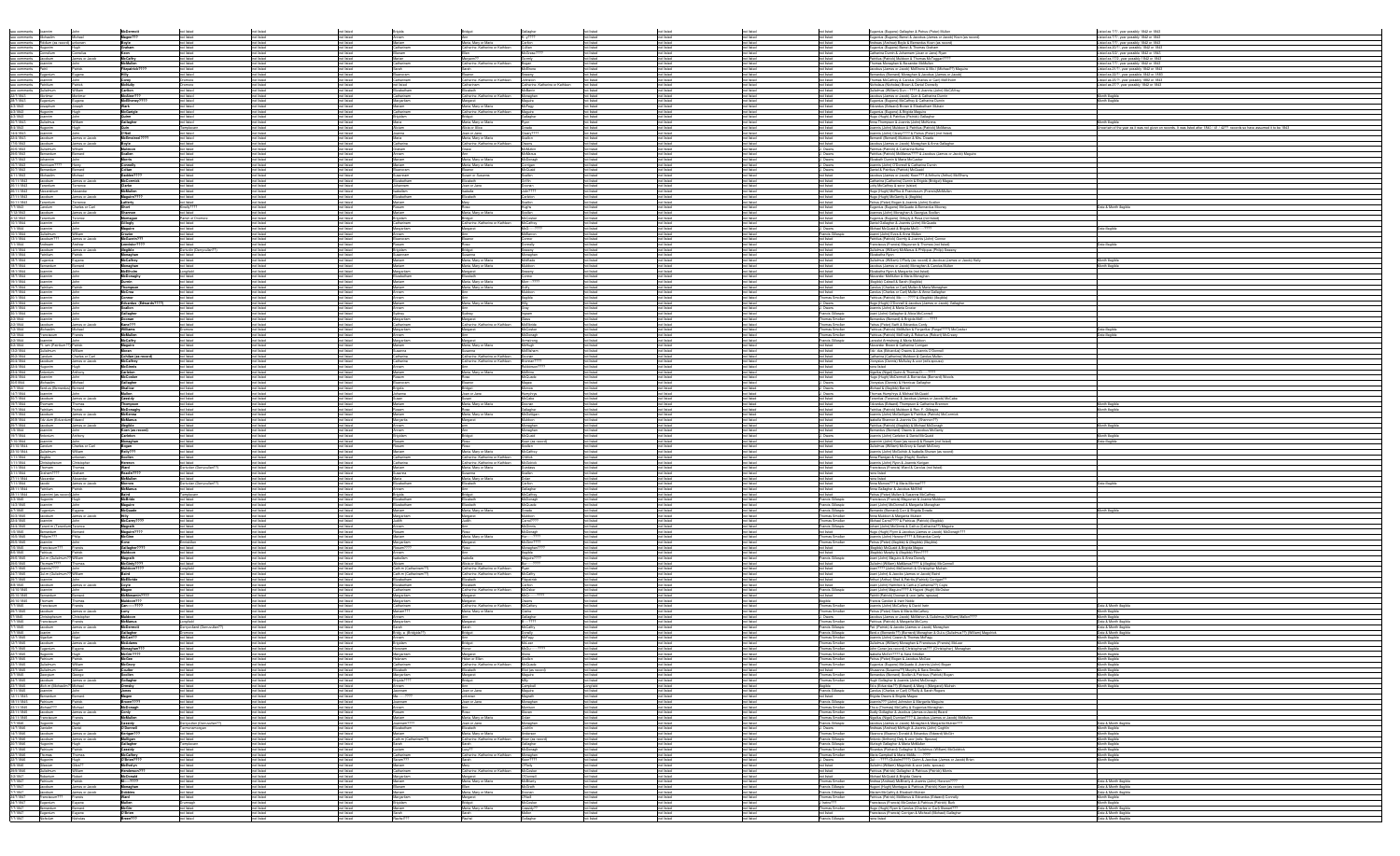| see comments Joannim                                                                                    |                                                                                                                                                                                                                                              |                                   | McDermott<br>Magee???                                  | not listed<br>not listed                  | ot listed<br>not listed                                            |                                                |                                                                        | $K - v?$ ???                                | not listed                             | ot listed                          |                                        | not listed                                    | Eugenius (Eugene) Gallagher & Petrus (Peter) Mullen                                                                                                                   | Listed as ?/?/, year possibly 1842 or 1843                                                                                                               |
|---------------------------------------------------------------------------------------------------------|----------------------------------------------------------------------------------------------------------------------------------------------------------------------------------------------------------------------------------------------|-----------------------------------|--------------------------------------------------------|-------------------------------------------|--------------------------------------------------------------------|------------------------------------------------|------------------------------------------------------------------------|---------------------------------------------|----------------------------------------|------------------------------------|----------------------------------------|-----------------------------------------------|-----------------------------------------------------------------------------------------------------------------------------------------------------------------------|----------------------------------------------------------------------------------------------------------------------------------------------------------|
| see comments Michaelim<br>see comments Hugonim                                                          | see comments Fiddium (as record) unkonwn                                                                                                                                                                                                     |                                   | Graham                                                 | not listed<br>not listed                  | not listed<br>ot listed<br>not listed<br>not listed<br>ot listed   | Catharinam                                     | aria, Mary or Marie<br>atherine ,Katherine or Kathleen                 |                                             | not listed<br>not listed<br>not listed | ot listed<br>not listed            | not listed<br>ot listed<br>not listed  | not listed<br>not listed<br>not listed        | Eugenius (Eugene) Barret & Jacobus (James or Jacob) Koen (as record)<br>ndreas (Andrew) Boyle & Bernardus Koen (as record)<br>ugenius (Eugene) Barret & Thomas Graham | Listed as ?/?/, year possibly 1842 or 1843<br>isted as ?/?/, year possibly 1842 or 1843<br>isted as 20/?/, year possibly 1842 or 1843.                   |
| see comments<br>see comments Jacobum                                                                    | Cornelium                                                                                                                                                                                                                                    | Cornelius<br>James or Jacob       | McCaffry                                               | not listed<br>not listed                  | ot listed<br>not listed<br>ot listed<br>not listed                 |                                                |                                                                        |                                             | not listed<br>not listed               | not listed<br>าot listed           | not listed<br>not listed               | not listed<br>not listed                      | atharina Durnin & Johannam (Joan or Jane) Ryan<br>Patritius (Patrick) Muldoon & Thomas McTeggart???                                                                   | isted as 5/2/, year possible 1842 or 1843.<br>Listed as 17/2, year possibly 1842 or 1843                                                                 |
| see comments Joannin<br>see comments Patrii                                                             |                                                                                                                                                                                                                                              |                                   | <b>McMullen</b><br>Fitzpatrick????                     | not listed                                | not listed<br>not listed                                           | Sarah                                          | atherine ,Katherine or Kathleen                                        |                                             | hot listed<br>not listed               | not listed                         | not listed                             | <u>pt listed</u><br>not listed                | <u>omas Monaghan &amp; Alexander McMullen</u><br>Jacobus (James or Jacob) McElrone & Mic.I (Michael??) Maguire                                                        | isted as ?/?/, year possibly 1842 or 1843.<br>Listed as 21/?/, year possibly 1842 or 1843                                                                |
| see comments Eugenium<br>see comments                                                                   | <b>Joannim</b>                                                                                                                                                                                                                               |                                   |                                                        | not listed                                | not listed<br>not listed<br>ot listed<br>ıot listed                | Eleanoram<br>atharinam;                        | atherine ,Katherine or Kathleen                                        |                                             | not listed<br>าot listed               | not listed<br>าot listed           | not listed<br>not listed               | not listed<br>not listed                      | Bernardus (Bernard) Monaghan & Jacobus (James or Jacob)<br>omas McCaffrey & Carolus (Charles or Carl) McElholm                                                        | Listed as 22/?/, year possible 1842 or 1883<br>isted as 23/?/, year possibly 1882 or 1843.                                                               |
| see comments  Patritium<br>see comments Gulielmum                                                       |                                                                                                                                                                                                                                              | <b>William</b>                    | <b>McNulty</b>                                         | Dromore<br>not listed                     | not listed<br>not listed<br>not listed<br>not listed               | not listed<br>Elizabetham                      | atharinam<br>lizabeth                                                  | atherine ,Katherine or Kathleen<br>McBarrin | not listed<br>not listed               | not listed<br>not listed           | not listed<br>not listed               | not listed<br>not listed                      | licholaus (Nicholas) Breen & Daniel Donnelly<br>iulielmus (William) Dun---???? & Joannis (John) McCAffrey                                                             | Listed as 27/?, year possibly 1842 or 1843                                                                                                               |
| 22/?/1843<br>28/?/1843                                                                                  | Mortime<br>Eugenium                                                                                                                                                                                                                          |                                   | Carlton<br>McAleer???<br>McElheney????                 | not listed<br>not listed                  | not listed<br>าot listed<br>ot listed<br>not listed                | atharinam<br><u>largaritam</u>                 | atherine ,Katherine or Kathleen                                        | onaghan                                     | not listed<br>not listed               | not listed<br>าot listed           | ot listed<br>not listed                | ot listed<br>not listed                       | acobus (James or Jacob) Quin & Catharina Durnin<br>Eugenius (Eugene) McCaffrey & Catharina Durnin                                                                     | Month illegible<br>Month illegible                                                                                                                       |
| 4/3/1843<br>4/3/1843 Hugonim                                                                            | Josephum                                                                                                                                                                                                                                     |                                   | McGarigle                                              | not listed<br>not listed                  | ot listed<br>ot listed<br>not listed<br>not listed                 | Catharinam                                     | Maria, Mary or Marie<br>atherine ,Katherine or Kathleen                |                                             | not listed<br>not listed               | ot listed<br>not listed            | ot listed<br>not listed                | not listed<br>not listed                      | dvardus (Edward) Brown & Elizabetham Mulrain<br>Eugenius (Eugene) & Brigida Maguire                                                                                   |                                                                                                                                                          |
| $\frac{4/3/1843}{2}$                                                                                    | Joannim<br>Gulielmus                                                                                                                                                                                                                         |                                   | Quinn                                                  | not listed<br>not listed                  | not listed<br>not listed<br>ot listed<br>t listed                  |                                                | Maria, Mary or Marie                                                   |                                             | not listed<br>not listed               | not listed<br><sup>ot listed</sup> | not listed<br>ot listed                | not listed<br>ot listed                       | Hugo (Hugh) & Patritius (Patrick) Gallagher<br>Anna Thompson & Joannis (John) McKenna                                                                                 |                                                                                                                                                          |
| 30/?/1843<br>8/4/1843                                                                                   | Hugonim                                                                                                                                                                                                                                      |                                   | iallaghe<br><b>D'Neil</b>                              | Templecarn<br>not listed                  | not listed<br>not listed<br>not listed<br>not listed               |                                                | Alicia or Alice                                                        | leary????                                   | not listed<br>not listed               | not listed<br>not listed           | not listed<br>not listed               | not listed<br>not listed                      | Joannis (John) Muldoon & Patritius (Patrick) McManus<br>Joannis (John) Cleary???? & Petrus (Peter) (not listed)                                                       | <u>nth illegible</u><br>Uncertain of the year as it was not given on records. It was listed after 1840 / 41 / 42?? records so have assumed it to be 1843 |
| 14/4/1843<br>22/4/1843                                                                                  | acobum<br>Jacobum                                                                                                                                                                                                                            | James or Jacob                    | McEmstreel????                                         | not listed<br>not listed                  | ot listed<br>ot listed<br>not listed                               | Catharina                                      | Joan or Jane<br>aria, Mary or Marie<br>atherine ,Katherine or Kathleen |                                             | not listed<br>not listed               | ot listed<br>not listed            | าot listed<br>not listed               | ot listed<br>not listed                       | ernardi (Bernard) Muldoon & Mrs. Dowde<br>Jacobus (James or Jacob) Monaghan & Anna Gallagher                                                                          |                                                                                                                                                          |
| 17/6/1843<br>20/6/1843                                                                                  | 3ulielmum                                                                                                                                                                                                                                    | James or Jacob                    | Muldoon                                                | not listed                                | not listed<br>ot listed<br>not listed                              |                                                |                                                                        | 1cMulkin                                    | not listed                             | าot listed                         | ot listed                              | . Owens                                       | Patritius (Patrick) & Catharina Burke                                                                                                                                 |                                                                                                                                                          |
| 29/6/1843<br>12/7/1843                                                                                  | <u>Bernardum</u><br>Johannim                                                                                                                                                                                                                 |                                   | Scallen                                                | not listed<br>not listed                  | not listed<br>ıot listed<br>not listed<br>not listed<br>ot listed  |                                                | laria, Mary or Marie                                                   | cDonagh                                     | not listed<br>not listed               | าot listed<br>not listed           | ot listed<br>not listed<br>not listed  | Owens<br>. Owens                              | atritius (Patrick) McManus???? & Jacobus (James or Jacob) Maguire<br>lizabeth Durnin & Maria McCusker                                                                 |                                                                                                                                                          |
| 16/7/1843<br>30/7/1843                                                                                  | Henricam????<br>3ernardum                                                                                                                                                                                                                    |                                   | Connelly<br>Coltan<br>Dadden????                       | not listed<br>not listed                  | not listed<br>not listed<br>not listed<br>ot listed                | leanoram                                       | Vlaria, Mary or Marie<br>leanor                                        | McQuaid                                     | not listed<br>not listed               | not listed<br>not listed           | not listed<br>ot listed                | . Owens<br>. Owens                            | Joannis (John) O'Donnell & Catharina Durnin<br>aniel & Patritius (Patrick) McQuaid                                                                                    |                                                                                                                                                          |
| 1/11/1843<br>16/11/1843                                                                                 | Michaelim<br>Jacobum                                                                                                                                                                                                                         | James or Jacob                    | McCormick<br>Clarke                                    | not listed<br>not listed                  | not listed<br>not listed<br>ot listed                              | lizabetham                                     | usan or Susanna<br>lizabeth                                            |                                             | not listed<br>not listed               | ot listed<br>าot listed            | ot listed<br>not listed                | ot listed<br>not listed                       | Jacobus (James or Jacob) Koen??? & Arthuris (Arthur) McElheny<br>Catharina (Catherine) Durnin & Brigida (Bridget) Magee                                               |                                                                                                                                                          |
| 26/11/1843<br>26/11/1843                                                                                | Ferentium<br>Alexandrium                                                                                                                                                                                                                     | errence <sup>-</sup><br>Alexander | <b>McMullen</b>                                        | not listed<br>not listed                  | not listed<br>not listed<br>not listed<br>ot listed                | hannam                                         | oan or Jane<br>sabella                                                 |                                             | not listed<br>not listed               | not listed<br>not listed           | not listed                             | not listed<br>not listed                      | Lotty McCaffrey & soror (sister)<br>Hugo (Hugh) McPike & Franciscum (Francis) McMullen                                                                                |                                                                                                                                                          |
| 27/11/1843<br>30/11/1843                                                                                | <b>Ferentium</b>                                                                                                                                                                                                                             | James or Jacob<br>Terrence        | Maguire????<br>Lafferty                                | not listed<br>not listed<br>Kinelly????   | not listed<br>not listed                                           | <u>zabetham</u>                                |                                                                        |                                             | <u>not listed</u><br>not listed        | not listed                         | not listed                             | ot listed<br>not listed                       | Hugo (Hugh) McGarrity & (illegible<br>Petrus (Peter) Bogan & Joannis (John) Scallon                                                                                   |                                                                                                                                                          |
| $\frac{7}{1843}$<br>/12/1843                                                                            | Carolum.<br>lacobum                                                                                                                                                                                                                          | Charles or Carl<br>James or Jacob |                                                        | not listed                                | not listed<br>not listed<br>not listed<br>ıot listed               |                                                | laria, Mary or Marie                                                   |                                             | not listed<br>not listed               | not listed<br>าot listed           | not listed<br>not listed               | not listed<br>not listed                      | Eugenius (Eugene) McQuade & Bernardus Mooney<br>Joannes (John) Monaghan & Georgius Scollen                                                                            | Date & Month illegible                                                                                                                                   |
| 2/12/1843<br>10/1/1844                                                                                  | <b>Terentium</b><br>Joannim                                                                                                                                                                                                                  | Terence                           | <u>Iontague</u><br>Gillogly                            | Parish of Dromore<br>not listed           | not listed<br>not listed<br>not listed<br>not listed               | Catharinam                                     | Catherine ,Katherine or Kathleen                                       | McCaffrey                                   | not listed<br>not listed               | not listed<br>not listed           | not listed<br>not listed               | not listed<br>not listed                      | Eugenius (Eugene) Gillogly & Rosa (not listed)<br>Daniel Gallagher & Joannis (John) McQuade                                                                           |                                                                                                                                                          |
| $\frac{9}{11844}$<br>10/1/1844                                                                          | iulielmum                                                                                                                                                                                                                                    |                                   | <u>Maguire</u>                                         | not listed<br>not listed                  | not listed<br>ıot listed<br>ot listed<br>not listed                | Margaritam                                     |                                                                        | G------????                                 | not listed<br>not listed               | not listed<br>าot listed           | ot listed<br>ot listed                 | Owens<br>rancis Gillespie                     | Michael McQuaid & Brigida McG-----????<br>Joanni (John) Eves & Anna Mullen                                                                                            | Date illegible                                                                                                                                           |
| 13/1/1844<br>1/1/1844                                                                                   | Jacobum???                                                                                                                                                                                                                                   | James or Jacob                    | McGuvrin???<br>Leevistor????                           | not listed<br>not listed                  | not listed<br>ot listed<br>not listed<br>not listed                | leanoram                                       |                                                                        |                                             | not listed<br>not listed               | ot listed<br>ot listed             | าot listed<br>not listed               | ot listed<br>not listed                       | Patritius (Patrick) Gormly & Joannis (John) Connor<br>ranciscus (Francis) Magovran & Thomas (not listed                                                               | Date illegible                                                                                                                                           |
| 14/1/1844<br>18/1/1844                                                                                  | Jacobum<br>Patritium                                                                                                                                                                                                                         | James or Jacob                    | llegible<br>Monaghan<br>McCaffrey                      | Derivolin (Derryvullan??)<br>not listed   | not listed<br>not listed<br>ot liste                               |                                                |                                                                        | <u>lonaghan</u>                             | not listed<br>not listed               | not listed                         | not listed<br><u>ot listed</u>         | not listed<br>not listed                      | Gulielmus (William) McManus & Philippus (Philip) Sweeny                                                                                                               |                                                                                                                                                          |
| 18/?/1844<br>18/?/1844                                                                                  | Eugenius<br>Bernardum                                                                                                                                                                                                                        | Eugene<br>Bernard                 | Monaghan                                               | not listed<br>not listed                  | not listed<br>not listed<br>not listed<br>not listed               |                                                | laria, Mary or Marie<br>Maria, Mary or Marie                           | McWade                                      | not listed<br>not listed               | not listed<br>not listed           | not listed<br>not listed               | not listed<br>not listed                      | Gulielmus (William) O'Reily (as record) & Jacobus (James or Jacob) Kelly<br>Jacobus (James or Jacob) Monaghan & Carolus Mullen                                        | Month illegible<br>Month illegible                                                                                                                       |
| 18/1/1844<br>18/?/1844<br>19/1/1844                                                                     | Joannim                                                                                                                                                                                                                                      |                                   | <b>McElholm</b><br>McDonaghy                           | Longfield<br>not listed                   | not listed<br>not listed                                           | <u>Margaritam</u><br>Elizabetham               | <u>Margaret</u><br>lizabeth                                            | Connor                                      | not listed<br>not listed               | not listed                         | not listed                             | not listed<br>not listed                      | Elizabetha Ryon & Margarita (not lister<br>Nexander McMullen & Maria Monaghan                                                                                         |                                                                                                                                                          |
| 19/?/1844                                                                                               | Joannim<br>Patritium                                                                                                                                                                                                                         |                                   | Durnin<br>hompson                                      | not listed<br>not listed                  | ot listed<br>not listed<br>not listed<br>ot listed                 |                                                | Maria, Mary or Marie<br>laria, Mary or Marie                           | nrr---????                                  | not listed<br>not listed               | าot listed<br>าot listed           | not listed<br>not listed               | not listed<br>not listed                      | (illegible) Calwell & Sarah (illegible)<br>Carolus (Charles or Carl) Mullen & Maria Monaghai                                                                          |                                                                                                                                                          |
| 19/?/1844<br>20/1/1844                                                                                  | Joannim<br>Joannim                                                                                                                                                                                                                           |                                   | <b>McCrea</b>                                          | not listed<br>not listed                  | not listed<br>not listed<br>ot listed<br>not listed                |                                                |                                                                        |                                             | not listed<br>not listed               | not listed<br>าot listed           | not listed<br>not listed               | not listed<br>Thomas Smollen                  | Carolus (Charles or Carl) Mullen & Anna Gallagher<br>Patricus (Patrick) Mc------???? & (illegible) (illegible                                                         |                                                                                                                                                          |
| 23/1/1844<br>28/1/1844                                                                                  | Joannim<br>Joannim                                                                                                                                                                                                                           |                                   | Edvardus (Edwards????)<br>Scallon                      | not listed<br>not listed                  | not listed<br>not listed<br>ot listed<br>not listed                |                                                | laria, Mary or Marie                                                   |                                             | not listed<br>not listed               | not listed<br>าot listed           | not listed<br>not listed               | . Owens<br>Owens                              | Hugo (Hugh) O'Donnell & Jacobus (James or Jacob) Gallagher<br>Joannis (John) & Maria Crozier                                                                          |                                                                                                                                                          |
| 30/1/1844<br>2/2/1844                                                                                   | Joannim<br>Joannim                                                                                                                                                                                                                           |                                   | iallagher<br>Doonan<br>Kane???                         | not listed<br>not listed                  | not listed<br>ot listed<br>not listed<br>not listed                | $\frac{1}{\text{Aargaritan}}$                  | largaret                                                               |                                             | not listed<br>not listed               | าot listed<br>not listed           | าot listed<br>not listed               | Francis Gillespie<br>homas Smollen            | Joani (John) Gallagher & Alicia McConnell<br>Bernardus (Bernard) & Brigida McE------???                                                                               |                                                                                                                                                          |
| 2/2/1844<br>? / 2 / 1844                                                                                | Jacobum<br>Michaelim                                                                                                                                                                                                                         | James or Jacob                    |                                                        | not listed                                | not listed<br>not listed<br>ot listed                              | Catharinam<br>Margaritam                       | Catherine , Katherine or Kathleen<br>largaret                          |                                             | not listed<br>not listed               | not listed                         | not listed                             | homas Smollen<br>homas Smollen                | Patrus (Peter) Swift & Edvardus Conly<br>Patricus (Patrick) McMullen & Fergerllus (Fergel????) McCosker                                                               | Date illegible                                                                                                                                           |
| ?/2/1844<br>2/2/1844<br>9/2/1844                                                                        | Franciscum<br>Joannim                                                                                                                                                                                                                        | Francis                           | Williams<br>McMullen<br>McCaffry<br>Maguire            | not listed<br>not listed                  | not listed<br>not listed<br>not listed<br>not listed               |                                                | largaret                                                               | <b>McDonagh</b><br><u>rmstrong</u>          | not listed<br>not listed               | not listed<br>not listed           | not listed<br>not listed               | Thomas Smollen<br>Francis Gillespie           | Patricus (Patrick) McEnulty & Robertus (Robert) McCreary<br>Lancelot Armstrong & Maria Muldoon                                                                        | Date illegible                                                                                                                                           |
| 13/2/1844                                                                                               | Pt. ium (Patritium??) Patrick<br>Gulielmum                                                                                                                                                                                                   |                                   |                                                        | not listed<br>not listed                  | not listed<br>not listed<br>not listed<br>not listed               |                                                | Maria, Mary or Marie                                                   |                                             | not listed<br>not listed               | not listed<br>not listed           | not listed<br>Inot listed              | not listed<br>not listed                      | Nexander Brown & Catharina Corriga<br>dv. dus (Edvardus) Owens & Joannis O'Donnell                                                                                    |                                                                                                                                                          |
| 26/2/1844<br>20/4/1844                                                                                  | Carolum<br>Jacobum                                                                                                                                                                                                                           | Charles or Carl<br>James or Jacob | Cohilan (as record)<br>McCaffrey                       | not listed<br>not listed                  | not listed<br>not listed<br>not listed<br>ot listed                | Catharina                                      | Catherine ,Katherine or Kathleen<br>atherine ,Katherine or Kathleen    |                                             | not listed<br>not listed               | not listed<br>าot listed           | not listed<br>not listed               | not listed<br>not listed                      | Catharina (Catherine) Muldoon & Carolus Mullen<br>Dionysius (Dennis) McAuley & uxor (wife,spouse)                                                                     |                                                                                                                                                          |
| 22/4/1844<br>23/4/1844                                                                                  | Hugonim<br>Antonium                                                                                                                                                                                                                          |                                   | <b>McGinnis</b>                                        | not listed<br>not listed                  | not listed<br>not listed<br>not listed<br>not listed               |                                                | Maria, Mary or Marie                                                   | bbinson????                                 | not listed<br>not listed               | าot listed<br>าot listed           | not listed<br>ıot listed               | not listed<br>not listed                      | none listed<br>Nigellus (Nigel) Quinn & Thomas D-77???                                                                                                                |                                                                                                                                                          |
| 29/4/1844<br>30/61844                                                                                   | loannim.<br>Michaelim                                                                                                                                                                                                                        |                                   | Carleton<br>McCosker<br>Gallagher<br>Shallow<br>Mullen | not listed<br>not listed                  | not listed<br>not listed<br>not listed<br>not listed               | Eleanoram                                      | Eleanor                                                                |                                             | not listed<br>not listed               | not listed<br>not listed           | not listed<br>not listed               | not listed<br>. Owens                         | Hugo (Hugh) McDermott & Bernardus (Bernard) Woods<br>Dionysius (Dennis) & Henricus Gallaghe                                                                           |                                                                                                                                                          |
| $\frac{2/7/1844}{14/7/1844}$                                                                            | Berd.us (Bernardus) Bernard<br>Joannim                                                                                                                                                                                                       |                                   |                                                        | not listed<br>not listed                  | not listed<br>tot listed<br>not listed<br>not listed               |                                                | Bridget<br>Joan or Jane                                                | <b>Humphrys</b>                             | not listed<br>not listed               | ot listed<br>not listed            | not listed<br>not listed               | . Owens<br>. Owens                            | Michael & (illegible) Barrett<br>homas Humphrys & Michael McQuaid                                                                                                     |                                                                                                                                                          |
| 30/7/1844<br>19/?/1844                                                                                  | Jacobum<br>Thomam                                                                                                                                                                                                                            | James or Jacob                    | Cassidy                                                | not listed<br>not listed                  | not listed<br>not listed<br>ot listed                              |                                                | laria, Mary or Marie                                                   | McCabe                                      | not listed<br>not listed               | ot listed<br>ot listed             | not listed                             | not listed<br>ot listed                       | erentius (Terence) & Jacobus (James or Jacob) McCabe<br>Edvardus (Edward) Thompson & Catharina Brennor                                                                | Month illegible                                                                                                                                          |
| 19/?/1844<br>19/?/1844                                                                                  | Patritium<br>Jacobum                                                                                                                                                                                                                         | <b>IPatrick</b><br>James or Jacob | <u>Fhompson</u><br>McDonaghy<br>McKenna<br>McManus     | not listed<br>not listed                  | not listed<br>not listed<br>not listed<br>not listed               |                                                | Maria, Mary or Marie                                                   | Gettigan                                    | not listed<br>not listed               | not listed<br>าot listed           | not listed<br>not listed               | not listed<br>not listed                      | Patritius (Patrick) Muldoon & Rev. F. Gillespie<br>Joannis (John) McGettigan & Patritius (Patrick) McCormick                                                          | Month illegible                                                                                                                                          |
| 26/8/1844                                                                                               | Edv.dum (Edvardum Edward<br>Jacobum                                                                                                                                                                                                          | James or Jacob                    | illegible                                              | not listed<br>not listed                  | not listed<br>not listed<br>not listed<br>not listed               |                                                |                                                                        | lonaghan                                    | not listed<br>not listed               | ot listed<br>not listed            | not listed<br>not listed               | not listed<br>not listed                      | sabella Shannon & Joannis Do. (Shannon??<br>Patritius (Patrick) (illegible) & Michael McDonagh                                                                        | Month illegible                                                                                                                                          |
| 29/?/1844<br>1/9/1844<br>19/?/1844<br>2018/19:11                                                        | Joannim<br>Antonium                                                                                                                                                                                                                          |                                   | Koen (as record)<br>Carleton                           | not listed<br>not listed                  | not listed<br>not listed<br>not listed<br>not listed               |                                                |                                                                        | <u>lonaghan</u><br><b>McQuaid</b>           | not listed<br>not listed               | าot listed<br>not listed           | not listed<br>not listed               | not listed<br>. Owens                         | Bernardus (Bernard) Owens & Jacobus McGarity<br>Joannis (John) Carleton & Daniel McQuaid                                                                              | Month illegible                                                                                                                                          |
| 10/1844<br>21/10/1844                                                                                   | Carolum                                                                                                                                                                                                                                      | Charles or Carl                   | <b>Monaghan</b><br><b>Bogan</b>                        | not listed<br>not listed                  | ot listed<br>not listed<br>not listed<br>iot listed<br>iot listed  |                                                |                                                                        | Koen (as record)                            | not listed<br>not listed               | ot listed<br>าot listed            | not listed<br>not listed<br>not listed | not listed<br>not listed<br>not listed        | Joannim (John) Koen (as record) & Rosam (not listed)<br>iulielmus (William) McGrory & Sarah McGror                                                                    | Date illegible                                                                                                                                           |
| 23/10/1844<br>1/11/1844                                                                                 | Gulielmum<br>illegible                                                                                                                                                                                                                       |                                   | Reily???<br>Scollen                                    | not listed<br>not listed                  | not listed<br>not listed<br>not listed                             | Catharinam                                     | laria, Mary or Marie<br>atherine ,Katherine or Kathleen                | Caffrev                                     | not listed<br>not listed               | not listed<br>not listed           | not listed                             | not listed                                    | Joannis (John) McGolrick & Isabella Shunan (as record)<br>Anna Flanigan & Hugo (Hugh) Scollen                                                                         |                                                                                                                                                          |
| 1/11/1844<br>$1/11/1844$ The                                                                            | Christopherum<br>Thomam                                                                                                                                                                                                                      | <u>ıristopher</u><br>Thomas       | <u>-lereron</u>                                        | not listed<br>Derivolen (Derryvullan??)   | ot listed<br>not listed<br>not listed                              |                                                | atherine ,Katherine or Kathleen<br>Maria, Mary or Marie                |                                             | not listed<br>not listed               | <u>not listed</u><br>not listed    | ot listed<br>not listed                | not listed<br>not listed                      | Joannis (John) Ryon & Joannis Kerigan<br>Franciscus (Francis) Ward & Carolus (not listed)                                                                             |                                                                                                                                                          |
| 3/11/1844<br>27/11/1844                                                                                 | Graham????<br>Alexander                                                                                                                                                                                                                      | Graham<br>Alexander               | Readin????<br><b>McMullen</b>                          | not listed<br>not listed                  | not listed<br>not listed<br>not listed<br>not listed               |                                                | laria, Mary or Marie                                                   |                                             | not listed<br>not listed               | าot listed<br>าot listed           | not listed<br>not listed               | not listed<br>not listed<br>not listed        | none listed<br>one listed                                                                                                                                             |                                                                                                                                                          |
| ?/11/1844<br>28/11/1844                                                                                 | Jacobi<br>Patritium                                                                                                                                                                                                                          | James or Jacob<br>Patrick         | <b>Morrow</b><br>McManus<br>Baird                      | Derivolan (Derryvullan??)<br>not listed   | not listed<br>not listed<br>not listed<br>not listed               | izabetham                                      | lizabeth                                                               |                                             | not listed<br>not listed               | ot listed<br>าot listed            | not listed<br>าot listed               | not listed                                    | Anna Morrow??? & Maria Morrow???<br>Anna Gallagher & Jacobus McElhill                                                                                                 | Date illegible                                                                                                                                           |
| 28/11/1844<br>3/3/1845                                                                                  | Joannimi (as record) John<br>Hugonim                                                                                                                                                                                                         |                                   |                                                        | emplecarn<br>not listed                   | not listed<br>not listed<br>ot listed<br>not listed                | lizabetham                                     | lizabeth                                                               | McCaffrey<br>cDonagh                        | not listed<br>not listed               | าot listed<br>าot listed           | not listed<br>not listed               | not listed<br>rancis Gillespie                | etrus (Peter) Mullen & Susanna McCaffrey<br>Franciscus (Francis) Magovran & Joanna Muldoo                                                                             |                                                                                                                                                          |
|                                                                                                         | 14/3/1845 Joannim<br>4/7/1845 Eugenium Eugene                                                                                                                                                                                                |                                   | McBride<br>Maguire<br>McQuade                          | not listed<br>hetail ton                  | not listed<br>not listed<br>hetzil to                              | Elizabetham                                    | lizabeth<br><u>an ac cu.</u><br>Maria. Marv or Marie                   | McQuade                                     | not listed<br>not listed               | not listed<br>hetail ton           | not listed                             | Francis Gillespie<br>Francis Gillespie        | Joani (John) McDonnell & Margarita Monaghan<br>Bernardo (Bernard) Corr & Brigida Dowde                                                                                | aldinalli dtnr                                                                                                                                           |
| 30/3/1845<br>22/4/1845                                                                                  | Jacobum<br>Joannim                                                                                                                                                                                                                           | James or Jacob                    |                                                        | not listed<br>not listed                  | not listed<br>not listed<br>not listed<br>not listed               | <u>largaritam</u>                              | <u>largare</u>                                                         |                                             | not listed<br>not listed               | าot listed<br>hot listed           |                                        | homas Smollen<br>Thomas Smollen               | Anna Muldoon & Margarita Mulrain<br>Michael Carrol???? & Patricus (Patrick) (illegible)                                                                               |                                                                                                                                                          |
| 24/4/1845<br>1/5/1845                                                                                   | Terent.m (Terentium Terence<br>Bernardum                                                                                                                                                                                                     |                                   | McCarny????<br>Magrath<br>Maguire????                  | not listed<br>not listed                  | not listed<br>not listed<br>not listed<br>not listed               |                                                |                                                                        | McGinnis<br><u>McDonagh</u>                 | not listed<br>not listed               | not listed<br>าot listed           | not listed<br>ot listed                | rancis Gillespie<br>ot listed                 | Johani (John) McGinnis & Cath.a (Catharina??) Maguire<br>Hugo (Hugh) Flynn & Jacobus (James or Jacob) McDonagh???                                                     |                                                                                                                                                          |
| 16/5/1845<br>25/5/1845<br>7/6/1845                                                                      | Philipim???<br>Joannim<br>the control of the control of the control of                                                                                                                                                                       |                                   | <u> McGinn</u><br>Kone                                 | not listed<br>Enniskillen                 | ot listed<br>ot listed<br>not listed<br>ot listed                  |                                                | laria, Mary or Marie                                                   | er----- 2222<br>McGinn????                  | not listed<br>not listed               | ot listed<br>ot listed             | าot listed<br>not listed               | homas Smollen<br>homas Smollen                | Joannis (John) Hereren???? & Edvardus Conl<br>Petrus (Peter) (illegible) & (illegible) (Illegible)                                                                    |                                                                                                                                                          |
| 8/6/1845                                                                                                | Franciscum??? Francis<br><b>Patricus</b>                                                                                                                                                                                                     |                                   | Gallagher????<br><u>Muldoon</u>                        | not listed<br>not listed                  | not listed<br>not listed<br>not listed<br>ot listed                |                                                |                                                                        | .onaghan???"                                | not listed<br>าot listed               | ot listed                          | not listed<br>not listed               | not listed<br>ot listed                       | (illegible) McQuaid & Brigida Magee<br>(illegible) Murphy & (illegible) Flinn????                                                                                     |                                                                                                                                                          |
| 29/6/1845                                                                                               | Gul.m (Gulielmum??) William<br>Thomam???? Thomas                                                                                                                                                                                             |                                   | Magrath<br>McGinty????                                 | not listed<br>not listed                  | not listed<br>not listed<br>not listed<br>not listed<br>not listed |                                                | licia or Alice                                                         | Maguire????<br>i ir----- 2222               | not listed<br>not listed               | not listed<br>าot listed           | not listed<br>not listed               | Francis Gillespie<br>not listed<br>not listed | Joani (John) Maguire & Anna Donelly<br>Gulielmi (William) MaManus???? & (illegible) McConnell                                                                         |                                                                                                                                                          |
| 29/6/1845 Thom<br>24/7/1845 Joan<br>24/7/1845 Gul.                                                      | Joannis????<br>Gul.m (Gulielmum??) Willian                                                                                                                                                                                                   | <b>John</b>                       | Muldoon????<br><b>Baird</b>                            | Longfield<br>not listed                   | not listed<br>ot listed<br>not listed                              | Cath.m (Catharinam??)<br>Cath.m (Catharinam??) | atherine ,Katherine or Kathleen<br>atherine ,Katherine or Kathleen     |                                             | not listed<br>not listed               | าot listed<br>not listed           | not listed<br>not listed               | not listed                                    | Joani???? (John) McDermott & Christopher Mulrain<br>Joani (John) & Jacobo (James or Jacob) Bairc                                                                      |                                                                                                                                                          |
| 29/7/1845<br>8/8/1845 J                                                                                 | Joannim<br>the control of the control of the control of the control of the control of<br>Jacobum                                                                                                                                             | James or Jacob                    | McElbride<br>Coyle                                     | not listed<br>not listed                  | tot listed<br>not listed<br>ot listed<br>not listed                | lizabetham<br>lizabetham                       | 'izabeth                                                               | <u>itzpatrick</u>                           | not listed<br>not listed               | <u>not listed</u><br>าot listed    | not listed<br>ot listed                | not listed<br>ot listed                       | Arthuri (Arthur) Sheil & Patritis (Patrick) Corrigan?<br>Joani (John) Hamilton & Cath.a (Catharina??) Coyle                                                           |                                                                                                                                                          |
| 14/10/1845<br>25/10/1845                                                                                | Joannim<br>Bernardum                                                                                                                                                                                                                         |                                   | <u>Magee</u><br>McMenamin????                          | not listed<br>not listed                  | not listed<br>ot listed<br>not listed<br><u>ot listed</u>          | Catharinam<br><u>Margaritam</u>                | atherine ,Katherine or Kathleen<br>largaret                            | Cr-------2222                               | not listed<br>not listed               | าot listed<br>าot listed           | not listed<br>not listed               | Francis Gillespie<br>not listed               | Joani (John) Maguire???? & Hugoni (Hugh) McOsker<br>Patritii (Patrick) Doonan & uxor (wife, spouse)                                                                   |                                                                                                                                                          |
| 26/10/1845<br>?/?/1845                                                                                  | Thomam<br>Franciscum                                                                                                                                                                                                                         | Thomas<br>Francis                 | Muldoon???<br>Can------????                            | not listed<br>not listed                  | not listed<br>not listed<br>not listed<br>not listed               | <u>Margaritam</u><br>Catharinam                | Margaret<br>Catherine ,Katherine or Kathleen                           | Owens<br>McCaffery                          | not listed<br>not listed               | not listed<br>าot listed           | not listed<br>not listed               | illegible<br>Thomas Smollen                   | Francis Carolen & Irwin Noble<br>Joannis (John) McCaffery & David Irwin                                                                                               | Date & Month illegible                                                                                                                                   |
| $\frac{29/7/1845}{57/1845}$<br>$\frac{7/7/1845}{7/7/1845}$<br>$\frac{7/7/1845}{10/10455}$               | Jacobum<br><b>Christopherum</b>                                                                                                                                                                                                              | James or Jacob<br>hristopher      | <b>Muldoon</b>                                         | not listed<br>not listed                  | ot listed<br>not listed<br>ot listed<br>not listed                 |                                                | aria, Mary or Marie                                                    | <u>allaghe</u>                              | not listed<br>not listed               | ot listed<br>าot listed            | not listed<br>not listed               | homas Smollen<br>. Owens                      | Petrus (Peter) Stars & Maria McCaffery<br>Jacobus (James or Jacob) McMahon & Gulielmus (William) Mallon????                                                           | Month illegible<br>Month illegible                                                                                                                       |
|                                                                                                         | Franciscum<br>Jacobum                                                                                                                                                                                                                        | Francis<br>James or Jacob         | McManus<br>McDermott                                   | Longfield<br>Derryvolland (Derruvullan??) | not listed<br>not listed<br>ot listed<br>ot listed                 | Margaritam                                     | <u>largare</u>                                                         | B----????<br><b>IcCaffry</b>                | not listed<br>not listed               | าot listed<br>าot listed           | not listed<br>าot listed               | Thomas Smollen<br>Francis Gillespie           | Patricus (Patrick) & Margarita McCurry<br>at. (Patrick) & Jacobo (James or Jacob) Monaghan                                                                            | Date & Month illegible<br>Date & Month illegible                                                                                                         |
|                                                                                                         | Joanim<br>12/?/1845 Nigellum                                                                                                                                                                                                                 |                                   | <u>Gallagher</u><br>McCart??<br>McAdams                | not listed                                | ot listed<br>ot listed<br>not listed<br>not listed                 | Bridg. a (Bridgida??)                          |                                                                        |                                             | not listed<br>not listed               | ot listed<br>าot listed            | ot listed<br>not listed                | Francis Gillespie<br>Thomas Smollen           | Berd.o (Bernardo??) (Bernard) Monaghan & Gul.s (Gulielmus??) (William) Magolrick<br>Joannis (John) Cowen & Thomas McFagy                                              | Date & Month illegible<br>Month illegible                                                                                                                |
| 12/?/1845<br>15/?/1845                                                                                  | Jacobum<br>Eugenium                                                                                                                                                                                                                          | James or Jacob<br>Eugene          | Monaghan???                                            | not listed<br>not listed                  | ot listed<br>ot listed<br>not listed<br>not listed                 |                                                |                                                                        | lcGu------2222                              | not listed<br>not listed               | ot listed<br>not listed            | ot listed<br>not listed                | Thomas Smollen<br>homas Smollen               | Gulielmus (William) Monaghan & Franciscus (Francis) McLeer<br>John Coner (as record) Christopherus??? (Christopher) Monaghan                                          | Month illegible<br>Month illegible                                                                                                                       |
| 22/?/1845<br>23/?/1845                                                                                  | Hugonim<br>Patricum                                                                                                                                                                                                                          | Hugh<br>Patrick                   | McGirr????<br>McGee                                    | not listed<br>not listed                  | not listed<br>not listed<br>not listed<br>not listed               | largaritam<br>Helenam                          | largaret<br>Helen or Ellen                                             |                                             | not listed<br>not listed               | not listed<br>not listed           | not listed<br>not listed               | Thomas Smollen<br>homas Smollen               | Isabella McGirr???? & Sara Smollen<br>Petrus (Peter) Bogan & Jacobus McGee                                                                                            | Month illegible<br>Month illegible                                                                                                                       |
| 23/?/1845                                                                                               | Gulielmum<br>Gulielmum                                                                                                                                                                                                                       |                                   | McGrory<br>Coulter<br>Scollen                          | not listed<br>not listed                  | not listed<br>not listed<br>ot listed<br>ot listed                 | Catharinam                                     | atherine ,Katherine or Kathleen                                        | McQuade<br>liot (as record)                 | not listed<br>not listed               | <u>not listed</u><br>ot listed     | not listed<br>าot listed               | Thomas Smollen<br>ot listed                   | Eugenius (Eugene) McQuade & Joannis (John) Bogan<br>Shusanna (Susanna??) Murphy & Sara Smollen                                                                        | Month illegible<br>Month illegible                                                                                                                       |
| $\begin{array}{ c c }\n 23/?/1845 \\  \hline\n 3/?/1845 \\  \hline\n 24/?/1845 \\  \hline\n\end{array}$ | Georgium<br>Jacobum                                                                                                                                                                                                                          | James or Jacob                    | <u>Gollagher</u>                                       | not listed<br>not listed                  | not listed<br>not listed<br>not listed<br>not listed               | Margaritam                                     | Margaret<br>Bridget                                                    |                                             | not listed<br>not listed               | ot listed<br>าot listed            | not listed<br>not listed               | homas Smollen<br>Thomas Smollen               | Bernardus (Bernard) Scollen & Patricus (Patrick) Bogan<br>Hugh Gollagher & Joannis (John) McDonagh                                                                    | Month illegible<br>Month illegible                                                                                                                       |
| 23/?/1845<br>9/11/1845                                                                                  | Mich.m (Michaelim?? Michael<br>Joannim                                                                                                                                                                                                       |                                   | <b>Jones</b>                                           | not listed<br>not listed                  | ot listed<br>ot listed<br>not listed<br>ot listed                  |                                                | Joan or Jane                                                           | <u>Maguire</u>                              | Longfield<br>not listed                | not listed                         | ot listed                              | Francis Gillespie                             | Ed.s (Edvardus??) (Edward) & Marg.t (Margaret) Mulrain<br>Carolus (Charles or Carl) O'Reilly & Sarah Rogers                                                           | Month illegible                                                                                                                                          |
| 12/11/1845<br>18/11/1845                                                                                | Bernardum<br>Patricum                                                                                                                                                                                                                        | Bernard<br>Patrick                | <u>Magee</u><br>Brown????                              | not listed<br>not listed                  | not listed<br>not listed<br>ot listed<br>not listed                | la------????                                   | `inknown<br>Joan or Jane                                               | Magrath<br>Monaghan                         | not listed<br>not listed               | not listed<br>าot listed           | not listed<br>not listed               | not listed<br>Francis Gillespie               | Brigida Owens & Brigida Magee<br>Joannis??? (John) Johnston & Margarita Maguire                                                                                       |                                                                                                                                                          |
| 23/11/1845<br>23/11/1845                                                                                | Michael???<br>Jacobum                                                                                                                                                                                                                        | James or Jacob                    | <b>McDonagh</b>                                        | not listed<br>not listed                  | not listed<br>not listed<br>not listed<br>not listed               |                                                |                                                                        |                                             | not listed<br>not listed               | <u>not listed</u><br>not listed    | not listed<br>not listed               | Thomas Smollen<br>Thomas Smollen              | Tho.s (Thomas) McCaffry & Eugenius Monaghan<br>Dudly Gollagher & Jacobus (James orJacob) Beard                                                                        |                                                                                                                                                          |
| 24/11/1845<br>?/?/1846<br>14/?/1846                                                                     | Franciscum<br>Hugonim                                                                                                                                                                                                                        | Francis                           | <b>McMullen</b><br>Cassidy                             | not listed<br>Derryvullen (Derruvullan??) | not listed<br>ot listed<br>not listed<br>not listed                |                                                | Aaria, Mary or Marie<br>oan or Jane                                    | <u>lonaghan</u>                             | not listed<br>not listed               | ot listed<br>าot listed            | not listed<br>not listed               | homas Smollen<br>Francis Gillespie            | Nigellus (Nigel) Durnian???? & Jacobus (James or Jacob) McMullen<br>Jacobus (James or Jacob) Monaghan & Margarita Mulrain???                                          | Date & Month illegible                                                                                                                                   |
| 14/?/1846<br>14/?/1846                                                                                  | Danielim<br>Jacobum                                                                                                                                                                                                                          | James or Jacob                    | Kerigan???                                             | rmonamongan<br>not listed                 | ot listed<br><u>ot listed</u><br>not listed<br>not listed          | zabetham                                       | Vlaria, Mary or Marie                                                  |                                             | not listed<br>not listed               | ot listed<br>not listed            | <u>not listed</u><br>not listed        | Owens<br>Thomas Smollen                       | Andreas (Andrew) McHugh & Joannis (John) Coghlin<br>Eleanora (Eleanor) Donald & Edvardus (Edward) McGirr                                                              | Month illegible<br>Month illegible                                                                                                                       |
| 20/?/1846 Hugonim                                                                                       | Jacobum                                                                                                                                                                                                                                      | James or Jacob                    | Mulligan<br>Gallagher                                  | not listed<br>emplecarn                   | not listed<br>not listed<br>not listed<br>ot listed                | Cath.m (Catharinam??)                          | atherine ,Katherine or Kathleen                                        | Koen (as record)                            | not listed<br>not listed               | <u>not listed</u><br>not listed    | not listed<br>ot listed                | Francis Gillespie<br>ancis Gillespie          | Antonio (Anthony) Daly & uxor (wife, Spouse)<br>Murtagh Gallagher & Maria McMullen                                                                                    | Month illegible<br>Month illegible                                                                                                                       |
| 21/?/1846   Patricum<br>22/?/1846                                                                       | <b>IThomas</b>                                                                                                                                                                                                                               | Patrick                           | assidy:<br>McCaffery<br>O'Brien????                    | not listed<br>not listed                  | not listed                                                         |                                                | atherine ,Katherine or Kathleen                                        |                                             | hot listed<br>not listed               | าot listed                         |                                        | Thomas Smollen<br>Thomas Smollen              | Ricardus (Richard) Gollagher & Gulielmus (William) McGoldrick<br>Maria Campbell & Maria McMu------????                                                                | Month illegible<br>Month illegible                                                                                                                       |
| 122/?/1846 Hugonim<br>5/9/1846 Gilesium                                                                 |                                                                                                                                                                                                                                              |                                   |                                                        | not listed                                | not listed<br>ot listed<br>not listed<br>ot listed                 |                                                |                                                                        |                                             | not listed<br>not listed               | าot listed<br>not listed           | not listed<br>not listed               | Owens<br>not listed                           | Gul-----???? (Gulielmi????) Quinn & Jacobus (James or Jacob) Brien<br>Gulielmi (William) Magolrick & uxor (wife, spouse)                                              | Month illegible                                                                                                                                          |
|                                                                                                         | 1999/1846 Gulielmum William<br>1999/1846 Gulielmum William<br>1999/1847 Robertum Robert<br>1999/1847 Patricum Patrick<br>1999/1847 Jacobum James or<br>1999/1847 Franciscum??? Francis<br>1999/1847 Eugenium Eugene<br>1999/1847 Eugenium Eu |                                   | McEvelyn<br>Henderson???<br>McDonald<br>Articles       | not listed<br>not listed                  | not listed<br>not listed<br>ot listed<br>not listed                | Catharinam                                     | atherine ,Katherine or Kathleen<br><u>largaret</u>                     |                                             | not listed<br>not listed               | not listed<br>not listed           | not listed<br>ot listed                | not listed<br>ot listed                       | Patricus (Patrick) Gollagher & Patricus (Patrick) Morris<br>Michael McQuaid & Brigida Owens                                                                           |                                                                                                                                                          |
|                                                                                                         |                                                                                                                                                                                                                                              | James or Jacob                    | M-----????<br>Monaghan                                 | not listed<br>not listed                  | not listed<br>not listed<br>not listed<br>not listed               |                                                | Maria, Mary or Marie                                                   |                                             | not listed<br>not listed               | not listed<br>not listed           | not listed<br>not listed               | Thomas Smollen<br>rancis Gillespie            | Andrea (Andrew) McBriarty & Joannis (John) Hereren????<br>Hugoni (Hugh) Montague & Patricus (Patrick) Koen (as record)                                                | Date & Month illegible<br>Date & Month illegible                                                                                                         |
|                                                                                                         |                                                                                                                                                                                                                                              | James or Jacob                    | <b>Dobbins</b>                                         | not listed<br>not listed                  | not listed<br>not listed<br>not listed<br>not listed               | Margaritam                                     | Maria, Mary or Marie<br><u>Margaret</u>                                |                                             | not listed<br>not listed               | not listed<br>not listed           | not listed<br>not listed               | Francis Gillespie<br>Thomas Smollen           | Mariam McCaffry & Elizabeth Mulrain<br>Patricus (Patrick) McManus & Edvardus (Edward) Connelly                                                                        | Date & Month illegible<br>Month illegible                                                                                                                |
|                                                                                                         |                                                                                                                                                                                                                                              |                                   | Mullen                                                 | Drumragh<br>not listed                    | not listed<br>not listed<br>not listed<br>not listed               |                                                | Maria, Mary or Marie                                                   | McCosker<br>assidy??                        | not listed<br>not listed               | not listed<br>not listed           | not listed<br>not listed               | Irwine???<br>Thomas Smollen                   | Franciscus (Francis) McCosker & Patricus (Patrick) Burk<br>Hugo (Hugh) Ryan & Carolus (Charles or Carl) Stewart???                                                    | Month illegible<br>Date & Month illegible                                                                                                                |
|                                                                                                         |                                                                                                                                                                                                                                              |                                   | McGirr<br>O'Brien<br>Breen???                          | not listed<br>not listed                  | not listed<br>not listed<br>not listed                             | <b>ISarah</b>                                  | Sarah                                                                  |                                             | not listed<br>not listed               | not listed<br>ot listed            | not listed<br>ot listed                | not listed<br>Francis Gillespie               | Franciscus (Francis) Corrigan & Michaeli (Michael) Gallagher<br>none listed                                                                                           | Date & Month illegible<br>Date & Month illegible                                                                                                         |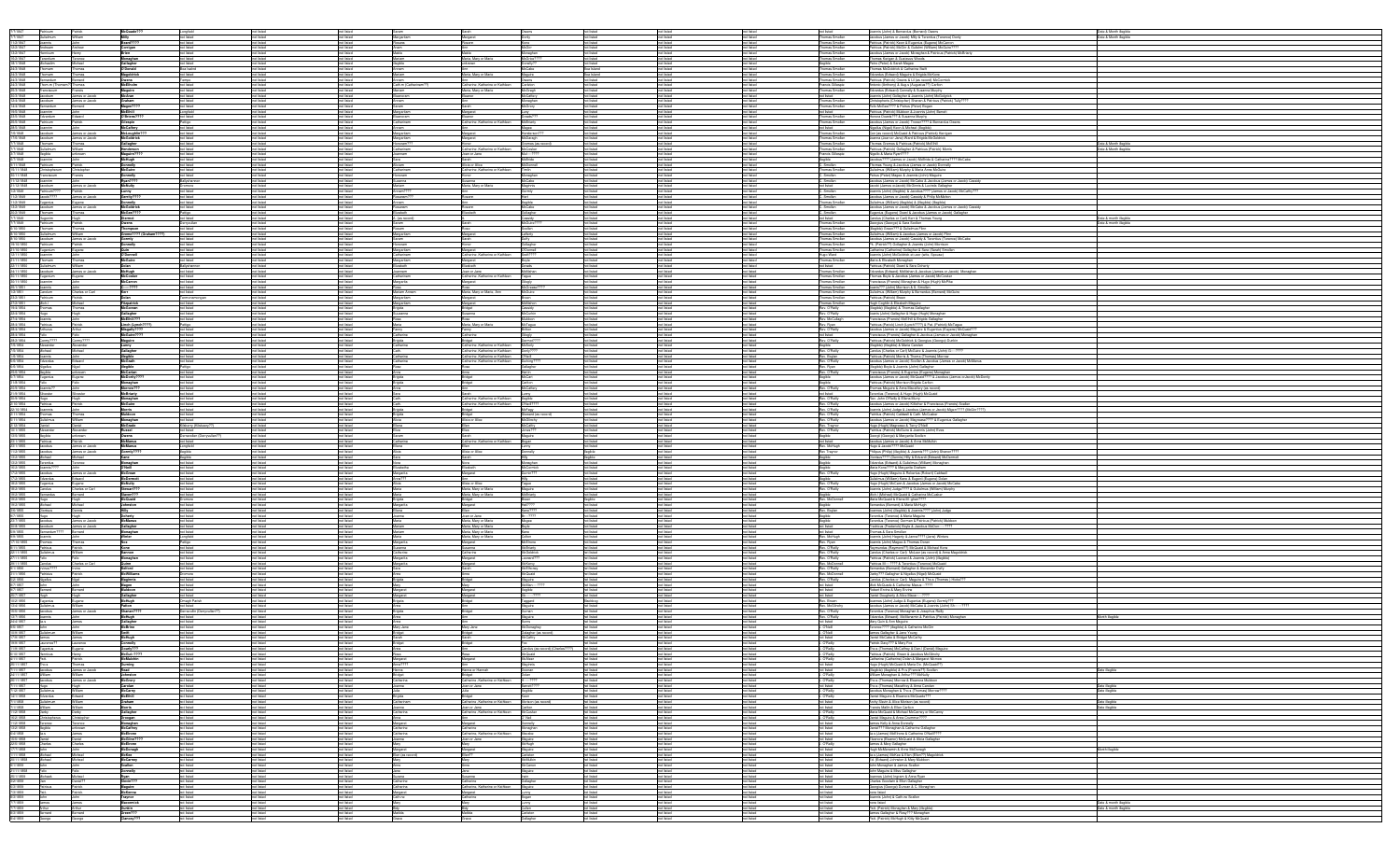|                                                                                                                                                                                                                                                                 |                                                                                                                                                                                                                                               |                                     | McQuade???                                                  |                                          | not listed                                                                      |                                               |                                                                    |                                              | not listed                             |                                        |                                        | ot listed                                         | Joannis (John) & Bernardus (Bernard) Owens                                                                                                                                           | Date & Month illegible                           |
|-----------------------------------------------------------------------------------------------------------------------------------------------------------------------------------------------------------------------------------------------------------------|-----------------------------------------------------------------------------------------------------------------------------------------------------------------------------------------------------------------------------------------------|-------------------------------------|-------------------------------------------------------------|------------------------------------------|---------------------------------------------------------------------------------|-----------------------------------------------|--------------------------------------------------------------------|----------------------------------------------|----------------------------------------|----------------------------------------|----------------------------------------|---------------------------------------------------|--------------------------------------------------------------------------------------------------------------------------------------------------------------------------------------|--------------------------------------------------|
| 7/7/1847 Pa<br>7/7/1847 Gi<br>11/2/1847 Judi<br>12/2/1847 He<br>13/2/1847 Te<br>16/2/1847 Te<br>18/1/1848 Mi<br>24/3/1848 Th<br>24/3/1848 Te<br>24/3/1848 Te<br>24/3/1848 D<br>25/3/1848 Ju<br>12/4/1848 Ju<br>12/4/1848 Ju<br>12/4/1848 Ju<br>12/4/1848 Ju<br> | Gulielmum<br>Joannis<br>Andream                                                                                                                                                                                                               |                                     | Beard????                                                   | not listed<br>ot listed                  | not listed<br>ıot listed                                                        | Margaritam<br>not listed                      | <u>Aargaret</u>                                                    |                                              | not listed<br>not listed               | not listed<br>ot listed<br>not listed  | not listed<br>ot listed<br>not listed  | Thomas Smollen<br>Thomas Smollen                  | Jacobus (James or Jacob) Milly & Terentius (Terence) Donly<br>Patricus (Patrick) Keon & Eugenius (Eugene) McCarron                                                                   | Date & Month illegible                           |
|                                                                                                                                                                                                                                                                 | Henricum<br>Terentium                                                                                                                                                                                                                         | Terence                             | <u>Corrigan</u><br>Brien<br>Monaghan                        | not listed<br>not listed<br>not listed   | ot listed<br>not listed<br>ıot listed<br>not listed<br>ot listed<br>not listed  |                                               | Aaria, Mary or Marie                                               | <u>lonaghan</u><br>AcGrice????               | not listed<br>not listed<br>not listed | not listed<br>not listed               | not listed<br>not listed               | homas Smollen<br>Thomas Smollen<br>Thomas Smollen | Patricus (Patrick) McGirr & Gulielmi (William) McGuire????<br>Jacobus (James or Jacob) Monaghan & Patricus (Patrick) McBriarty<br>Thomas Kerigan & Gustavus Woods                    |                                                  |
|                                                                                                                                                                                                                                                                 | Michaelim                                                                                                                                                                                                                                     | `homas                              | Gallagher<br>O'Donald                                       | not listed<br>3oa Isalnd                 | ot listed<br>not listed<br>iot listed                                           | not listed                                    | ınknown                                                            |                                              | not listed<br>oa Island                | not listed<br>าot listed               | not listed<br>ıot listed               | illegible<br>homas Smollen                        | Petro (Peter) & Sarah Magee<br>nomas McGoldrick & Catharina Swift                                                                                                                    |                                                  |
|                                                                                                                                                                                                                                                                 | Thomam<br>Thomam<br>Bernardum                                                                                                                                                                                                                 | Thomas                              | <b>Magoldrick</b>                                           | not listed                               | ot listed<br>not listed<br>iot listed<br>not listed                             |                                               | Aaria, Mary or Marie                                               |                                              | Boa Island<br>not listed               | not listed<br>าot listed               | not listed<br>not listed               | homas Smollen<br>Thomas Smollen                   | Edvardus (Edward) Maguire & Brigida McKone<br>Patricus (Patrick) Owens & Lil (as record) McCormick                                                                                   |                                                  |
|                                                                                                                                                                                                                                                                 | Thom.m (Thomam?? Thomas<br>Franciscum                                                                                                                                                                                                         | <b>IFrancis</b>                     | Owens<br>McElholm<br>Maguire                                | not listed                               | ot listed<br>not listed                                                         | Cath.m (Catharinam??<br>not listed            | atherine ,Katherine or Kathleen<br>Aaria, Mary or Marie            |                                              | not listed<br>not listed               | not listed                             | ıot listed<br>not listed               | rancis Gillespie<br>Thomas Smollen                | ntonio (Anthony) & Aug.s (Augustus??) Carlton.<br>Edvardus (Edward) Connelly & Susanna Murphy                                                                                        |                                                  |
|                                                                                                                                                                                                                                                                 | $\frac{Jacobum}{Jacobum}$                                                                                                                                                                                                                     | James or Jacob<br>James or Jacob    | McAran<br>Graham                                            | not listed<br>not listed                 | ıot listed<br>not listed<br>ot listed<br>not listed                             | leanoram                                      | Eleanor                                                            | <u>McCaffery</u><br><u>lonaghan</u>          | not listed<br>not listed               | not listed<br>not listed               | not listed<br>not listed               | not listed<br>Thomas Smollen                      | Joannis (John) Gollagher & Joannis (John) McGolgricl<br>Christopheris (Christopher) Shanan & Patricus (Patrick) Tully????                                                            |                                                  |
|                                                                                                                                                                                                                                                                 | Bernardum<br>Joannim                                                                                                                                                                                                                          | Bernard                             | Magee????<br>McElhill                                       | not listed<br><u>ongfield</u>            | not listed<br>ıot listed<br>ıot listed<br>not listed                            | <u>Aargaritam</u>                             | Margaret                                                           |                                              | not listed<br>not listed               | not listed<br>าot listed               | not listed<br>not listed               | Thomas Smollen<br>not listed                      | Felix McGee???? & Petrus (Peter) Bogan<br>atricus (Patrick) Muldoon & Joannis (John) Barrett                                                                                         |                                                  |
|                                                                                                                                                                                                                                                                 | Edvardum<br>Patricum                                                                                                                                                                                                                          | Edward<br>Patric                    | O'Briens????<br>Gilespie                                    | not listed                               | not listed<br>not listed<br>not listed<br>ıot liste                             | Eleanoram<br>Catharinam                       | Eleanor<br>atherine ,Katherine or Kathleen                         | owds???                                      | not listed<br>not listed               | not listed<br>ot listed                | not listed<br>not listed               | Thomas Smollen<br>Thomas Smollen                  | Honora Dowds??? & Susanna Murphy<br>Jacobus (James or Jacob) Trower???? & Bernardus Owens                                                                                            |                                                  |
|                                                                                                                                                                                                                                                                 | Joannim                                                                                                                                                                                                                                       | James or Jacob                      | <b>McCaffery</b><br>McLoughlin???                           | ıot listed<br>not listed                 | ıot listed<br>ot listed<br>not listed                                           | not listed                                    |                                                                    | Henderson???                                 | not listed<br>not listed               | าot listed<br>not listed               | ıot listed<br>not listed               | not listed<br>Thomas Smollen                      | Nigellus (Nigel) Keon & Michael (illegible<br>Con (as record) McQuaid & Patricus (Patrick) Kerrigan                                                                                  |                                                  |
|                                                                                                                                                                                                                                                                 | Jacobum<br>Thomam                                                                                                                                                                                                                             | James or Jacob<br>Thomas            | <b>McGoldrick</b><br>Gallagher                              | not listed<br>ot listed                  | ot listed<br>not listed<br>ot listec                                            | Margaritam<br>Margaritam<br>not listed        | <u>Aargaret</u><br><u>Margaret</u>                                 | <u>:Daragh</u><br>remes (as record)          | not listed<br>not listed               | not listed                             | not listed<br>not listed               | Thomas Smollen<br>homas Smollen                   | Joanna (Joan or Jane) Ward & Brigida McGoldrick<br>Thomas Gremes & Patricus (Patrick) McElhill                                                                                       | Date & Month illegible                           |
|                                                                                                                                                                                                                                                                 |                                                                                                                                                                                                                                               | William<br>unknown                  | Henderson<br>Maguire???                                     | not listed<br>not listed                 | ot listed<br>ıot listed<br>not listed                                           | not listed<br>Catharinam<br>oannam            | Catherine ,Katherine or Kathleen<br><u>Joan or Jane</u>            | lul----????                                  | not listed<br>not listed               | not listed<br>not listed               | not listed<br>not listed               | homas Smollen<br>Francis Gillespie                | Patricus (Patrick) Gollagher & Patricus (Patrick) Morris<br>Nigello & Maria Ryan????                                                                                                 | Date & Month illegible                           |
|                                                                                                                                                                                                                                                                 |                                                                                                                                                                                                                                               |                                     | McHugh<br>Donnelly                                          | not listed<br>not listed                 | hetail to<br>not listed<br>not listed<br>ot listec                              |                                               | llicia or Alice                                                    |                                              | not listed<br>not listed               | not listed<br>ot listed                | not listed<br>not listed               | illegible<br>C. Smollen                           | Jacobus???? (James or Jacob) McBride & Catharina???? McCabe<br>homas Young & Jacobus (James or Jacob) Donnelly                                                                       |                                                  |
|                                                                                                                                                                                                                                                                 | 15/11/1848 Christopherum                                                                                                                                                                                                                      | hristopher<br>Francis               |                                                             | not listed<br>ot listed                  | ıot listed<br>not listed<br>ot listed                                           | atharinam<br>not listed                       | Atherine ,Katherine or Kathleen                                    |                                              | not listed<br>not listed               | not listed<br>ot listed                | not listed<br>ot listed                | Thomas Smollen<br>Smollen                         | Gulielmus (William) Murphy & Maria Anna McGuire<br>Petrus (Peter) Magee & Joannis (John) Maguire                                                                                     |                                                  |
| 30/11/1848 F<br>11/12/1848                                                                                                                                                                                                                                      | Franciscum<br>Joannim                                                                                                                                                                                                                         |                                     | McGuire<br>Donnelly<br>Ryan????                             | 3allyshannon                             | not listed<br>ıot listed<br>ıot listed                                          |                                               | laria, Mary or Marie                                               |                                              | not listed                             | าot listed<br>not listed               | not listed<br>not listed               | C. Smollen                                        | Jacobus (James or Jacob) McCabe & Jacobus (James or Jacob) Cassidy<br>Jacobi (James orJacob) McGinnis & Lucinda Gallagher                                                            |                                                  |
| 21/12/1848<br>1/2/1849<br>11/2/1849                                                                                                                                                                                                                             | Jacobum<br>Patricum????                                                                                                                                                                                                                       | James or Jacob<br>Patrick           | <b>McNulty</b><br>Lunny                                     | )romore<br>not listed<br>not listed      | not listed<br>ot listed<br>not listed<br>ot listed                              | /mnam????                                     |                                                                    |                                              | not listed<br>not listed               | not listed                             | not listed                             | not listed<br>C. Smollen<br>C. Smollen            | Joannis (John) (illegible) & Jacobus???? (James or Jacob) McCaffry???                                                                                                                |                                                  |
|                                                                                                                                                                                                                                                                 | Jacobi????                                                                                                                                                                                                                                    | James or Jacob<br>James or Jacob    | Gerrity????<br>Donnelly<br>McGoldrick                       | ıot listed<br>not listed                 | not listed<br>not listed<br>ot listed                                           | <u>Rosanam??</u><br>not listed<br>osanam      |                                                                    | McCabe                                       | not listed<br>not listed<br>not listed | not listed<br>not listed               | not listed<br>iot listed<br>not listed | homas Smollen<br>C. Smollen                       | Jacobus (James or Jacob) Cassidy & Philip McMahon<br>Gulielmus (William) (illegible) & (Illegible) (Illegible)<br>Jacobus (James or Jacob) McCabe & Jacobus (James or Jacob) Cassidy |                                                  |
|                                                                                                                                                                                                                                                                 |                                                                                                                                                                                                                                               | Thomas                              | McGee????                                                   | iot liste                                | ıot listed                                                                      | not listed<br>lizabeth<br>not listed          | zabetł                                                             | ollagher                                     | not listed<br>ot listed                | าot listed                             | not listed<br>ot listed                | Smollen<br>ot listed                              | Eugenius (Eugene) Dowd & Jacobus (James or Jacob) Gallaghe<br>Carolus (Charles or Carl) Kerr & Thomas Young                                                                          |                                                  |
|                                                                                                                                                                                                                                                                 |                                                                                                                                                                                                                                               | Patrick                             | <u>Diermot</u><br>Owens                                     | Derryvullan<br>not listed                | ot listed<br>not listed<br>ıot listed                                           | ،. (as record)<br>not listed                  |                                                                    | AcGuire????<br>scollen.                      | not listed<br>not listed               | าot listed<br>not listed               | not listed                             | homas Smollen<br>Thomas Smollen                   | Georgius (George) & Sara Scollen<br>(illegible) Green??? & Gulielmus Flinn                                                                                                           | Date & month illegible<br>Date & month illegible |
|                                                                                                                                                                                                                                                                 | 11/2/1849 Eugenius<br>13/2/1849 Isocommunical<br>20/2/1849 Thomam<br>2/7/1849 Hugonim<br>2/7/1849 Patricum<br>6/10/1850 Thomam<br>8/10/1850 Gulielmum<br>8/10/1850 Gulielmum<br>8/10/1850 Jacobum<br>8/10/1850 Databoum<br>8/10/1850 Databoum | Thomas<br>William<br>James or Jacob | <u>nompson</u><br>Greme???? (Graham????)                    | not listed<br>ıot listed                 | nt lister<br>not listed<br>ıot listed<br>not listed                             | <i><b>Aargaritam</b></i>                      | Aargaret                                                           |                                              | not listed<br>not listed               | ot listed<br>าot listed                | not listed<br>not listed<br>not listed | Thomas Smollen<br>Thomas Smollen                  | Gulielmus (William) & Jacobus (James or Jacob) Flinn<br>Jacobus (James or Jacob) Cassidy & Terentius (Terence) McCabe                                                                |                                                  |
| 19/10/1850                                                                                                                                                                                                                                                      | Patricum                                                                                                                                                                                                                                      | Eugene                              | Gormly                                                      | not listed<br>not listed                 | not listed<br>ıot listed<br>ıot listed<br>not listed                            |                                               | Aargaret                                                           | )'Donnell                                    | not listed<br>not listed               | not listed<br>not listed               | not listed<br>not listed               | Thomas Smollen<br>Thomas Smollen                  | Pk. (Patrick??) Gollagher & Joannis (John) Morrison<br>Catharina (Catherine) Gollagher & Sara (Sarah) Smollen                                                                        |                                                  |
| 21/10/1850<br>12/11/1850                                                                                                                                                                                                                                        | Eugenium<br>Joannim                                                                                                                                                                                                                           |                                     | O'Donnell<br>McGuire                                        | not listed<br>ıot listed                 | not listed                                                                      | <u>Margaritam</u><br>Catharinam<br>not listed | atherine ,Katherine or Kathleen                                    |                                              | not listed<br>not listed               | ot listed<br>าot listed                | not listed<br>ıot listed               | Hugo Ward<br>homas Smollen                        | Joannis (John) McGoldrick et uxor (wife, Spouse)<br>Maria & Elizabeth Monaghan                                                                                                       |                                                  |
| 21/11/1850                                                                                                                                                                                                                                                      | Thomam<br>22/11/1850 Gulielmum                                                                                                                                                                                                                | homas<br>William                    | Dolan                                                       |                                          | not listed<br>ıot listed<br>ıot liste                                           | argaritam<br>iizabeth                         | Elizabeth                                                          |                                              | not listed                             | not listed                             | not listed                             | not listed                                        | Patricus (Patrick) Dowd & Sara Doherty                                                                                                                                               |                                                  |
| 24/11/1850                                                                                                                                                                                                                                                      | Jacobum<br>30/11/1850 Eugenium                                                                                                                                                                                                                | James or Jacob                      | McHugh<br>McCosker<br>McCarron                              | not listed<br>not listed                 | not listed<br>ot listec                                                         | oannam<br>`atharinam<br>not listed            | oan or Jane<br>Atherine, Katherine or Kathleen                     |                                              | not listed<br>ot listed                | not listed<br>not listed               | iot listed<br>not listed               | Thomas Smollen<br>homas Smollen<br>Thomas Smollen | Edvardus (Edward) McMahan & Jacobus (James or Jacob) Monaghan<br>iomas Boyle & Jacobus (James or Jacob) McCosker                                                                     |                                                  |
| 30/11/1850 Jo                                                                                                                                                                                                                                                   | Joannim<br>Joannis<br>Carolum                                                                                                                                                                                                                 | Charles or Carl                     | -----????                                                   | not listed<br>not listed<br>not listed   | not listed<br>not listed<br>ıot listed<br>iot listed<br>not listed              | Margarita<br>Mariam Annam                     | <u>Aargaret</u><br>Maria, Mary or Marie, Ann                       | :Grease????                                  | not listed<br>not listed<br>not listed | not listed<br>not listed               | not listed<br>not listed               | Thomas Smollen<br>homas Smollen                   | ranciscus (Francis) Monaghan & Hugo (Hugh) McPike<br>Joanis??? (John) Morrison & S. Smollen<br>Gulielmus (William) Murphy & Bernardus (Bernard) McGuire                              |                                                  |
| 25/1/1851 Jo<br>1/2/1851 Ca<br>23/2/1851 Pa                                                                                                                                                                                                                     | Patricum                                                                                                                                                                                                                                      |                                     | <u>Dolan</u>                                                | ermonamongar<br>not listed               | ıot listed<br>not listed<br>not listed<br>ot listec                             | <u>Margaritam</u>                             | <u>Aargaret</u>                                                    |                                              | not listed<br>not listed               | ot listed<br>ıot listed                | ıot listed<br>not listed               | homas Smollen<br>Thomas Smollen                   | Patricus (Patrick) Breen                                                                                                                                                             |                                                  |
|                                                                                                                                                                                                                                                                 | 27/2/1851 Mich.1<br>19/4/1854 Thomas<br>22/4/1854 Hugo                                                                                                                                                                                        |                                     | <u>Fitzpatrick</u><br><b>McGovran</b>                       | not listed                               | ıot listed                                                                      | <u>Aargaritam</u><br>not listed               | <b>Margaret</b>                                                    | <i><b>AcCurkin</b></i>                       | not listed                             | ot listed<br>ot listed                 | ot listed<br>not listed                | Rev. O'Reilly                                     | Hugh Coghlin & Elizabeth Maguire<br>(illegible) (Illegible) & Thomas Gallagher                                                                                                       |                                                  |
|                                                                                                                                                                                                                                                                 |                                                                                                                                                                                                                                               |                                     | Gallagher<br>McElhill???                                    | not listed<br>not listed<br>Pettigo      | not listed<br>not listed<br>ıot listed<br>ot listed<br>not listed               |                                               | Maria, Mary or Marie                                               |                                              | not listed<br>not listed<br>not listed | not listed<br>not listed               | not listed<br>not listed               | Rev. O'Reilly<br>Rev. McCullagh<br>Rev. Ryan      | Joanis (John) Gallagher & Hugo (Hugh) Monaghan<br>Franciscus (Francis) McElhill & Brigida Gallagher<br>Patricus (Parick) Linch (Lynch????) & Pat. (Patrick) McTague                  |                                                  |
|                                                                                                                                                                                                                                                                 | 27/4/1854 Joannis<br>28/4/1854 Patricus<br>28/4/1854 Arthurus                                                                                                                                                                                 |                                     | Linch (Lynch????)<br>Misgally????                           | not listed                               | iot listed<br>not listed                                                        |                                               |                                                                    | McTague                                      | not listed                             | not listed                             | not listed                             | Rev. O'Reilly                                     | Jacobus (James or Jacob) Maguire & Eugeniius (Eugene) McQuaid???                                                                                                                     |                                                  |
|                                                                                                                                                                                                                                                                 |                                                                                                                                                                                                                                               |                                     | McGuire????<br><b>Maguire</b>                               | ot listed<br>not listed                  | ot listed<br>not listed<br>ot listed                                            | not listed                                    | Catherine                                                          |                                              | not listed<br>not listed               | not listed<br>not listed               | not listed<br>not listed               | ot listed<br>Rev. O'Reilly                        | Franciscus (Francis) Gallagher & Jacobus (James or Jacob) Monaghan<br>Patricus (Patrick) McGoldrick & Georgius (George) Dunkin                                                       |                                                  |
|                                                                                                                                                                                                                                                                 |                                                                                                                                                                                                                                               | Alexander                           | <b>Lunny</b><br>Gallagher                                   | not listed<br>ot listed                  | iot listed<br>not listed<br>not listed                                          | atharina                                      | atherine ,Katherine or Kathleen<br>atherine ,Katherine or Kathleen |                                              | not listed<br>ot listed                | not listed                             | not listed                             | illegible<br>Rev. O'Reilly                        | (illegible) (Illegible) & Maria Carolan<br>Carolus (Charles or Carl) McGuire & Joannis (John) G----????                                                                              |                                                  |
|                                                                                                                                                                                                                                                                 |                                                                                                                                                                                                                                               |                                     | illegible                                                   | not listed<br>not listed                 | iot listed<br>not listed<br>not listed<br>not listed                            | atharina                                      | atherine ,Katherine or Kathleen<br>atherine ,Katherine or Kathleen |                                              | not listed<br>not listed               | ot listed<br>not listed                | ıot listed<br>not listed               | łev. Boylan<br>Rev. O'Reilly                      | Patricus (Patrick) Morris & Thoma (Thomas) Morrow<br>Jacobus (James or Jacob) Scollan & Jacobus (James or Jacob) McManus                                                             |                                                  |
|                                                                                                                                                                                                                                                                 | 28/2/1854 Felix<br>28/2/1854 Cormy????<br>7/5/1854 Michael<br>7/5/1854 Michael<br>1/6/1854 Joannis<br>5/6/1854 Edvardus<br>6/6/1854 Edvardus<br>25/6/1854 illegible<br>25/6/1854 illegible<br>25/7/1854 Eugenius<br>31/8/1854 Eugenius        |                                     | McGrath<br>illegible<br>McCartan                            | Pettigo<br>not listed                    | iot listed<br>ıot listed<br>not listed                                          | not listed                                    |                                                                    |                                              | not listed<br>not listed               | ot listed<br>ıot listed                | iot listed<br>not listed               | Rev. Ryan<br>Rev. O'Reilly                        | (illegible) Boyle & Joannis (John) Gallagher<br>Franciscus (Francis) & Eugenius (Eugene) Monaghan                                                                                    |                                                  |
| 31/8/1854 Fe<br>20/9/1854 Jo                                                                                                                                                                                                                                    | <b>IFelix</b>                                                                                                                                                                                                                                 |                                     | McDority????<br>Monaghan<br>Morrow???                       | not listed<br>not listed                 | ot listed<br>not listed<br>ot listed<br>not listed                              |                                               | Bridget                                                            | `arlt∩i                                      | not listed<br>not listed               | ot listed<br>not listed                | not listed<br>not listed               | illegible<br>illegible                            | Jacobus (James or Jacob) McQuaid???? & Jacobus (James orJacob) McDonity<br>Patricus (Patrick) Morrison Brigida Carlton                                                               |                                                  |
| 21/9/1854                                                                                                                                                                                                                                                       | <b>Joannis??</b><br>Silvester                                                                                                                                                                                                                 |                                     | <b>McBriarty</b>                                            | not listed<br>ot listed                  | iot listed<br>not listed<br>ot listec                                           | not listed                                    |                                                                    | cCaffery:                                    | not listed<br>ot listed                | not listed                             | not listed<br>ıot listed               | Rev. O'Reilly<br>ot listed                        | Thomas Maguire & Anna Macaffery (as record<br>Terentius (Terence) & Hugo (Hugh) McQuaid                                                                                              |                                                  |
|                                                                                                                                                                                                                                                                 | 30/9/1854 Hugo<br>2/10/1854 Patricus                                                                                                                                                                                                          | <b>Patrick</b>                      | <u>Monaghan</u><br><b>McGuire</b>                           | not listed<br>not listed                 | not listed<br>iot listed<br>not listed<br>not listed                            |                                               | atherine ,Katherine or Kathleen<br>atherine ,Katherine or Kathleen | illegibl                                     | not listed<br>not listed               | not listed<br>not listed               | not listed<br>not listed               | Rev. O'Reilly<br>Rev. O'Reilly                    | Rev. John O'Reilly & Ellena Murry<br>Jacobus (James or Jacob) Kilfether & Franciscus (Francis) Scallen                                                                               |                                                  |
| 22/10/1854<br>$2/11/1854$                                                                                                                                                                                                                                       | Joannnis<br>Thomas                                                                                                                                                                                                                            | I homas                             | Morris<br><u>Muldoon</u>                                    | not listed<br>not listed                 | ot listec<br>not listed<br>not listed<br>ıot listed                             |                                               | Bridget                                                            | Steward (as record)                          | not listed<br>not listed               | pt listed<br>not listed                | ıot listed<br>not listed               | Rev. O'Reilly<br>Rev. O'Reilly                    | Joannis (John) Judge & Jacobus (James or Jacob) Migerr???? (McGirr????<br>Patritius (Patrick) Caldwell & Cath. McCusker                                                              |                                                  |
|                                                                                                                                                                                                                                                                 | 5/11/1854 Gulielmus<br>2/12/1854 Daniel<br>10/1/1855 Alexander<br>13/5/1855 illegible<br>23/1/1855 Patricus<br>21/1865 Patricus                                                                                                               | Daniel                              | <b>Monaghan</b><br>McGrade<br>Russel                        | ot listed<br>Kilskerry (Kilskeery??)     | not listed<br>ot listed<br>ot listed<br>not listed                              |                                               | Alicia or Alice                                                    | McCaffry                                     | not listed<br>not listed               | ot listed<br>not listed                | not listed<br>not listed               | Rev. O'Reilly<br><b>IRev.</b> Traynor             | Jacobus (James or Jacob) Magrease???? & Eugenius Gallagher<br>Hugo (Hugh) Magrease & Terry O'Neill                                                                                   |                                                  |
|                                                                                                                                                                                                                                                                 | Alexander                                                                                                                                                                                                                                     | Alexander<br>unknown                | Owens                                                       | ot listed<br>Derravollen (Derryvullan??) | ot listed<br>not listed<br>not listed<br>t listec                               |                                               |                                                                    |                                              | not listed<br>not listed               | ot listed<br>ot listed                 | not listed<br>not listed               | Rev. O'Reilly<br>illegible                        | Patritius (Patrick) McGuire & Joannis (John) Eves<br>Georgii (George) & Margarita Scollen                                                                                            |                                                  |
| 23/1/1855                                                                                                                                                                                                                                                       | Jacobus                                                                                                                                                                                                                                       | James or Jacob                      | <u>McManus</u>                                              | ot listed                                | not listed                                                                      |                                               | atherine ,Katherine or Kathleen                                    |                                              | not listed                             | ot listed                              | iot listed                             | ot listed                                         |                                                                                                                                                                                      |                                                  |
|                                                                                                                                                                                                                                                                 |                                                                                                                                                                                                                                               |                                     | <b>McManus</b>                                              |                                          | not listed<br>ıot listed                                                        |                                               |                                                                    |                                              | not listed                             | not listed                             | not listed                             | Rev. McHugh                                       | Jacobus (James or Jacob) & Anna McMulkin<br>Hugo & Jacobi???? McQuaid                                                                                                                |                                                  |
|                                                                                                                                                                                                                                                                 |                                                                                                                                                                                                                                               | James or Jacob<br>Michael           | Gormly????                                                  | Longfield<br>illegible                   | not listed<br>ot listec<br>ot listed<br>not listed                              |                                               | Alicia or Alice<br>Sarah                                           |                                              | illegible                              | ıot listed<br>not listed               | not listed<br>not listed               | Rev Traynor                                       | Philipus (Philip) (illegible) & Joannis??? (John) Shanon???<br>Dionisus???? (Dennis) Hilly & Edvardi (Edward) McDermott                                                              |                                                  |
| 13/2/1855                                                                                                                                                                                                                                                       | 11/2/1855 Jacobus<br>13/2/1855 Michael<br>Terentius<br>Joannis????                                                                                                                                                                            | Terence                             | Kane<br><u>Monaghan</u><br>O'Neill                          | not listed<br>not listed                 | not listed<br>ot listed<br>ot listed<br>not listed                              |                                               | lizabeth:                                                          | <u>Aonaghan</u><br>cCormick                  | illegible<br>not listed<br>not listed  | not listed<br>ot listed                | not listed<br>ıot listed               | illegible<br>illegible                            | Edvardus (Edward) & Gulielmus (William) Monaghan<br>Maria Kone???? & Margarita Graham                                                                                                |                                                  |
| 16/2/1855<br>17/2/1855                                                                                                                                                                                                                                          | Jacobus<br>Edvardus                                                                                                                                                                                                                           | James or Jacob                      | McGrean                                                     | not listed<br>not listed                 | ot listed<br>not listed<br>ot listed<br>not listed                              | Margarita                                     | <u>Margaret</u>                                                    |                                              | not listed<br>not listed               | not listed<br>not listed               | not listed<br>not listed               | illegible<br>Rev. O'Reilly                        | Hugo (Hugh) Maguire & Robertus (Robert) Caldwell<br>Gulielmus (William) Kane & Eugenii (Eugene) Dolan                                                                                |                                                  |
| 17/2/1855<br>18/2/1855                                                                                                                                                                                                                                          | Eugenius                                                                                                                                                                                                                                      | Charles or Carl                     | McDermott                                                   | ot listed<br>not listed                  | not listed<br>not listed<br>ot listed                                           |                                               | licia or Alice<br>⁄laria, Mary or Marie                            |                                              | not listed<br>not listed               | ot listed<br>not listed                | ot listed<br>ot listed                 | illegible<br>Rev. O'Reilly                        | Hugo (Hugh) McCann & Jacobus (James or Jacob) McCabe<br>Joannis (John) Judge???? & Gulielmus (William) Murphy                                                                        |                                                  |
| 18/2/1855                                                                                                                                                                                                                                                       | Carolus<br>Bernardus                                                                                                                                                                                                                          |                                     | McNulty<br>Stewart???                                       | not listed                               | not listed<br>ot listed<br>ot listec<br>not listed                              |                                               | Aaria, Mary or Marie                                               |                                              | not listed                             | not listed<br>ot listed                | not listed<br>ıot listed               | Rev. O'Reilly<br>ilegible<br>ev. McDonnell        | Mich.I (Michael) McQuaid & Catharina McCusker<br>Maria McQuaid & Elena M--ghan????                                                                                                   |                                                  |
|                                                                                                                                                                                                                                                                 | 19/2/1855 Bernardus<br>19/2/1855 Hugo<br>19/2/1855 Michael<br><b>Dionisus</b>                                                                                                                                                                 | Michael                             | Slaven???<br>McQuaid<br>Johnston                            | not listed<br>not listec                 | not listed<br>ıot listed<br>not listed                                          |                                               | argare                                                             |                                              | illegible<br>not listed<br>not listed  | not listed                             | not listed                             | ilegible<br>Rev. Boylan                           | Bernardus (Bernard) & Maria McHugh<br>Joannes (John) (illegible) & Joannis???? (John) Judge                                                                                          |                                                  |
|                                                                                                                                                                                                                                                                 | Jacobus                                                                                                                                                                                                                                       | <b>Huah</b><br>James or Jacob       |                                                             | not listed<br>not listed                 | ıot listed<br>not listed<br>not listed<br>ot listed                             |                                               | Joan or Jane<br>Aaria, Mary or Marie                               | Br--- 2222                                   | not listed<br>not listed               | not listed<br>not listed               | not listed<br>not listed               | illegible                                         | Ferentius (Terence) & Maria Maguire<br>Terentius (Terence) Gorman & Patricus (Patrick) Muldoon                                                                                       |                                                  |
| 30/8/1855                                                                                                                                                                                                                                                       | 3/6/1855 Dionisu<br>9/7/1855 Hugo<br>23/7/1855 Jacobus<br>Jacobum<br>Bernardum????                                                                                                                                                            | James or Jacob                      | Hilly<br>Doherty<br>McManus<br>Gallagher<br><u>Monaghan</u> | ot listed<br>not listed                  | ıot listed<br>not listed                                                        | not listed                                    | Aaria, Mary or Marie<br>Maria, Mary or Marie                       |                                              | าot listed<br>not listed               | ot listed<br>not listed                | not listed<br>not listed               | illegible<br>not listed<br>not listed             | redricus (Frederick) Boyle & Jacobus McDon-----????<br>Thomas & Sara Smollen                                                                                                         |                                                  |
| 5/9/1855<br>9/9/1855 Ju                                                                                                                                                                                                                                         | Joannis<br>Thomas                                                                                                                                                                                                                             |                                     | Winter                                                      | Longfield                                | not listed<br>not listed<br>ot listec<br>not listed                             |                                               | Maria, Mary or Marie<br>Margaret                                   |                                              | not listed<br>not listed               | not listed<br>not listed               | not listed<br>ıot listed               | Rev. McHugh<br>Rev. Rvan                          | Joannis (John) Hagerty & Janna???? (Jane) Winters<br>Joannis (John) Magee & Thomas Doran                                                                                             |                                                  |
| 17/10/1855<br>8/11/1855<br>22/11/1855                                                                                                                                                                                                                           | Patricus<br><b>Gulielmus</b>                                                                                                                                                                                                                  | <b>IPatrick</b>                     | Kone<br><b>Bannon</b>                                       | not listed<br>not listed                 | not listed<br>not listed<br>iot listed                                          | Suzanna<br>not listed<br>Catherine            | Susanna<br>Catherine                                               | <b>McBriarty</b><br><i><b>AcGoldrick</b></i> | not listed<br>not listed               | not listed<br>iot listed               | not listed<br>not listed               | Rev. O'Reilly<br>Rev. O'Reilly                    | Reymundus (Raymond??) McQuaid & Michael Kone<br>Carolus (Charles or Carl) McLeer (as record) & Anna Magoldrick                                                                       |                                                  |
| 27/11/1855                                                                                                                                                                                                                                                      |                                                                                                                                                                                                                                               | Charles or Carl                     | Monaghan<br><u>Quinn</u>                                    | not listed<br>not listed                 | iot listed<br>not listed<br>ıot listed<br>not listed                            | Margarita<br><u>Margarita</u>                 | Margaret<br>Margaret                                               | eonard???                                    | not listed<br>not listed               | not listed<br>ıot listed               | not listed<br>not listed               | Rev. O'Reilly<br>Rev. McDonnell                   | Patricus (Patrick) Leonard & Joannis (John) (illegible)<br>Patricus M----???? & Terentius (Terence) McQuaid                                                                          |                                                  |
|                                                                                                                                                                                                                                                                 | Irvinus????                                                                                                                                                                                                                                   |                                     |                                                             | not listed                               | ıot listed<br>ıot listed                                                        | not listed<br>not listed                      |                                                                    | :Elhoney<br><u> AcQuaid</u>                  | not listed<br>not listed               | ot listed<br>not listed                | not listed<br>not listed               | Rev. O'Reilly<br>Rev. McDonnell                   | Bernardus (Bernard) Gallagher & Alexander Duffy<br>Darby??? Gallagher & Nigellus (Nigel) McQuaid                                                                                     |                                                  |
|                                                                                                                                                                                                                                                                 |                                                                                                                                                                                                                                               |                                     | <b>McWilliams</b><br><b>Maginnis</b>                        | not listed<br>ot listed                  | not listed<br>not listed<br>ot listec                                           | not listed                                    |                                                                    | <u>Aaguire</u><br>/lcMan----????             | not listed<br>not listed               | not listed<br>iot listed               | not listed<br>not listed               | Rev. O'Reilly<br>ot listed                        | Carolus (Charles or Carl) Maguire & Tho.s (Thomas) Hicks???<br>Mick McQuade & Catherine Macus---???                                                                                  |                                                  |
|                                                                                                                                                                                                                                                                 |                                                                                                                                                                                                                                               |                                     | <b>Magee</b>                                                | not listed<br>not listed                 | not listed<br>not listed<br>ot listed<br>not listed                             | Margaret                                      | Margaret<br><u>Aargaret</u>                                        | illegible<br>C------- 2222                   | not listed<br>not listed               | not listed<br>not listed               | not listed<br>not listed               | not listed<br>not listed                          | Robert Ervine & Mary Ervine<br>Daniel Dougherty & Alice Macar----????                                                                                                                |                                                  |
| 10/2/1856                                                                                                                                                                                                                                                       | 29/11/1855 Carolus<br>9/1/1856 Irvinus????<br>31/1/1856 Patricius<br>5/2/1856 Nigellus<br>8/7/1857 John<br>9/7/1857 Bernard<br>25/7/1857 Hugh<br>25/7/1857 Hugh<br>Eugenius<br>Gulielmus                                                      |                                     | Muldoon<br>Gallagher<br><u>McHugh</u><br><b>Patton</b>      | Omagh Parish<br>not listed               | ıot listed<br>not listed<br>ıot listed<br>not listed                            |                                               |                                                                    | aggard<br>Maguire                            | not listed                             | iot listed<br>not listed               | ıot listed<br>not listed               | Rev. Brown<br>Rev. McGlinchy                      | Joannes (John) Judge & Eugenius (Eugene) Gormly???<br>Jacobus (James or Jacob) McCabe & Joannis (John) Sh------????                                                                  |                                                  |
| 13/4/1856                                                                                                                                                                                                                                                       | Jacobus                                                                                                                                                                                                                                       | James or Jacob                      | Shanan????                                                  | Derravullin (Derryvullan??)              | not listed<br>pt listed<br>hot listed                                           |                                               |                                                                    | )urnan                                       | not listed<br>not listed               | not listed<br>ot listed                | not listed<br>ot listed                | Rev. O'Reilly<br>Rev. O'Reilly                    | Terentius (Terence) Monaghan & Josephus Reilly<br>Edvardus (Edward) McMenamin & Patritius (Patrick) Monaghan                                                                         | Month illegible                                  |
| 15/5/1856<br>13/?/1856                                                                                                                                                                                                                                          |                                                                                                                                                                                                                                               |                                     | McHugh<br>Gallagher<br><b>McBrine</b>                       | not listed<br>not listed                 | ot listed<br>not listed<br>ot listed<br>not listed                              | lary Jane                                     | lary Jane                                                          | )onaghey                                     | not listed<br>not listed               | not listed<br>not listed               | not listed<br>not listed               | not listed<br>. O'Neill                           | Mary Quin & Ann Maguire<br>Ference???? (illegible) & Catherine McGirr                                                                                                                |                                                  |
|                                                                                                                                                                                                                                                                 | Gulielmum<br>James                                                                                                                                                                                                                            | James                               | Swift                                                       | not listed<br>not listed                 | ot listec<br>not listed<br>not listed<br>not listed                             |                                               |                                                                    | Galagher (as record)                         | not listed<br>not listed               | not listed<br>not listed               | not listed<br>not listed               | . O'Neill<br>not listed                           | James Gallagher & Jane Young<br>Daniel McCabe & Bridget McCaffry                                                                                                                     |                                                  |
|                                                                                                                                                                                                                                                                 | Laurence??                                                                                                                                                                                                                                    |                                     | McHugh<br><b>Connolly</b>                                   | ot listed<br>not listed                  | not listed<br>ot listed<br>not listed                                           |                                               |                                                                    | Carolus (as record) (Charles????)            | ot listed<br>not listed                | not listed                             | ıot listed<br>not listed               | O'Reilly                                          | Patrick Davy??? & Mary Fox<br>Tho.s (Thomas) McCaffrey & Dan.I (Daniel) Maguire                                                                                                      |                                                  |
|                                                                                                                                                                                                                                                                 | 19/9/1857 Laurence?<br>11/9/1857 Eugenius<br>6/10/1857 Henricus<br>11/9/1857 Henricus                                                                                                                                                         |                                     | Gourly???<br>McGui--????                                    | not listed<br>ot listed                  | not listed<br>ot listed<br>ot listec                                            | าot listed                                    |                                                                    |                                              | not listed<br>not listed               | not listed<br>pt listed                | not listed<br>ıot listed               | . O'Reilly<br>O'Reilly                            | Patricus (Patrick) Breen & Jacobus McGlinchy                                                                                                                                         |                                                  |
| 4/11/1857<br>25/11/1857                                                                                                                                                                                                                                         | Jacobus                                                                                                                                                                                                                                       | James or Jacob                      | <b>McMulchin</b><br><b>Durning</b>                          | not listed<br>not listed                 | ot listed<br>not listed<br>not listed<br>not listed                             | Anna????                                      | <u>Margaret</u><br>lanna or Hannah                                 | <u>Aaginnis</u>                              | not listed<br>not listed               | not listed<br>not listed               | not listed<br>not listed               | O'Reilly<br>not listed                            | Catharina (Catherine) Dolan & Margaret Morrow<br>Hugo (Hugh) McQuaid & Maria Do. (McQuaid??)                                                                                         |                                                  |
| ?/11/1857<br>24/11/1857                                                                                                                                                                                                                                         |                                                                                                                                                                                                                                               |                                     | Read<br>Johnston                                            | not listed<br>not listed                 | not listed<br>not listed<br>not listed                                          | Catharina                                     | Catherine ,Katherine or Kathleen                                   |                                              | not listed<br>not listed               | iot listed<br>not listed               | not listed<br>not listed               | not listed<br>O'Reilly                            | (illegible) (illegible) & Fr.s (Francis??) Scollen<br>William Monaghan & Arthur??? McNulty<br>Tho.s (Thomas) Morrow & Eleanora Muldoon                                               | Date illegible                                   |
|                                                                                                                                                                                                                                                                 | 26/11/1857 Jacobus<br>Gulielmus                                                                                                                                                                                                               | James or Jacob                      | McGrory<br>Carolan                                          | not listed<br>not listed                 | not listed<br>ot listed<br>not listed                                           |                                               | oan or Jane                                                        | arrett????                                   | not listed<br>not listed               | not listed<br>not listed               | not listed<br>ıot listed               | . O'Reilly<br>not listed<br>O'Reilly              | Tho.s (Thomas) Macaffrey & Anna Carolan                                                                                                                                              | Date illegible                                   |
|                                                                                                                                                                                                                                                                 | Edvardus<br>Gulielmum                                                                                                                                                                                                                         |                                     | McCarny<br>McElhill                                         | not listed<br>not listed                 | not listed<br>ıot listed<br>not listed<br>ot listec                             | atharinam                                     | atherine ,Katherine or Kathleen                                    | <i>l</i> lorison (as record)                 | not listed<br>not listed               | not listed<br>ot listed                | not listed<br>not listed               | O'Reilly<br>not listed                            | Jacobus Monaghan & Tho.s (Thomas) Morrow????<br>Daniel Maguire & Eleanora McQuade??'<br>chy Slevin & Alice Morison (as record)                                                       | Date illegible                                   |
|                                                                                                                                                                                                                                                                 | 9/11/1857 Hugo<br>9/12/1857 Gulielm<br>14/1/1858 Edvardi<br>9/1/1858 Gulielm<br><u>2/1/1858</u> William                                                                                                                                       |                                     | Graham                                                      | not listed<br>not listed                 | ot listed<br>not listed<br>not listed<br>ot listed                              | atharina                                      | oan or Jane<br>atherine ,Katherine or Kathleen                     | Cusker                                       | not listed<br>not listed               | not listed<br>not listed               | not listed<br>not listed               | not listed                                        | Francis Mallin & Ellen Carlton<br>Maria McQuaid & Michael McCarney or McCanny                                                                                                        | Date illegible<br>Date illegible                 |
| 11/2/1858                                                                                                                                                                                                                                                       | Christopherus<br>Terence                                                                                                                                                                                                                      | istopher<br>Terence                 | Morris<br>Gallagher<br><u>Droogan</u>                       | ot listed<br>not listed                  | not listed<br>ot listec<br>Inot listed<br>not listed                            |                                               |                                                                    | Donnelly                                     | not listed<br>not listed               | pt listed<br>not listed                | ıot listed<br>not listed               | . O'Reilly<br>O'Reilly<br>not listed              | Daniel Maguire & Anna Crummer???'                                                                                                                                                    |                                                  |
|                                                                                                                                                                                                                                                                 |                                                                                                                                                                                                                                               |                                     | <b>Monaghan</b><br><b>McCaffrey</b>                         | not listed<br>ot listed                  | not listed<br>ot listed<br>not listed                                           | Margaret<br>Catherine                         | Margaret<br>atherine.                                              |                                              | not listed<br>not listed               | ot listed<br>ot listed                 | not listed<br>ıot listed               | not listed                                        | James Kelly & Anna Donnelly<br>Daniel??? Monaghan & Catherine Gallagher                                                                                                              |                                                  |
| 6/4/1858                                                                                                                                                                                                                                                        | Daniel<br>Charles                                                                                                                                                                                                                             |                                     | McElrone<br>McGlinn???                                      | not listed<br>not listed                 | ot listed<br>not listed<br>not listed<br>ot listed                              |                                               | Catherine, Katherine or Kathleen<br>oan or Jane                    | Maguire                                      | not listed<br>not listed               | not listed<br>not listed               | not listed<br>not listed               | ot listed<br>not listed<br>. O'Reilly             | .s (James) McElrone & Catherine O'Neill????<br>Eleanora (Eleanor) McQuaid & Alicia Gallagher                                                                                         |                                                  |
| 15/5/1858 D<br>22/5/1858 C<br>17/?/1858                                                                                                                                                                                                                         |                                                                                                                                                                                                                                               | Michae                              | McElrone<br><b>McDonagh</b>                                 | ot listed                                | not listed                                                                      |                                               | <u>Aargaret</u>                                                    |                                              | ot listed                              | ot listed                              |                                        | ot listed                                         | James & Mary Gallagher<br>Hugh McMenamin & Anne McDonagh                                                                                                                             | Month illegible                                  |
|                                                                                                                                                                                                                                                                 |                                                                                                                                                                                                                                               | Michael                             | McKee<br>McCarney                                           | not listed<br>not listed                 | not listed<br>not listed<br>not listed<br>not listed                            | Elen (as record)                              |                                                                    | Carleton<br><b>McMulkin</b>                  | not listed<br>not listed               | not listed<br>not listed               | not listed<br>not listed               | not listed<br>not listed                          | Ja.s (James) McKee & Elen (Ellen??) Magoldrick<br>Ed. (Edward) Johnston & Mary Muldoor                                                                                               |                                                  |
|                                                                                                                                                                                                                                                                 | 1/11/1858 Michael<br>20/11/1858 Michael<br>9/1/1859 John                                                                                                                                                                                      |                                     | Scallon<br>Donnelly                                         | not listed<br>not listed                 | ot listed<br>not listed<br>not listed<br>not listed                             |                                               |                                                                    | McCanon                                      | not listed<br>not listed               | not listed<br>not listed               | not listed<br>not listed               | not listed<br>not listed                          | John Monaghan & James Scallon<br>John Maguire & Miss Gallagher                                                                                                                       |                                                  |
|                                                                                                                                                                                                                                                                 |                                                                                                                                                                                                                                               |                                     |                                                             | not listed<br>not listed                 | not listed<br>not listed<br>not listed                                          | Catherine                                     | atherine                                                           | allagher                                     | not listed<br>not listed               | not listed                             | ot listed<br>not listed                | not listed<br>not listed                          | Joannes (John) Ingram & Anna Ryan<br>Charles Goodwin & Ellen Gallagher                                                                                                               |                                                  |
|                                                                                                                                                                                                                                                                 |                                                                                                                                                                                                                                               |                                     | Ryan<br>Slevin???<br>Maguire                                | not listed<br>not listed                 | not listed<br>not listed<br>ot listec<br>not listed                             | Catharina<br><u>Margaret</u>                  | Catherine, Katherine or Kathleen<br>argaret                        |                                              | not listed<br>not listed               | not listed<br>ıot listed               | not listed<br>not listed               | not listed<br>not listed                          | Georgius (George) Duncan & C. Monaghan<br>าone listed                                                                                                                                |                                                  |
|                                                                                                                                                                                                                                                                 |                                                                                                                                                                                                                                               | James<br>∎ Arth⊧n                   | McKenna<br>Traynor<br>Macormick                             | not listed<br>not listed                 | not listed<br>not listed<br>not listed<br>not listed                            | Cath.ne                                       | Catherine                                                          |                                              | not listed<br>not listed               | not listed<br>not listed               | not listed<br>not listed               | not listed<br>not listed                          | Joannis (John) & Cath.ne Scallon<br>none listed                                                                                                                                      | Date & month illegible                           |
|                                                                                                                                                                                                                                                                 | 1/11/1858 Felix<br>21/11/1858 Felix<br>3/2/1859 Dan<br>6/3/1859 Patricus<br>7/3/1859 Patt.<br>8/3/1859 John<br>7/7/1859 James<br>7/7/1859 James<br>7/7/1859 Arthur<br>8/3/1859 Bernard<br>8/4/1859 George                                     | Bernard                             | Dunkin<br>Green???<br>Clancey???                            | not listed<br>not listed<br>not listed   | ot listed<br>not listed<br>not listed<br>not listed<br>not listed<br>not listed |                                               | Matilda<br>àrac∈                                                   | Carleton<br>Gallagher                        | not listed<br>not listed<br>not listed | not listed<br>not listed<br>not listed | not listed<br>not listed<br>not listed | not listed<br>not listed<br>not listed            | Patt. (Patrick) Monaghan & Mary (illegible)<br>James Gallagher & Rosy??? Monaghan<br>Patt. (Patrick) McHugh & Kitty McQuaid                                                          | Date & month illegible                           |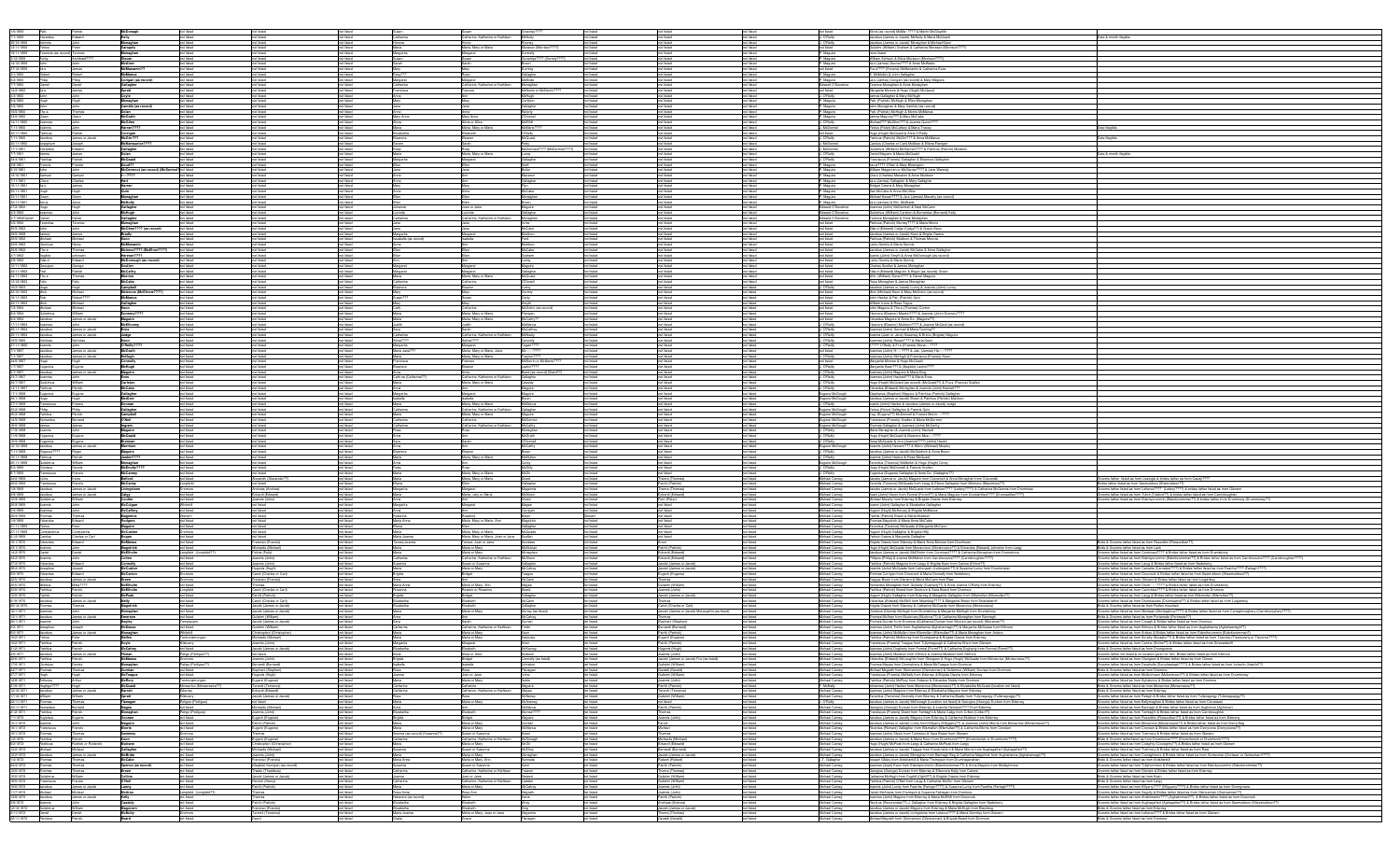| 1/5/1859<br>/?/1859<br>25/10/1859                      | Edvardus                               |                                      | <b>McDonagh</b><br>Kelly<br><u>Aonaghan</u>         | not listed<br>not listed<br>not listed              | not listed<br>not listed<br>not listed                                   | not listed<br>not listed<br>not listed | Catharina                                   | atherine, Katherine or Kathleen                                                                                                                                                                                                                                                                                                                                                                                                                                                                                                                                                                                                                    | dreenlys????<br>McNulty                                            | าot listed<br>าot listed<br><sup>ot listec</sup> | ot listed<br>ot listed<br>t listed                               | not listed<br>hetzil tor                | not listed<br>. O'Reillv<br>. O'Reilly                            | Moris (as record) McMa--???? & Martin McGloghlir<br>Jacobus (James or Jacob) McNulty & Maria McQuaid<br>Jacobus (James or Jacob) Monaghan & Michael Keor                                                                                                                          | Date & month illegible                                                                                                                                                                                                                                                                        |
|--------------------------------------------------------|----------------------------------------|--------------------------------------|-----------------------------------------------------|-----------------------------------------------------|--------------------------------------------------------------------------|----------------------------------------|---------------------------------------------|----------------------------------------------------------------------------------------------------------------------------------------------------------------------------------------------------------------------------------------------------------------------------------------------------------------------------------------------------------------------------------------------------------------------------------------------------------------------------------------------------------------------------------------------------------------------------------------------------------------------------------------------------|--------------------------------------------------------------------|--------------------------------------------------|------------------------------------------------------------------|-----------------------------------------|-------------------------------------------------------------------|-----------------------------------------------------------------------------------------------------------------------------------------------------------------------------------------------------------------------------------------------------------------------------------|-----------------------------------------------------------------------------------------------------------------------------------------------------------------------------------------------------------------------------------------------------------------------------------------------|
| 12/11/1859<br>19/11/1859<br>3/12/1859                  | Petrus<br>Terencia (as record) Terence | irchibald???                         | <u>alogely</u><br>Monaghan                          | not listed<br>not listed<br>not listed              | not listed<br>not listed<br>not listed                                   | not listed<br>not listed<br>not listed | Margarita<br>Susan                          | iaria, Mary or Marie<br>largare                                                                                                                                                                                                                                                                                                                                                                                                                                                                                                                                                                                                                    | Aorason (Morrison????)<br>onnellv<br>mlys???? (Gormly????          | ot listed<br>ot listed<br>ot listed              | ot listed<br>ot listed<br>ot listed                              | not listed<br>not listed<br>not listed  | not listed<br>. Maguire                                           | Gulielmi (William) Graham & Catharina Morason (Morrison????)<br>none listed<br>William Achison & Alicia Morason (Morrison????)                                                                                                                                                    |                                                                                                                                                                                                                                                                                               |
| 14/12/1859<br>7/12/1859                                |                                        |                                      | <b>AcAleer</b><br>AcManamin??                       | <u>not listed</u><br>not listed                     | ot listed<br>not listed                                                  | ot listed<br>not listed                |                                             |                                                                                                                                                                                                                                                                                                                                                                                                                                                                                                                                                                                                                                                    |                                                                    | ot listed                                        | it listed<br>ot listed                                           | not listed                              | . Maguire<br><b>Maguire</b><br>not listed                         | a.s (James) Devine???? & Anne McWade<br>Fra.s???? (Francis) McMenamin & Catharina Eves                                                                                                                                                                                            |                                                                                                                                                                                                                                                                                               |
| $\frac{1}{1/1860}$<br>5/2/1860<br>/?/1860              |                                        |                                      | lcManus<br>Corigan (as record)<br><u>allagher</u>   | not listed<br>not listed<br>not listed              | าot listed<br>ot listed<br>าot listed                                    | not listed<br>ot listed<br>not listed  | Catharina                                   | atherine, Katherine or Kathleen                                                                                                                                                                                                                                                                                                                                                                                                                                                                                                                                                                                                                    | <u>allagher</u><br>onaghan                                         | ot listed<br><sup>ot listec</sup><br>ot listed   | t listed<br>t listed<br>t listed                                 |                                         | Maguire<br><u>Maguire</u><br>dward O'Donahoe                      | :. McMulkin & John Gallagher<br>Ja.s (James) Corigan (as record) & Mary Maguire<br>Terence Monaghan & Anna Monaghan                                                                                                                                                               |                                                                                                                                                                                                                                                                                               |
| 14/2/1860<br>4/3/1860                                  |                                        |                                      |                                                     | not listed<br>not listed                            | not listed<br>hot listed                                                 | not listed<br>not listed               | Francisca                                   |                                                                                                                                                                                                                                                                                                                                                                                                                                                                                                                                                                                                                                                    | 'cNenis or McNerrin????                                            | ot listed<br>ot listed                           | ot listed<br>ot listed                                           | not listed<br>not listed                | not listed<br>O'Reilly                                            | Margarita Morrow & Hugo (Hugh) McQauid<br>ames Gallagher & Mary McHugh                                                                                                                                                                                                            |                                                                                                                                                                                                                                                                                               |
| 9/4/1860<br>3/5/1860<br>16/5/1860                      |                                        |                                      | <b>Aonaghan</b><br>Camble (as record)               | not listed<br>not listed<br>not listed              | not listed<br>not listed<br>not listed                                   | not listed<br>not listed<br>not listed | l. lane<br>Anne                             | Anne                                                                                                                                                                                                                                                                                                                                                                                                                                                                                                                                                                                                                                               | arleton:<br>àallagher<br>Raferty                                   | not listed<br>าot listed<br>าot listed           | ot listed<br>not listed<br>ot listed                             | not listed<br>not listed<br>not listed  | . Maguire<br>. Maguire<br><sup>2</sup> . Maguire                  | Patt. (Patrick) McHugh & Ellen Monaghan<br>John Monaghan & Mary Camble (as record)<br>Patt. (Patrick) McHugh & Morris McManus                                                                                                                                                     |                                                                                                                                                                                                                                                                                               |
| 23/6/1860<br>14/11/1860                                | Ower<br>Joannes                        |                                      | McGrath<br><i><b>AcGlinn</b></i><br>Harren????      | not listed<br>not listed                            | not listed<br>าot listed                                                 | not listed<br>not listed               | Mary Anne                                   | Mary Anne<br>licia or Alice                                                                                                                                                                                                                                                                                                                                                                                                                                                                                                                                                                                                                        | Donnel <sup>'</sup><br>⁄lcElhill                                   | not listed<br>ot listed                          | ot listed<br>ot listed                                           | not listed<br>hot listed                | . Maguire                                                         | James Magrory??? & Mary McCabe<br>/lichael??? McGlinn??? & Joanna Quinn???                                                                                                                                                                                                        |                                                                                                                                                                                                                                                                                               |
| /11/1860<br>30/11/1860<br>?/11/1860                    | Joannis<br>Jacobus                     | ames or Jacoł                        | <u>orrigan</u><br>cGirr222                          | not listed<br>not listed<br>not listed              | not listed<br><u>not listed</u><br>ot listed                             | not listed<br>not listed<br>ot listed  | Elizabetha                                  | laria, Mary or Marie<br>izabetl                                                                                                                                                                                                                                                                                                                                                                                                                                                                                                                                                                                                                    | /lcMaris????<br>'Reilly<br>:Ouaid                                  | าot listed<br>ot listed<br>nt listed             | not listed<br>t listed<br>t listed                               | not listed                              | J. McDonnel<br>าot listed                                         | Petrus (Peter) McCaffery & Maria Tracey<br>Hugo (Hugh) McQuaid & Anna O'Reilly<br>Patricus (Patrick) McGirr??? & Anna McManus                                                                                                                                                     | Date illegible.<br>ate illegible.                                                                                                                                                                                                                                                             |
| 30/11/1860<br><u>17/1/1861</u>                         | Edvardus                               | dward:                               | lcNamaurice??<br>allagher                           | not listed<br>not listed<br>not listed              | not listed<br>not listed<br>ot listed                                    | not listed<br>not listed<br>not listed |                                             | tria, Mary or Marie                                                                                                                                                                                                                                                                                                                                                                                                                                                                                                                                                                                                                                | cDermad???? (McDermott????)                                        | ot listed<br>าot listed<br>ıt lister             | ot listed<br>ot listed<br>ot listed                              | not listed<br>hetzil tor                | McDonnel<br>McDonnel<br>O'Reilly                                  | Carolus (Charles or Carl) McAleer & Ellena Flanigan<br>Gulielmus (William) McGariren???? & Patricus (Patrick) Muldoon<br>Daniel Maguire & Maria McQuaid                                                                                                                           |                                                                                                                                                                                                                                                                                               |
| ?/?/1861<br>24/4/1861<br>3/8/1861                      | Francis                                | rancis                               | <b>AcQuaid</b>                                      | not listed<br>not listed                            | ot listed<br>ot listed                                                   | not listed<br>not listed               | <u> Aargarita</u>                           | <u>largaret</u>                                                                                                                                                                                                                                                                                                                                                                                                                                                                                                                                                                                                                                    |                                                                    | ot listed<br>ot listed                           | ot listed<br>ot listed                                           | hetail ton<br>not listed                | O'Reilly<br>Maguire                                               | Franciscus (Francis) Gallagher & Eleanora Gallagher<br>Jerus???? O'Neil & Mary Blesington                                                                                                                                                                                         | Date & month illegible                                                                                                                                                                                                                                                                        |
| 5/10/1861<br>2/10/1861<br>/11/1861                     | Cha s                                  | harles:                              | McDermoot (as record) (McDermot?not listed<br>…???? | าot listed<br>not listed                            | not listed<br>not listed<br>not listed                                   | not listed<br>not listed<br>not listed |                                             |                                                                                                                                                                                                                                                                                                                                                                                                                                                                                                                                                                                                                                                    | Aacaron<br>àallagher                                               | าot listed<br>ot listed<br>ot listed             | ot listed<br>ot listed<br>ot listed                              | not listed<br>hetzil tor<br>not listed  | . Maguire<br>. Maguire<br>. Maguire                               | William Magavran or McGarran???? & Jane Wamsly<br>Cha.s (Charles) Macaron & Anne Muldoor<br>Ja.s (James) Gallagher & Mary Gallagher                                                                                                                                               |                                                                                                                                                                                                                                                                                               |
| 16/11/1861<br>30/11/1861                               |                                        | James                                | Harren                                              | not listed<br>not listed                            | not listed<br>not listed                                                 | not listed<br>not listed               | Anne                                        |                                                                                                                                                                                                                                                                                                                                                                                                                                                                                                                                                                                                                                                    | <i><b>IcCabe</b></i>                                               | not listed<br>ot listed                          | not listed<br>ot listed                                          | not listed<br>not listed                | <sup>2</sup> . Maguire<br>. Maguire                               | Bridget Owens & Mary Monaghan<br>Dan McCabe & Anne McCAbe                                                                                                                                                                                                                         |                                                                                                                                                                                                                                                                                               |
| 30/11/1861<br>30/11/1861<br>27/2/1862                  |                                        |                                      | <u> Aonaghar</u><br>McNulty<br><u>allagher</u>      | hot listed<br>not listed<br>not listed              | ot listed<br>not listed<br>าot listed                                    | ot listed<br>not listed<br>not listed  |                                             | an or Jane                                                                                                                                                                                                                                                                                                                                                                                                                                                                                                                                                                                                                                         | <u>onaghan</u>                                                     | ot listed<br>ot listed                           | t listed<br>ot listed<br>t listed                                | not listed                              | Maguire<br>. Maguire<br>dward O'Donahoe                           | /lichael Keoan???? & Ja.s (James) Macafry (as record)<br>a.s (James) & Eliz. McWade<br>Joannes (John) McDermott & Neal McCann                                                                                                                                                     |                                                                                                                                                                                                                                                                                               |
| 4/3/1862<br>3/?/1862Daniel                             |                                        |                                      | <b>Ilagher</b>                                      | not listed<br>not listed<br>not listed              | ot listed<br>ot listed<br>not listed                                     | not listed<br>not listed<br>not listed | Catharina                                   | atherine, Katherine or Kathleen                                                                                                                                                                                                                                                                                                                                                                                                                                                                                                                                                                                                                    | onaghan                                                            | <sup>ot listec</sup><br>ot listed<br>not listed  | t listed<br>t listed<br>ot listed                                | not listed                              | ward O'Donahoe<br>dward O'Donahoe                                 | Gulielmus (William) Carleton & Bernardus (Bernard) Kelly<br>Terence Monaghan & Anna Monaghan                                                                                                                                                                                      |                                                                                                                                                                                                                                                                                               |
| 5/5/1862<br>25/5/1862<br>29/5/1868                     | Terentius                              |                                      | McOhee???? (as record)                              | not listed<br>not listed                            | ot listed<br>not listed                                                  | not listed<br>not listed               | argarita                                    | <u>largaret</u>                                                                                                                                                                                                                                                                                                                                                                                                                                                                                                                                                                                                                                    | noobluM                                                            | าot listed<br>not listed                         | ot listed<br>ot listed                                           | not listed<br>not listed                | not listed<br>not listed<br>not listed                            | Patricus (Patrick) Morney???? & Maria Morris<br>Edw.d (Edward) Calge (Calgy??) & Susan Keon<br>Jacobus (James or Jacob) Keon & Brigita Owens                                                                                                                                      |                                                                                                                                                                                                                                                                                               |
| 29/5/1862<br>22/6/1862<br>26/6/1862                    | Michael<br>Henricus<br>Tho s           | Michael<br>nomas                     | McMenamin<br>//deroe???? (McElroe????)              | not listed<br>not listed<br>not listed              | not listed<br>not listed<br>not listed                                   | not listed<br>not listed<br>not listed | ssabella (as record)                        |                                                                                                                                                                                                                                                                                                                                                                                                                                                                                                                                                                                                                                                    | Auldoon.<br>McCabe                                                 | ot listed<br>าot listed<br>not listed            | ot listed<br>ot listed<br>not listed                             | not listed<br>not listed<br>not listed  | not listed<br>not listed<br>not listed                            | Patricus (Patrick) Muldoon & Thomas Morrow<br>Lanty Gormly & Maria Gormly<br>Jacobus (James or Jacob) McCabe & Anna Gallagher                                                                                                                                                     |                                                                                                                                                                                                                                                                                               |
| 2/7/1862<br>2/8/1862                                   | illegible<br>Edw.d                     | nknown<br>dward                      | reran????<br><i><b>I</b></i> IcDonough (as record)  | ot listed<br>not listed                             | าot listed<br>not listed                                                 | not listed<br>not listed               |                                             |                                                                                                                                                                                                                                                                                                                                                                                                                                                                                                                                                                                                                                                    | àraham<br>unnv                                                     | <sup>ot listed</sup><br>าot listed               | t listed<br>not listed                                           | ot listed.<br>not listed                | าot listed<br>not listed                                          | Joanis (John) Smyth & Anna McDonough (as record)<br>Lanty Gormly & Maria Gormly                                                                                                                                                                                                   |                                                                                                                                                                                                                                                                                               |
| 10/11/1862<br>22/11/1862<br>24/11/1862                 | Georgius                               | George                               | <b>Scollen</b><br>McCaffry                          | not listed<br>not listed                            | ot listed<br>ot listed                                                   | not listed<br>ot listed<br>not listed  |                                             | Maria, Mary or Marie                                                                                                                                                                                                                                                                                                                                                                                                                                                                                                                                                                                                                               | aguire<br><u>AcQuaid</u>                                           | ot listed<br>ot listed<br>าot listed             | it listed<br>ot listed                                           |                                         | not listed<br>not listed                                          | Charles Scollen & James Monaghan<br>Edw.d (Edward) Maguire & Briget (as record) Green<br>Wm. (William) Doran???? & Daniel Maguire                                                                                                                                                 |                                                                                                                                                                                                                                                                                               |
| 13/12/1862<br>16/2/1863                                |                                        |                                      | <b>AcCabe</b>                                       | not listed<br>not listed                            | not listed<br>ot listed                                                  | not listed<br>not listed               | Catherine                                   | atherine                                                                                                                                                                                                                                                                                                                                                                                                                                                                                                                                                                                                                                           | 'Donell                                                            | ot listed<br>ot listed                           | ot listed<br>ot listed                                           | not listed<br>hetail ton                | not listed                                                        | Rose Monaghan & James Monaghan<br>Jacobus (James or Jacob) Lunny & Joannis (John) Lunny                                                                                                                                                                                           |                                                                                                                                                                                                                                                                                               |
| 2/10/1863<br>19/11/1863<br>22/11/1863                  |                                        |                                      | Aclerone (McElrone????)<br>lcManus<br>allagher      | not listed<br>not listed<br>not listed              | ot listed<br>ot listed<br>not listed                                     | not listed<br>not listed<br>not listed | Susan???                                    |                                                                                                                                                                                                                                                                                                                                                                                                                                                                                                                                                                                                                                                    |                                                                    | ot listed<br>ot listed<br>ot listed              | ot listed<br>ot listed<br>ot listed                              | not listed<br>not listed<br>not listed  | าot listed<br>not listed<br>not listed                            | Mick (Michael) Keon & Mary McGolric (as record)<br>John Hacket & Pat. (Patrick) Qui<br>William Irvine & Rose Tague                                                                                                                                                                |                                                                                                                                                                                                                                                                                               |
| 2/1864<br>3/2/1864<br>/2/1864                          | 3ulielmus<br>Jacobus                   | James or Jacob                       | nnerv????<br>Aaquire                                | not listed<br>not listed<br>not listed              | not listed<br>not listed<br>not listed                                   | not listed<br>not listed<br>not listed | Maria                                       | atherine<br>iaria, Mary or Marie<br>laria, Mary or Marie                                                                                                                                                                                                                                                                                                                                                                                                                                                                                                                                                                                           | cGolric (as record)<br>anigar<br>McCaffry??                        | t listed<br>nt listed<br>not listed              | t listed<br>ot listed<br>ot listed                               | not listed<br>not listed<br>not listed  | not listed<br>not listed<br>not listed                            | ohn Maguire & Tho.s (Thomas) Connor<br>Eleonora (Eleanor) Meekin???? & Joannis (John) Dunnery????<br>Edvardus Maguire & Anna Do. (Maguire??)                                                                                                                                      |                                                                                                                                                                                                                                                                                               |
| 7/11/1864<br>25/11/1864                                |                                        | เmes or Jacol                        | <b>AcElhoney</b>                                    | not listed<br><u>not listed</u>                     | not listed<br>pt listed                                                  | not listed<br>ot listed                |                                             |                                                                                                                                                                                                                                                                                                                                                                                                                                                                                                                                                                                                                                                    | <i><b>IcManus</b></i><br><u>cCaffrey</u>                           | ot listed                                        | ot listed<br>: listed                                            | not listed                              | . O'Reilly                                                        | Eleanora (Eleanor) Muldoon???? & Joanna McQaid (as record)<br>oannes (John) Gorman & Maria Durning?                                                                                                                                                                               |                                                                                                                                                                                                                                                                                               |
| 25/11/1864<br>16/5/1866<br>27/11/1866                  |                                        | ames or Jacob<br>icholas             |                                                     | not listed<br>not listed<br>not listed              | not listed<br>ot listed<br>ot listed                                     | not listed<br>not listed<br>ot listed  | Catharina<br>Silina????<br><u>Aargarita</u> | atherine, Katherine or Kathleen'                                                                                                                                                                                                                                                                                                                                                                                                                                                                                                                                                                                                                   | VicNeely                                                           | ot listed<br>ot listed<br><sup>t listec</sup>    | ot listed<br>t listed<br>t listed                                | not listed                              | O'Reilly<br>O'Reill <sup>,</sup>                                  | Joanna (Joan or Jane) Sweeney & Brid.a (Brigida) Maguire<br>oannes (John) Rosan???? & Maria Keon<br>??? O'Reilly & Fr.s (Francis) Mona----????                                                                                                                                    |                                                                                                                                                                                                                                                                                               |
| 1/1867<br>1/1867                                       | Jacobus                                | เmes or Jacol<br>ames or Jacob       |                                                     | not listed<br>not listed<br>not listed              | ot listed<br>not listed<br>not listed                                    | not listed<br>not listed<br>not listed | Maria Jana???                               | laria, Mary or Marie, Jane<br>ıria, Mary or Marie                                                                                                                                                                                                                                                                                                                                                                                                                                                                                                                                                                                                  | ------7777<br>Traynor????                                          | ot listed<br>ot listed                           | t listed<br>ot listed                                            | not listed                              | าot listed<br>O'Reilly                                            | oannes (John) H-----???? & Jas. (James) Ha-----????<br>oannes (John) McHugh & Franciscus (Francis) Keon                                                                                                                                                                           |                                                                                                                                                                                                                                                                                               |
| 24/6/1867<br>1/7/1867<br>5/7/1867                      | Jacobus                                | ames or Jacob                        |                                                     | not listed<br>not listed                            | not listed<br>not listed                                                 | not listed<br>not listed               | rancisca<br>Eleanora                        | leanor                                                                                                                                                                                                                                                                                                                                                                                                                                                                                                                                                                                                                                             | cNerrin or McNenis????<br>ackin????<br>liard (as record) (Baird??) | ot listed<br>t listed<br>ot listed               | ot listed<br>ot listed<br>ot listed                              | not listed<br>not listed<br>not listed  | not listed<br>. O'Reilly<br>O'Reilly                              | Margarita Morrow & Hugo McQuaid<br>1] Aargarita Kean??? & (illegible) Lackin???<br>oannes (John) Maguire & Maria King                                                                                                                                                             |                                                                                                                                                                                                                                                                                               |
| 23/7/1867<br>26/7/1867                                 | Gulielmus<br>Patricus                  |                                      | Carleton                                            | not listed<br>not listed<br>not listed              | not listed<br>not listed<br>ot listed                                    | not listed<br>not listed<br>not listed | Cath.na (Catharina??)                       | atherine, Katherine or Kathleen<br>Maria, Mary or Marie                                                                                                                                                                                                                                                                                                                                                                                                                                                                                                                                                                                            | assidy                                                             | ot listed<br>ot listed<br><sup>ot listec</sup>   | ot listed<br>ot listed<br>t listed                               | not listed<br>not listed                | . O'Reilly<br>. O'Reilly<br>O'Reilly                              | oannes (John) Hackett??? & Maria Eves<br>Hugo (Hugh) McQuiad (as record) (McQuaid??) & Fra.s (Francis) Scallen<br>:dvardus (Edward) Monaghan & Joannis (John) Hackett??'                                                                                                          |                                                                                                                                                                                                                                                                                               |
| 14/11/1867<br>7/1/1868<br>26/1/1868                    | =ugenius                               | uqene                                | <u>allagher</u><br><b>AcAleer</b>                   | not listed<br>not listed                            | not listed<br>not listed                                                 | not listed<br>not listed               | <u>Margarita</u><br>sabella                 |                                                                                                                                                                                                                                                                                                                                                                                                                                                                                                                                                                                                                                                    | <u>Aaguire</u>                                                     | ot listed<br>ot listed                           | ot listed<br>t listed                                            | not listed                              | Eugene McGough<br>Eugene McGough                                  | Stephanus (Stephen) Maguire & Patritius (Patrick) Gallagher<br>acobus (James or Jacob) Breen & Patritius (Patrick) Muldoor                                                                                                                                                        |                                                                                                                                                                                                                                                                                               |
| 7/1/1868<br>23/2/1868<br>25/2/1868                     | Patritius                              |                                      |                                                     | not listed<br>not listed<br>not listed              | ot listed<br>not listed<br>not listed                                    | ot listed<br>not listed<br>not listed  | Catharina                                   | ıria, Mary or Marie<br>atherine, Katherine or Kathleen<br>ıria, Mary or Marie                                                                                                                                                                                                                                                                                                                                                                                                                                                                                                                                                                      | <u>àallagher</u>                                                   | ot listed<br>ot listed                           | t listed<br>ot listed<br>ot listed                               | not listed<br>not listed                | Eugene McGough<br>Eugene McGough                                  | oanis (John) Hacket & Jacobus (James or Jacob) Judge<br>Petrus (Peter) Gallagher & Francis Quin<br>Eug. (Eugene??) McDonnell & Francis McLin----????                                                                                                                              |                                                                                                                                                                                                                                                                                               |
| 14/5/1868<br>18/6/1868                                 | Bernardus                              |                                      |                                                     | not listed<br>not listed                            | ot listed<br>ot listed                                                   | not listed<br>not listed               | Catherine<br>Catharina                      | atherine, Katherine or Kathleen                                                                                                                                                                                                                                                                                                                                                                                                                                                                                                                                                                                                                    | cDermot<br><b>McCaffry</b>                                         | ot listed<br>ot listed                           | t listed<br>ot listed                                            | not listed<br>not listed                | ugene McGough<br>ugene McGough                                    | Franciscus (Francis) Scallen & Maria McDermot<br>Thomas Gallagher & Joannes (John) McCaffry                                                                                                                                                                                       |                                                                                                                                                                                                                                                                                               |
| 7/8/1868<br>1/9/1868<br>19/9/1868                      | Joannis<br>Eugenius                    |                                      | <b><i>I</i>cQuaid</b><br>rennan                     | not listed<br>not listed<br>not listed              | not listed<br>not listed<br>not listed                                   | not listed<br>not listed<br>not listed |                                             |                                                                                                                                                                                                                                                                                                                                                                                                                                                                                                                                                                                                                                                    | <u>onaghan</u><br><b>IcGrath</b><br>'Donnell                       | ot listed<br>ot listed<br>ot listed              | t listed<br>ot listed<br>t listed                                | not listed<br>not listed<br>hot listed. | O'Reilly<br>. O'Reilly<br>O'Reilly                                | Maria Monaghan & Joannis (John) Hackett<br>Hugo (Hugh) McQuaid & Eleanora Mee----????<br>Rosa McQuade & Jn.s (Joannis????) (John) Hackit                                                                                                                                          |                                                                                                                                                                                                                                                                                               |
| 2/10/1868<br>/11/1868                                  | Jacobus<br>Roaerus???′                 | James or Jacob                       | <b>Aorrison</b><br>Maguire                          | not listed<br>not listed                            | not listed<br>not listed                                                 | not listed<br>not listed               | Anna<br>Eleanora                            | leanor                                                                                                                                                                                                                                                                                                                                                                                                                                                                                                                                                                                                                                             | <b><i><u>AcCaffry</u></i></b><br>Breen                             | ot listed<br>not listed                          | ot listed<br>ot listed                                           | not listed<br>not listed                | ugene McGough<br>. O'Reilly                                       | Joannis (John) Herrerin??? & Mich.I (Michael) Murphy<br>Jacobus (James or Jacob) McGoldrick & Anna Breen                                                                                                                                                                          |                                                                                                                                                                                                                                                                                               |
| 15/11/1868<br>26/11/1868<br>3/2/1869                   | Patricus                               |                                      | lunkin????<br><u>lonaghan</u><br>McEnulty????       | not listed<br><u>not listed</u><br>not listed       | not listed<br>ot listed<br>ot listed                                     | not listed<br>ot listed<br>not listed  |                                             | laria, Mary or Marie                                                                                                                                                                                                                                                                                                                                                                                                                                                                                                                                                                                                                               | McMullen                                                           | ot listed<br>ot listed                           | ot listed<br>: listed<br>ot listed                               | not listed<br>not listed                | . O'Reilly<br>Eugene McGougl<br>O'Reilly                          | oannis (John) Hacket & Rosa McQuaid<br>Terentius (Terence) McMulkin & Hugo (Hugh) Corey<br>Hugo (Hugh) McDonnell & Francis Scollen                                                                                                                                                |                                                                                                                                                                                                                                                                                               |
| 3/?/1869<br>24/6/1869<br>29/6/1869                     | ranciscus                              | ancis                                | <b>AcCarney</b><br>cCanny                           | not listed<br>not listed<br>Longfield               | pt listed<br>lexandri (Alexander??<br>t listed                           | not listed<br>not listed<br>not listed |                                             | laria, Mary or Mari <mark>e</mark><br>ıria, Mary or Marie                                                                                                                                                                                                                                                                                                                                                                                                                                                                                                                                                                                          | <u>ıllagher</u>                                                    | ot listed<br>ıt listec<br>ot listed              | t listed<br>homa (Thomas)<br>Patritii (Patrick)                  | not listed                              | O'Reilly<br>lichael Carney<br>Michael Carney                      | Eugenius (Eugene) Gallagher & Anna Do. (Gallagher??)<br>Jacobo (James or Jacob) Maguire from Crevenish & Anna Monaghan from Crevenish<br>Terentis (Terence) McQuade from Largy & Ellena Gallagher from Minmore (Meenmore??)                                                       | rooms father listed as from Lissingle & brides father as from Caudy????<br>des father listed as from Seemuldoon (Shemuldoon??)                                                                                                                                                                |
| 8/1869<br>4/8/1869                                     | Jacobus                                | เmes or Jacob<br>ames or Jacob       | <u>vingstone</u>                                    | Dromore<br>not listed                               | Andreas (Andrew)<br>dvardi (Edward)                                      | not listed<br>not listed               |                                             | aria, <ary marie<="" or="" td=""><td>cAloor</td><td>ot listed<br/>ot listed</td><td>homa (Thomas)<br/>Edvardi (Edward)</td><td>not listed<br/>not listed</td><td>Michael Carney<br/>Michael Carney</td><td>acobo (James or Jacob) McQuade from Letteree???? (Lettery????) &amp; Catharina McGennis from Drumhose<br/>oani (John) Heron from Formal (Formil??) &amp; Maria Maguire from Drumwhillen???? (Drumawillan????)</td><td>ooms father listed as from Letteree???? (Lettery????) &amp; brides father listed as from Glenarn<br/>Grooms father listed as from Tubrit (Tubbrid??) &amp; brides father listed as from Carrickoughter</td></ary> | cAloor                                                             | ot listed<br>ot listed                           | homa (Thomas)<br>Edvardi (Edward)                                | not listed<br>not listed                | Michael Carney<br>Michael Carney                                  | acobo (James or Jacob) McQuade from Letteree???? (Lettery????) & Catharina McGennis from Drumhose<br>oani (John) Heron from Formal (Formil??) & Maria Maguire from Drumwhillen???? (Drumawillan????)                                                                              | ooms father listed as from Letteree???? (Lettery????) & brides father listed as from Glenarn<br>Grooms father listed as from Tubrit (Tubbrid??) & brides father listed as from Carrickoughter                                                                                                 |
| 12/8/1869<br>26/8/1869<br>5/9/1869                     | Gulielmus I<br>Joannis<br>Joannes      |                                      | <b>AcCulgan</b><br><b>McCaffrev</b>                 | not listed<br>Whitehill<br>not listed               | oannis (John)<br>าot listed<br>not listed                                | not listed<br>not listed<br>not listed | Margarita<br>Anna                           |                                                                                                                                                                                                                                                                                                                                                                                                                                                                                                                                                                                                                                                    |                                                                    | ot listed<br>ot listed<br>it listed.             | Petri (Peter)<br>ot listed<br>ıot listed                         | not listed<br>not listed<br>not listed  | Michael Carney<br>Michael Carney<br>Michael Carney                | Michael Murphy from Ederney & Brigida Owens from Ederney<br>Joanni (John) Gallagher & Elizabetha Gallagher<br>Hugoni (Hugh) McKervey & Brigida McManus                                                                                                                            | rooms father listed as from Edentycrummin (Edenticromman??) & brides father from Drummony (Drummoney??)                                                                                                                                                                                       |
| 26/9/1869<br>/9/1869                                   | Edvardus                               |                                      | Aagennis<br><u>Rodgers</u>                          | Glenarn<br>not listed                               | าot listed<br>ot listed                                                  | not listed<br>ot listed                | ⁄laria Anna                                 | ıria, Mary or Marie, Ann                                                                                                                                                                                                                                                                                                                                                                                                                                                                                                                                                                                                                           | agolrick                                                           | t listed                                         | t listed<br>listed:                                              | not listed                              | Michael Carney<br>Michael Carney                                  | Patritis (Patrick) Breen & Maria Muldoor<br>Thomas Magolrick & Maria Anna McCabe                                                                                                                                                                                                  |                                                                                                                                                                                                                                                                                               |
| <u>1/11/1869  </u><br><u>7/11/1869 - </u><br>3/12/1869 |                                        | nstantine<br>harles or Ca            | cCusker                                             | not listed<br><u>Dromore</u><br>าot listed          | not listed<br>ot listed<br>pt listed                                     | not listed<br>not listed<br>ot listed  | aria Joanna                                 | aria, Mary or Marie<br>ria, Mary or Marie, Joan or Jane                                                                                                                                                                                                                                                                                                                                                                                                                                                                                                                                                                                            | ullaghe<br>:Quade                                                  | ot listed<br>t listed                            | ot listed<br>t listed<br>t listed                                |                                         | Michael Carney<br>Michael Carney<br>lichael Carney                | Terentius (Terence) McQuade & Margarita McCann<br>Hugoni (Hugh) Gallagher & Brigida Hill<br>Patrick Owens & Margarita Gallaghe                                                                                                                                                    |                                                                                                                                                                                                                                                                                               |
| 15/1/1870<br>23/1/1870<br>14/2/1870                    | Fdvardus<br>Joannis                    |                                      | cManus<br><b>AcElholm</b>                           | not listed<br>not listed<br>Langfield (Longfield??) | Francisci (Francis)<br>ichaelis (Michael<br>Felicis (Felix)              | not listed<br>not listed<br>not listed | eresa Joanna                                | eresa, Joan or Jane<br><u>iria or Mary</u><br>ria or Mary                                                                                                                                                                                                                                                                                                                                                                                                                                                                                                                                                                                          | <b>1cMulcan</b><br><u>naghan</u>                                   | ot listed<br>ot listed                           | Patritii (Patrick)<br>Edvardi (Edward)                           | hetzil tor                              | Michael Carney<br>Michael Carney<br>Michael Carney                | Brigida Owens from Ederney & Maria Anna Morrow from Drumkeen<br>Hugo (Hugh) McQuade from Monavriece (Monavreece??) & Edvardus (Edward) Johnston from Largy<br>Jacobus (James or Jacob) McElholm from Cormicaul???? & Catharina Monaghan from Drumskinny                           | Bride & Grooms father listed as from Roscolbin (Rossculban??)<br>ride & Grooms father listed as from Lack<br>ooms father listed as from Cormicaul???? & Brides father listed as from Drumskini                                                                                                |
| 24/2/1870<br>7/2/1870                                  | Edvardus                               |                                      | Connollv:                                           | าot listed<br>not listed                            | vannis (John)<br>oannis (John)                                           | hot listed<br>not listed               | ;atharina                                   | atherine ,Katherine or Kathleen'<br>usan or Susanna                                                                                                                                                                                                                                                                                                                                                                                                                                                                                                                                                                                                | <i><b>IcAloon</b></i>                                              | ot listed<br>it listec                           | Edvardi (Edward)<br>acobi (James or Jacob)                       | not listed<br>not listed.               | Michael Carney<br>Michael Carney                                  | Philipus (Philip) & Joanna McMahon from Carrickcoutra???? (Carrickoughter????)<br>Patritius (Patrick) Maguire from Largy & Brigida Keon from Canine (Kinine??]                                                                                                                    | coms father listed as from Edentycrummin (Edenticromman??) & Brides father listed as from Carrickcoutre???? (Carrickoughter????<br>ooms father listed as from Largy & Brides father listed as from Nedsherry                                                                                  |
| 28/2/1870<br>6/5/1870<br>22/5/1870                     | osephus<br>Jacobus                     | ames or Jacob                        | McCusker<br><b>AcCarron</b>                         | not listed<br>romore<br>Dromore                     | lugonis (Hugh)<br>Caroli (Charles or Carl)<br>rancisci (Francis)         | not listed<br>not listed<br>not listed |                                             | laria or Mary                                                                                                                                                                                                                                                                                                                                                                                                                                                                                                                                                                                                                                      | McCafrey<br>⁄lcCann_                                               | ot listed<br>ıt listec                           | acobi (James or Jacob)<br>Eugenii (Eugene)                       | not listed<br>not listed                | Michael Carney<br>Michael Carney<br>Michael Carney                | Joannis (John) McQuade from Lettergesh (Lettergash??) & Susanna Lunny from Drumbristan<br>Thomas Corrigan from Doocrock & Maria Donnelly from Nedsherry<br>Teague Breen from Glenarn & Maria McCann from Raw                                                                      | Grooms father listed as from Carnalia (Carnalea????) & Brides father listed as from Feartha???? (Fartagh????)<br>ooms father listed as from Doocrock & Brides father listed as from Seemuldoon (Sheemuldoon??)<br>ooms father listed as from Glenarn & Brides father listed as from Lurganboy |
| 25/5/1870<br>23/6/1870                                 | Miletius<br>Patritiu                   | Miles????<br>'atrick                 | McElholm<br><b>AcElholm</b>                         | not listed<br>Longfield                             | nomas<br>Caroli (Charles or Carl)                                        | not listed<br>not listed               | Maria Anna<br>Rosanna                       | Maria or Mary, Ann<br>losann or Rosanne                                                                                                                                                                                                                                                                                                                                                                                                                                                                                                                                                                                                            | lanee                                                              | ot listed<br>t listec                            | Gulielmi (William)<br>Ioannis (John)                             | not listed<br>not listed                | Michael Carney<br><b>Michael Carney</b>                           | Bernardus Monaghan from Gussidy (Gushedy??) & Anna Joanna O'Reilly from Ederney<br>Patritius (Patrick) Beard from Dromore & Sara Beard from Dromore                                                                                                                               | rooms father listed as from Drum------???? & Brides father listed as from Drumskinny<br>ooms father listed as from Carricklee???? & Brides father listed as from Dromore                                                                                                                      |
| 0/9/1870<br>9/19/1970<br>26/12/1870                    | acobus                                 | James or Jacoł<br>nomas              | agolrick                                            | ot listed<br>not listed<br>not listed               | 'atritii (Patrick)<br>Caroli (Charles or Carl)<br>acobi (James or Jacob) | not listed<br>าot listed               | ilizabetha:<br>ilizabetha                   | lizabeth<br>izabet                                                                                                                                                                                                                                                                                                                                                                                                                                                                                                                                                                                                                                 | <u>allagher</u><br><b>lcCann</b><br><u>allagher</u>                | ot listed<br>ot listed                           | <u>cobi (James or Jacob)</u><br>Caroli (Charles or Carl)         |                                         | <u> Michael Carney</u><br>Michael Carney<br>Michael Carney        | (Kilsmullan?) Gallagher from Ederney & Margarita Gallagher from Killsmollen (Kilsmullan??)<br>Edvardus (Edwrad) McElkill from Meenbeg???? & Margarita Breen from Stranadarriff<br>Brigida Owens from Ederney & Catharina McQuade from Monavrice (Monavreece)                      | oms tather listed as trom Largy & Brides father listed as fom Killsmollen (Kilsmullan??)<br>rooms father listed as from Drumsaunas (Drumsawna??) & Brides father listed as from Lurganboy<br>ride & Grooms father listed as from Rotten mountair                                              |
| 12/1/1871<br>3/1/1871<br>26/1/1871                     |                                        | เmes or Jacol                        | <u>onaghan</u><br>erson                             | not listed<br>not listed<br><u>Templecarn</u>       | icobi (James or Jacoł<br>llielmi (William)<br>cobi (James or Jacoł       | ot listed<br>hot listed<br>not listed  |                                             | aria or Mary                                                                                                                                                                                                                                                                                                                                                                                                                                                                                                                                                                                                                                       | lurray (as listed)                                                 | it listec<br>ıt listec                           | cobi (James or Jacob) McLaughlin (as listed)<br>tephani (Stephen |                                         | lichael Carney<br>Michael Carney<br>Michael Carney                | Dionisius (Dennis) McHugh from Drumskinny & Margarita McHugh from Drumskinny<br>'homas McAran from Muckross (Muckros??) & Catharina Monaghan from Bannagh<br>homas Durnan from Dromore &Catharina Durnan from Movran (as record) (Movarran??)                                     | rooms father listed as from Montagh (Montiaghroe????) & Brides father listed as from Curraghcroghery (Carrickcroghery???<br>ride & Grooms father listed as from Portanode (Portinode??)<br>rooms father listed as from Croagh & Brides father listed as from Dromore                          |
| 2/2/1871<br>8/2/1871                                   | osephus<br>acobus                      | เmes or Jacob                        | cDease<br><u>onaghan</u>                            | not listed<br>Whitehill                             | lielmi (William)<br>ristopheri (Christophe                               | not listed<br>not listed               | atharina:                                   | atherine ,Katherine or Kathleen<br>laria or Mary                                                                                                                                                                                                                                                                                                                                                                                                                                                                                                                                                                                                   |                                                                    | ot listed<br>ot listed                           | Bernardi (Bernard)<br>Patritii (Patrick)                         | not listed<br>not listed                | Michael Carney<br>Michael Carney                                  | oannes (John) Timlin from Aughahanna (Aghahannagh??) & Margarita McDease from Kilmore<br>oannes (John) McMullen from Kilsmollen (Kilsmullan??) & Maria Monaghan from Ardor                                                                                                        | Grooms father listed as from Kilmore & Brides father listed as from Aughahanna (Aghahannagh??)<br>(Edenticromman?) irror as from Ardore & Brides father listed as from Edenthcrummin (Edenticromman?                                                                                          |
| 15/2/1871<br>16/2/1871<br>21/2/1871                    | Petrus<br>Patritius<br>Patritiu        | Patrick                              | McCafrev                                            | ermonamongan<br>Kilskeery<br>not listed             | lichaelis (Michael)<br>oannis (John)<br>Jacobi (James or Jacob)          | not listed<br>not listed<br>not listed | Margarita<br>Elizabetha                     | Vlaria or Mary<br>largaret<br>Elizabeth                                                                                                                                                                                                                                                                                                                                                                                                                                                                                                                                                                                                            | weeney<br>McKervey                                                 | ot listed<br>ot listed<br>ot listed              | Eugenii (Eugene)<br>Patritii (Patrick)<br>Hugonis (Hugh)         | not listed<br>not listed<br>not listed  | Michael Carney<br>Michael Carney<br><b>Michael Carney</b>         | Patritius (Patrick) McKervey from Drumgowna & Brigida Owens from Ederney<br>Franciscus (Francis) Teague from Tullymagough & Catharina Brien from Glenarn<br>oannes (John) Dogherty from Formal (Formil??) & Catharina Dogherty from Formal (Formil??)                             | irooms father listed as from Scrahy (Scraghy??) & Brides father listed as from Teeveny (Tievaveeny or Tievenny????)<br>rooms father listed as from Canine (Kinine??) & Brides father listed as from Stranadarriff<br>Bride & Grooms father listed as from Drumgowna                           |
| 4/5/1871<br>22/5/1871                                  | acobu                                  | ames or Jacob                        | <b>/cManus</b>                                      | Petigo (Pettigoe??<br>Jromore                       | listed<br>Joannis (John)                                                 | าot listed<br>not listed               | <sup>3</sup> rigida                         | licia or Alice<br><u>Bridget</u>                                                                                                                                                                                                                                                                                                                                                                                                                                                                                                                                                                                                                   | connolly (as listed)                                               | t listed<br>ot listed                            | Ioannis (John)<br>lacobi (James or Jacob) Fox (as listed)        |                                         | <i>A</i> ichael Carney<br>Michael Carney                          | oannes (John) Muldoon from Kilmore & Joanna Muldoon from Kilmore<br>(Monavie (Edward) McLaughlin from Glengeen & Hugo (Hugh) McQuade from Monavrice (Monavreece??)                                                                                                                | rooms father not listed & no location given for him. Brides father listed as from Kilmore<br>rooms father listed as from Glengeen & Brides father listed as from Clonee                                                                                                                       |
| 7/6/1871<br>24/7/1871<br>7/7/1871                      |                                        |                                      | <u>onaghan</u><br><u>Feague</u>                     | Petigo (Pettigoe??<br>ot listec<br>not listed       | Bernardi (Bernard)<br>tephani (Stephen)<br>Hugonis (Hugh)                | not listed<br>ot listed<br>not listed  |                                             | oan or Jane                                                                                                                                                                                                                                                                                                                                                                                                                                                                                                                                                                                                                                        | unaga                                                              | it listec<br>ot listed                           | iulielmi (William)<br>ieraldi (Gerald)<br>Gulielmi (William)     | not listed                              | Michael Carney<br>lichael Carney<br>Michael Carney                | homas Magee from Drumskinny & Maria McTeague from Dromore<br>Michael Magrath from Glenvannon (Glenvannan) & Gulielmus (William) Durnian from Dromore<br>Franciscus (Francis) McNally from Ederney & Brigida Owens from Edreney                                                    | ooms father listed as from Derahulla (Derryhawlagh????) & Brides father listed as from Innisclin (Inisclin??)<br>ride & Grooms father listed as from Dromore<br>3 arooms father listed as from Mullenmeen (Mullanmeen??) & Brides father listed as from Drumhoney                             |
| 12/8/1871<br>21/9/1871<br>2/10/1871                    | Arthuru<br><u>nagngo</u>               | ames or Jacob                        |                                                     | monamongan<br>onavrice (Monavreece??)               | Eugenii (Eugene)<br>Ferentii (Terrence)<br>Edvardi (Edward)              | not listed<br>hot listed<br>not listed | :atherine<br>Catharina                      | laria or Mary<br>atherine ,Katherine or Kathleen                                                                                                                                                                                                                                                                                                                                                                                                                                                                                                                                                                                                   |                                                                    | ot listed<br>ıt lister<br>ot listed              | pannis (John)<br>Patritii (Patrick)<br>Ferentii (Terrence)       | not listed<br>not listed<br>not listed  | Michael Carney<br>. McNally<br>Michael Carney                     | Patritius (Patrick) McRory from Ardaver & Edvardus Noble from Dromore<br>hhannes (John) Hacket from Monavrice (Monavreece??) & Elizabetha McQuaid (location not listed)<br>oannes (John) Maguire from Ederney & Elizabetha Maguire from Ederne                                    | Grooms father listed as from Aghalunny & Brides father listed as from Dromore<br>3ride & Grooms father listed as from Monavrice (Monavreece??<br>Bride & Grooms father listed as from Ederney                                                                                                 |
| 7/10/1871<br>22/11/1871                                | Thoma                                  |                                      | ianagan                                             | Petigoe (Pettigoe)                                  | acobi (James or Jacob<br>t listed                                        | not listed<br>not listed               |                                             | Vlaria or Mary                                                                                                                                                                                                                                                                                                                                                                                                                                                                                                                                                                                                                                     | McAneney                                                           | it listec<br>าot listed                          | Jlielmi (William)<br>t listed                                    | not listed<br>not listed                | Michael Carney<br>O'Reilly                                        | Terentius (Terrence) Donnelly from Ederney & Catharina Beatty from Tullynaguigy (Tullanaguiggy??<br>Jacobus (James or Jacob) McDonagh (Location not listed) & Georgius (George) Dunken from Ederney                                                                               | ? <rooms &="" (tullanaguiggy?<br="" as="" brides="" father="" from="" listed="" relagh="" tullynaguigy="">rooms father listed as from Ballymaghan &amp; Brides father listed as from Clonaweel</rooms>                                                                                        |
| 24/11/1871<br>2/12/1871<br>/1/1872                     | Patritius<br>Eugenius                  | uqene:                               | onaghan<br>Doonan                                   | าot listed<br>Petigo (Pettigoe)<br>not listed       | Michaelis (Michael<br>Joannis (John)<br>Eugenii (Eugene)                 | not listed<br>not listed<br>not listed | :lizabetha<br>Brigida                       | lizabeth<br>Bridaet                                                                                                                                                                                                                                                                                                                                                                                                                                                                                                                                                                                                                                | cManus<br>Morrow????<br>Maguire                                    | it listec<br>ot listed<br>าot listed             | Patritii (Patrick)<br>Ioannis (John)                             | not listed<br>not listed<br>not listed  | Michael Carney<br>Michael Carney<br>Michael Carney                | Georgius (George) Duncan from Ederney & Joannis Herrison???? From Ederney &<br>Franciscus (Francis) Dowd from Tamlaght & Maria Calgy from Crillen (Crillan??)<br>Jacobus (James or Jacob) Maguire from Ederney & Catharina Muldoon from Ederney                                   | ooms father listed as from Bannagh & Brides father listed as from Aughinver (Aghinver<br>rooms father listed as from Tamlaght & Brides father listed as from Carrickoughter<br>rooms father listed as from Roscolbin (Rosscolban??) & Brides father listed as from Ederen                     |
| 10/1/1872<br>16/1/1872                                 |                                        |                                      |                                                     | not listed<br><u>ot listed</u><br>Dromore           | Patritii (Patrick)<br>Eugenii (Eugene)                                   | not listed<br>not listed               |                                             | laria or Mary<br><u>ia or Mary</u><br>usan or Susanna                                                                                                                                                                                                                                                                                                                                                                                                                                                                                                                                                                                              | urnian                                                             | ot listed<br>ot listed                           |                                                                  | not listed                              | Michael Carney<br><u> Michael Carney</u><br>Michael Carney        | Jacobus (James or Jacob) Lunny from Killyarry (Killygarry??) & Joannes (John) Morris from Monavrice (Monavreece?'<br>iicardus (Richard) Gallagher from Kilsmallen (Kilsmullan??) & Catherina Morris from Croneer                                                                  | ooms father listed as from Monavrice (Monavreece??) & Brides father listed as from Derry Be<br>oms father listed as from Croneen & Brides father listed as from Derryvone (Derryveone?"                                                                                                       |
| 16/1/1872<br>2/1872<br>8/2/1872                        | l homas                                | odrick or Roderick                   |                                                     | าot listed<br>าot listed                            | Eugenii (Eugene)<br>hristopheri (Christophe                              | าot listed<br>าot listed               | iusnna (as record) (Susanna??)              | therine ,Katherine or Kathleen<br>a or Mary                                                                                                                                                                                                                                                                                                                                                                                                                                                                                                                                                                                                        |                                                                    | it listec                                        | chaelis (Michael)<br>dvardi (Edward)                             |                                         | Michael Carney<br>lichael Carney                                  | oannes (John) Slevin from Tummery & Sara Breen from Glenarr<br>acobus (James or Jacob) & Maria Keon from Drumhorick???? (Drumchorick or Drumhorrik????)<br>Hugo (Hugh) McPeak from Largy & Catharina McPeak from Larg                                                             | rooms father listed as from Tummery & Brides father listed as from Glenarr<br>ride & Grooms fatherlisted as from Drumhorick???? (Drumchorick or Drumhorrik????<br>rooms father listed as from Colaghty (Coolaghty??) & Brides father listed as from Glenarn                                   |
| 2/2/1872<br><u>12/2/1872 - </u><br>1/4/1872            | Thomas                                 | James or Jacob                       | McCabe                                              | not listed<br>not listed                            | chaelis (Michael)<br>Joannis (John)<br>rancisci (Francis)                | not listed<br>not listed               | Maria Anna                                  | san or Susanna<br>laria or Mary<br>aria or Mary, Ann                                                                                                                                                                                                                                                                                                                                                                                                                                                                                                                                                                                               | <u>i</u> onaghan<br>ırnside                                        | ot listed                                        | ernardi (Bernard<br>lacobi (James or Jacob)<br>Roberti (Robert)  | not listed                              | Michael Carney<br><b>Michael Carney</b><br>. Gallagher            | (Aghagaffert??) Jacob) Teague from Knocknahorn & Maria Morris from Aughagaffart (Aghagaffert??)<br>Jacobus (James or Jacob) Monaghan from Bannagh Beg & Catharina Magolrick from Aughahanna (Aghahannagh??]<br>Joseph Gilday from Ardshankill & Maria Thompson from Drumnagenahan | oms father listed as from Tummery & Brides father listed as from Raw<br>Grooms father listed as from Curraghmore & Brides father listed as from Gorterchar (Gortacar or Gortacharn????<br>Bride & Grooms father listed as from Ardshankill                                                    |
| 24/4/1872<br>12/5/1872                                 | Thomas<br>Thomas                       | homas<br>Thomas                      | Spence (as record)                                  | not listed<br>not listed                            | (illegible) Kerrigan (as record)<br>Fhadei (Thaddeus)                    | not listed<br>not listed               | Catharina                                   | usan or Susanna<br>atherine ,Katherine or Kathleen                                                                                                                                                                                                                                                                                                                                                                                                                                                                                                                                                                                                 | Treanor                                                            | ot listed<br>ot listed                           | Patritii (Patrick)<br>Thoma (Thomas)                             | not listed<br>not listed                | <b>Michael Carney</b><br>Michael Carney                           | Joannes (Joan) Keon from Edentycrummin (Edenticormman??) & Anna Maguire from Mullaghmore<br>Georgius (George) Duncan from Ederney & Elleonora Kelly from Cahore                                                                                                                   | Grooms father listed as from Tullyhommon & Brides father listed as from Edentycrummin (Edenticromman??)<br>Grooms father listed as from Glenarn & Brides father listed as from Ederney                                                                                                        |
| 15/5/1872<br>18/5/1872<br>19/5/1872                    | Gulielmus<br>Franciscus<br>Jacobus     | William<br>Francis<br>James or Jacob | <b>Collins</b>                                      | not listed<br>not listed<br>าot listed              | Jacobi (James or Jacob)<br>Henricii (Henry)<br>Patritii (Patrick)        | not listed<br>not listed<br>not listed | Joanna<br>Catharina                         | oan or Jane<br>atherine , Katherine or Kathleen<br>laria or Mary                                                                                                                                                                                                                                                                                                                                                                                                                                                                                                                                                                                   | Cadden<br>cCafrev                                                  | าot listed<br>ot listed<br>t listed              | Gulielmi (William)<br>Gulielmi (William)<br>Joannis (John)       | not listed<br>not listed<br>not listed  | Michael Carney<br><b>Michael Carney</b><br><i>A</i> ichael Carney | Catharina McHugh from Oughill (Oghill??) & Brigida Owens from Ederney<br>Patritius (Patrick) O'Neil from Largy & Catharina McGirr from Glenarn<br>Joannis (John) Lunny from Feartha (Fartagh????) & Susanna Lunny from Feartha (Fartagh????)                                      | Bride & Grooms father listed as from Kesh<br>Bride & Grooms father listed as from Largy<br>3rooms father listed as from Killyarry???? (Killygarry????) & Brides father listed as from Drumgowna                                                                                               |
| 11/7/1872<br>12/8/1872                                 | Michael<br>Jacobus                     | lichael<br>James or Jacob            | McAroe                                              | Langfield (Longfield??)<br>not listed               | Thomas<br><u>homas</u>                                                   | not listed<br>not listed               | Rosa Anna<br>Helenora (as record)           | Rose Ann                                                                                                                                                                                                                                                                                                                                                                                                                                                                                                                                                                                                                                           | 1agrath                                                            | ot listed<br>ot listed                           | Joannis (John)<br>Patritii (Patrick)                             | not listed<br>not listed                | Michael Carney<br>Michael Carney                                  | Daniel McAnena from Drumquin & Susanna Falnagan from Dromore<br>Joannes (John) Maguire from Ederney & Maria McElhill from Doocrock                                                                                                                                                | Grooms father listed as from Segully & Brides father listed as from Glenvannon (Glenvannan??)<br>Grooms father listed as from Ahakilmartin???? (Aghakinmart??) & Brides father listed as from Doocrock                                                                                        |
| 3/9/1872<br>12/10/1872<br>2/11/1872                    | Joannis<br>Gulielmus                   |                                      | Cassidv<br><u>Aagovern</u><br><u>McNulty</u>        | not listed<br>not listed<br>Dromore                 | Patritii (Patrick)<br>Francisci (Francis)<br>Terentii (Terrence)         | ot listed<br>not listed<br>not listed  | izabetha<br>iizabetha:<br>⁄laria Joanna     | izaheth<br>izabeth<br>Maria or Mary, Joan or Jane                                                                                                                                                                                                                                                                                                                                                                                                                                                                                                                                                                                                  | 1agennis                                                           | าot listed<br>not listed                         | Andreas (Andrew)<br>lacobi (James or Jacob)<br>Thoma (Thomas)    | not listed<br>not listed                | <i>A</i> ichael Carney<br>Michael Carney<br>Michael Carney        | Revd.us (Reverendus??) J. Gallagher from Ederney & Brigida Gallagher from Nedsherry<br>Jacobus (James or Jacob) Maguire from Ederney & Maria McHugh from Blackbog<br>Jacobus (James or Jacob) Livingstone from Leteree???? & Maria Gormley from Glenarn                           | 3rooms father listed as from Aughagaffert (Aghagaffert??) & Brides father listed as from Seemuldoon (Sheemuldoon??)<br>Iride & Grooms father listed as from Ederney<br>Grooms father listed as from Letteree???? & Brides father listed as from Glenarn                                       |
| 22/11/1872                                             |                                        |                                      |                                                     | not listed                                          | David                                                                    | not listed                             |                                             |                                                                                                                                                                                                                                                                                                                                                                                                                                                                                                                                                                                                                                                    |                                                                    | ot listed                                        | Geraldi (Gerald)                                                 | not listed                              | Michael Carney                                                    | Michael Magrath from Glenvannon (Glenvannan) & Brigida Beard from Dromore                                                                                                                                                                                                         | Bride & Grooms father listed as from Dromore                                                                                                                                                                                                                                                  |

|                                                                                                                                                                  | Date & month illegible                                                                                                                                                                                                                                                                                                                                                                                                                                                                                                                                                                                                                                   |
|------------------------------------------------------------------------------------------------------------------------------------------------------------------|----------------------------------------------------------------------------------------------------------------------------------------------------------------------------------------------------------------------------------------------------------------------------------------------------------------------------------------------------------------------------------------------------------------------------------------------------------------------------------------------------------------------------------------------------------------------------------------------------------------------------------------------------------|
|                                                                                                                                                                  |                                                                                                                                                                                                                                                                                                                                                                                                                                                                                                                                                                                                                                                          |
|                                                                                                                                                                  |                                                                                                                                                                                                                                                                                                                                                                                                                                                                                                                                                                                                                                                          |
|                                                                                                                                                                  |                                                                                                                                                                                                                                                                                                                                                                                                                                                                                                                                                                                                                                                          |
|                                                                                                                                                                  | Date illegible.<br>Date illegible.<br>Date & month illegible                                                                                                                                                                                                                                                                                                                                                                                                                                                                                                                                                                                             |
|                                                                                                                                                                  |                                                                                                                                                                                                                                                                                                                                                                                                                                                                                                                                                                                                                                                          |
|                                                                                                                                                                  |                                                                                                                                                                                                                                                                                                                                                                                                                                                                                                                                                                                                                                                          |
|                                                                                                                                                                  |                                                                                                                                                                                                                                                                                                                                                                                                                                                                                                                                                                                                                                                          |
|                                                                                                                                                                  |                                                                                                                                                                                                                                                                                                                                                                                                                                                                                                                                                                                                                                                          |
|                                                                                                                                                                  |                                                                                                                                                                                                                                                                                                                                                                                                                                                                                                                                                                                                                                                          |
|                                                                                                                                                                  |                                                                                                                                                                                                                                                                                                                                                                                                                                                                                                                                                                                                                                                          |
| allen                                                                                                                                                            |                                                                                                                                                                                                                                                                                                                                                                                                                                                                                                                                                                                                                                                          |
|                                                                                                                                                                  |                                                                                                                                                                                                                                                                                                                                                                                                                                                                                                                                                                                                                                                          |
|                                                                                                                                                                  |                                                                                                                                                                                                                                                                                                                                                                                                                                                                                                                                                                                                                                                          |
|                                                                                                                                                                  |                                                                                                                                                                                                                                                                                                                                                                                                                                                                                                                                                                                                                                                          |
| n from Crevenish<br>nmore (Meenmore??)<br>) & Catharina McGennis from Drumhose<br>umwhillen???? (Drumawillan????)                                                | Grooms father listed as from Lissingle & brides father as from Caudy????<br>Brides father listed as from Seemuldoon (Shemuldoon??)<br>Grooms father listed as from Letteree???? (Lettery????) & brides father listed as from Glenarn<br>Grooms father listed as from Tubrit (Tubbrid??) & brides father listed as from Carrickoughter<br>Grooms father listed as from Edentycrummin (Edenticromman??) & brides father from Drummony (Drummoney??)                                                                                                                                                                                                        |
|                                                                                                                                                                  | Bride & Grooms father listed as from Roscolbin (Rossculban??)                                                                                                                                                                                                                                                                                                                                                                                                                                                                                                                                                                                            |
| us (Edward) Johnston from Largy<br>na Monaghan from Drumskinny                                                                                                   | Bride & Grooms father listed as from Lack<br>Grooms father listed as from Cormicaul???? & Brides father listed as from Drumskinny                                                                                                                                                                                                                                                                                                                                                                                                                                                                                                                        |
| coughter????)<br>(inine??)<br>Lunny from Drumbristan<br><b>Reilly from Ederney</b>                                                                               | Grooms father listed as from Edentycrummin (Edenticromman??) & Brides father listed as from Carrickcoutre???? (Carrickoughter????)<br>Grooms father listed as from Largy & Brides father listed as from Nedsherry<br>Grooms father listed as from Carnalia (Carnalea????) & Brides father listed as from Feartha???? (Fartagh????)<br>Grooms father listed as from Doocrock & Brides father listed as from Seemuldoon (Sheemuldoon??)<br>Grooms father listed as from Glenarn & Brides father listed as from Lurganboy<br>Grooms father listed as from Drum------???? & Brides father listed as from Drumskinny                                          |
| (illsmollen (Kilsmullan??)<br>om Stranadarriff<br>(Monavreece)<br>om Drumskinny<br>from Bannagh<br>record) (Movarran??)                                          | Grooms father listed as from Carricklee???? & Brides father listed as from Dromore<br>Grooms father listed as from Largy & Brides father listed as fom Killsmollen (Kilsmullan??)<br>Grooms father listed as from Drumsaunas (Drumsawna??) & Brides father listed as from Lurganboy<br>Bride & Grooms father listed as from Rotten mountain<br>Grooms father listed as from Montagh (Montiaghroe????) & Brides father listed as from Curraghcroghery (Carrickcroghery????)<br>Bride & Grooms father listed as from Portanode (Portinode??)<br>Grooms father listed as from Croagh & Brides father listed as from Dromore                                 |
| rita McDease from Kilmore<br>naghan from Ardore<br>Ederney<br>rom Glenarn<br>erty from Formal (Formil??)<br>re<br>uade from Monavrice (Monavreece??)             | Grooms father listed as from Kilmore & Brides father listed as from Aughahanna (Aghahannagh??)<br>Grooms father listed as from Ardore & Brides father listed as from Edenthcrummin (Edenticromman?)<br>Grooms father listed as from Scrahy (Scraghy??) & Brides father listed as from Teeveny (Tievaveeny or Tievenny????)<br>Grooms father listed as from Canine (Kinine??) & Brides father listed as from Stranadarriff<br>Bride & Grooms father listed as from Drumgowna<br>Grooms father not listed & no location given for him. Brides father listed as from Kilmore<br>Grooms father listed as from Glengeen & Brides father listed as from Clonee |
| m) Durnian from Dromore<br>dreney<br>nore<br>ha McQuaid (location not listed)<br>lerney<br>Tullynaguigy (Tullanaguiggy??)                                        | Grooms father listed as from Derahulla (Derryhawlagh????) & Brides father listed as from Innisclin (Inisclin??)<br>Bride & Grooms father listed as from Dromore<br>Grooms father listed as from Mullenmeen (Mullanmeen??) & Brides father listed as from Drumhoney<br>Grooms father listed as from Aghalunny & Brides father listed as from Dromore<br>Bride & Grooms father listed as from Monavrice (Monavreece??)<br>Bride & Grooms father listed as from Ederney<br>Grooms father listed as from Relagh & Brides father listed as from Tullynaguigy (Tullanaguiggy??)                                                                                |
| us (George) Dunken from Ederney<br>om Ederney<br>(Crillan??) ו<br>on from Ederney<br>nes (John) Morris from Monavrice (Monavreece??)<br>rina Morris from Croneen | Grooms father listed as from Ballymaghan & Brides father listed as from Clonaweel<br>Grooms father listed as from Bannagh & Brides father listed as from Aughinver (Aghinver)<br>Grooms father listed as from Tamlaght & Brides father listed as from Carrickoughter<br>Grooms father listed as from Roscolbin (Rosscolban??) & Brides father listed as from Edereny<br>Grooms father listed as from Monavrice (Monavreece??) & Brides father listed as from Derry Beg<br>Grooms father listed as from Croneen & Brides father listed as from Derryvone (Derryveone??)<br>Grooms father listed as from Tummery & Brides father listed as from Glenarn    |
| mchorick or Drumhorrik????)                                                                                                                                      | Bride & Grooms fatherlisted as from Drumhorick???? (Drumchorick or Drumhorrik????)<br>Grooms father listed as from Colaghty (Coolaghty??) & Brides father listed as from Glenarn                                                                                                                                                                                                                                                                                                                                                                                                                                                                         |
| s from Aughagaffart (Aghagaffert??)<br>a Magolrick from Aughahanna (Aghahannagh??)<br>ahan<br>ina Maguire from Mullaghmore<br>ore<br>erney                       | Grooms father listed as from Tummery & Brides father listed as from Raw<br>Grooms father listed as from Curraghmore & Brides father listed as from Gorterchar (Gortacar or Gortacharn????)<br>Bride & Grooms father listed as from Ardshankill<br>Grooms father listed as from Tullyhommon & Brides father listed as from Edentycrummin (Edenticromman??)<br>Grooms father listed as from Glenarn & Brides father listed as from Ederney<br>Bride & Grooms father listed as from Kesh<br>Bride & Grooms father listed as from Largy                                                                                                                      |
| from Feartha (Fartagh????)<br>ck<br>ther from Nedsherry<br>rom Blackbog<br>ormley from Glenarn<br>m Dromore                                                      | Grooms father listed as from Killyarry???? (Killygarry????) & Brides father listed as from Drumgowna<br>Grooms father listed as from Segully & Brides father listed as from Glenvannon (Glenvannan??)<br>Grooms father listed as from Ahakilmartin???? (Aghakinmart??) & Brides father listed as from Doocrock<br>Grooms father listed as from Aughagaffert (Aghagaffert??) & Brides father listed as from Seemuldoon (Sheemuldoon??)<br>Bride & Grooms father listed as from Ederney<br>Grooms father listed as from Letteree???? & Brides father listed as from Glenarn<br>Bride & Grooms father listed as from Dromore                                |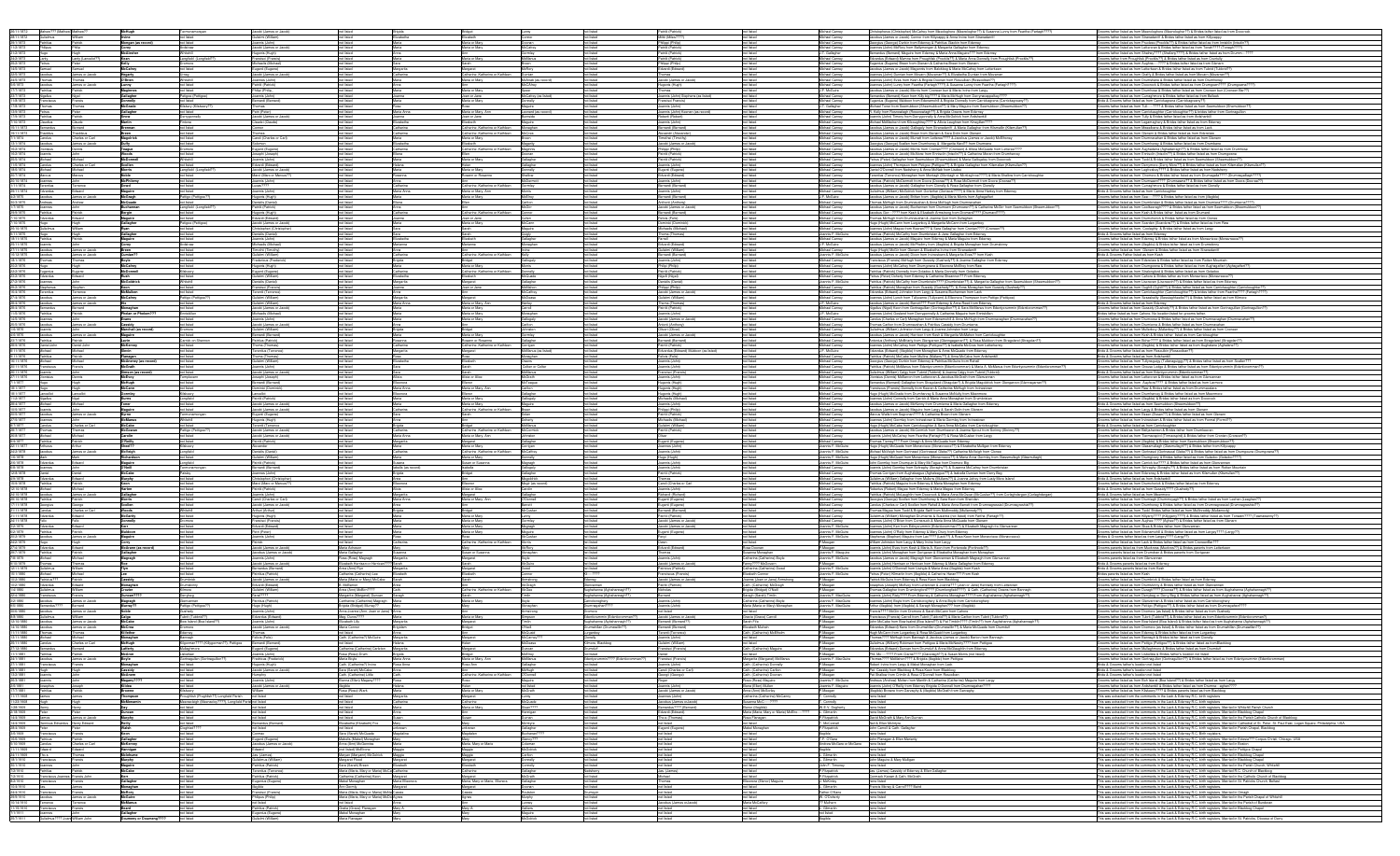| 26/11/1872<br>28/11/1872                                                   |                       | <u>McHugh</u>                         |                                                         | Jacobi (James or Jacob)<br>Jlielmi (William)        | not listed                                                         |                    | lizabetl                                        |                                       | not listed                                            | Patritii (Patrick)<br>lilitii (Miles????)               | ot listed                                                            | <i>l</i> lichael Carney<br>ichael Carney  | ristopherus (Christopher) McCafrey from Meecloghore (Meenclogher??) & Susanna Lunny from Feartha (Fartagh????)<br>acobus (James or Jacob) Connor from Killycappy & Anna Irvine from Stranadarrif                                     | Grooms father listed as from Meencloghore (Meenclogher??) & Brides father listed as from Doocrock<br>trooms father listed as from Stranadarriff & Brides father listed as from Killycappy                                                    |
|----------------------------------------------------------------------------|-----------------------|---------------------------------------|---------------------------------------------------------|-----------------------------------------------------|--------------------------------------------------------------------|--------------------|-------------------------------------------------|---------------------------------------|-------------------------------------------------------|---------------------------------------------------------|----------------------------------------------------------------------|-------------------------------------------|--------------------------------------------------------------------------------------------------------------------------------------------------------------------------------------------------------------------------------------|----------------------------------------------------------------------------------------------------------------------------------------------------------------------------------------------------------------------------------------------|
| 29/1/1873<br>Patritius                                                     |                       | Mongan (as record)                    | ot listed                                               | <u>pannis (John)</u>                                | not listed                                                         |                    | laria or Mary                                   |                                       | not listed                                            | Philippi (Philip)                                       | ot listed                                                            | <i><b>Michael Carney</b></i>              | eorgius (George) Dunkin from Ederney & Patritius Glackin from Ederney                                                                                                                                                                | irooms father listed as from Prucless (Procklis??) & Brides father listed as from Innisklin (Inisclin??)                                                                                                                                     |
| 1/2/1873                                                                   |                       | <b><i><u>AcAlesher</u></i></b>        |                                                         | Jacobi (James or Jacob)                             | not listed<br>not listed                                           |                    | Aaria or Mary                                   | <u>lcCafrey</u>                       | not listed                                            | Patritii (Patrick)                                      | not listed                                                           | <b>Michael Carney</b>                     | Joannes (John) McRory from Ballymongan & Margarita Gallagher from Ederney                                                                                                                                                            |                                                                                                                                                                                                                                              |
| 21/2/1873<br>24/2/1873                                                     | anty (Lancelot??      | Kean                                  | Langfield (Longfield??)                                 | ugonis (Hugh)<br>Francisci (Francis)                | not listed                                                         |                    | <u> Aaria or Mary</u>                           |                                       | not listed                                            | atritii (Patrick)<br>Patritii (Patrick)                 | าot listed                                                           | Gallagher<br>Aichael Carney               | lernardus (Bernard) Maguire from Ederney & Maria Anna Maguire??? from Ederney<br>vardus (Edward) Mumna from Proughlisk (Procklis??) & Maria Anna Donnelly from Proughlisk (Procklis??)                                               | ooms father listed as from Shalney???? (Shallany???) & Brides father listed as from Drumm---????<br>rooms father from Proughlisk (Procklis??) & Brides father listed as from Cruntully                                                       |
| 25/2/1873                                                                  |                       |                                       |                                                         | Michaelis (Michael)                                 | not listed                                                         |                    |                                                 |                                       | าot listed                                            | hilippi (Philip)                                        | not listed                                                           | Aichael Carney                            | genius (Eugene) Breen from Glenarn & Catharina Breen from Glenarn                                                                                                                                                                    | ooms father listed as from Aughna----???? & Brides father listed as from Glenarn                                                                                                                                                             |
| 14/5/1873                                                                  |                       | <b>McCafrey</b>                       | iot listed                                              | Eugenii (Eugene)                                    | not listed                                                         |                    |                                                 |                                       | not listed                                            | Edvardi (Edward)                                        | not listed                                                           | ichael Carney                             | acobus (James or Jacob) Magennis from Balckbog & Maria McCafrey from Letterkeen                                                                                                                                                      | rooms father listed as from Letterkeen & Brides father listed as from Tubrid (Tubbrid??)                                                                                                                                                     |
| 24/5/1873<br>homas                                                         | James or Jacob        | <b>Hegarty</b><br>O'Brien             |                                                         | lacobi (James or Jacob<br>Joannes (John)            | not listed<br>not listed                                           |                    | atherine ,Katherine or Kathleen<br>aria or Mary | Anab (as record)                      | าot listed<br>not listed                              | Jacobi (James or Jacob)                                 | าot listed                                                           | ichael Carney<br>ichael Carney            | nnes (John) Durnian from Movarn (Movarran??) & Elizabetha Durnian from Movarran<br>annes (John) Eves from Kesh & Brigida Doonan from Rosculban (Rosscolban??                                                                         | ooms father listed as from Graffy & Brides father listed as from Movarn (Movarran??)<br>ooms father listed as from Drumshane & Brides father listed as from Drumhoney                                                                        |
| 5/6/1873                                                                   | James or Jacob        |                                       | ot listed                                               | Patritii (Patrick)                                  | not listed                                                         |                    |                                                 |                                       | not listed                                            | Hugonis (Hugh)                                          | ot listed                                                            | <i><b>Aichael Carney</b></i>              | oannes (John) Lunny from Feartha (Fartagh????) & Susanna Lunny from Feartha (Fartagh????                                                                                                                                             | ooms father listed as from Doocrock & Brides father listed as from Drumgown???? (Drumgowna???                                                                                                                                                |
| 17/7/1873                                                                  |                       | <u>Maginnes</u>                       | Petigoe (Pettigoe                                       | Philipi (Philip_<br>Ioannis (John)                  | not listed<br>not listed                                           |                    | laria or Mary<br>oan or Jane                    | cCafrey (as listed)                   | าot listed<br>not listed                              | Joannis (John) Stephens (as listed]                     | าot listed                                                           | F. McGuire<br>ichael Carney               | icobus (James or Jacob) Morris from Croneen bun & Maria Irvine from Largy<br>ernardus (Bernard) Keon from Killy big???? & Maria McHugh from Derrynacappelkey????                                                                     | rooms father listed as from Drumhose & Brides father listed as from Croneen bun (Croneen Bar??)<br>rooms father listed as from Curraghmore & Brides father listed as from Belleek                                                            |
| 23/7/1873<br>11/8/1873<br>Franciscus                                       |                       | <u>Gallagher</u><br>Donnelly          | ıot listed                                              | Bernardi (Bernard)                                  | not listed                                                         |                    | laria or Mary                                   |                                       | not listed                                            | rancisci Francis)                                       | ot listed                                                            | ichael Carney                             | (????)genius (Eugene) Muldoon from Edenamohill & Brigida Donnelly from Carrickagrena (Carrickagreany                                                                                                                                 | ride & Grooms father listed as from Carrickagrena (Carrickagreany??                                                                                                                                                                          |
| 17/8/1873                                                                  |                       | McGrade                               | Kilskery (Kilskeery??)                                  | Inomas                                              | not listed                                                         |                    |                                                 |                                       | not listed                                            | Joannis (John)                                          | not listed                                                           | . Gallagher                               | Michael Toner from Seemuldoon (Sheemuldoon??) & Mary Maguire from Seemuldoon (Sheemuldoon??                                                                                                                                          | (Shooms father listed as from Tull-----???? & Brides father listed as from Seemuldoon (Shemuldoon??)                                                                                                                                         |
| 13/9/1873<br>Patritius                                                     |                       | <u>Gallagher</u><br>Snow              |                                                         | tri (Peter)                                         | not listed<br>not listed                                           | aria Anna          | laria or Mary, Anr                              | nard (as record)                      | not listed                                            | oannis (John) Keenan (as record                         | ot listed                                                            | chael Carney                              | l. Kelly from Rosnowlagh (Rossnowlagh??) & Brigida Owens from Ederney                                                                                                                                                                | ioms father listed as from Carrickaughter (Carrickoughter??) & brides father from Gortnagullion                                                                                                                                              |
| 17/9/1873<br>7/10/1873<br>Claudius                                         |                       |                                       | <b>Derrygonnelly</b><br>-intona                         | acobi (James or Jacob<br>Claudei (Claude)           | not listed                                                         | zabetha            | pan or Jane<br>zaheth                           |                                       | not listed                                            | Roberti (Robert)<br>Joannis (John)                      | ot listed                                                            | <i>l</i> lichael Carney<br>fichael Carney | oannis (John) Timony from Derrygonnelly & Anna McGolrick from Ardshankill<br>lichael McMacken from Kilcoughtrey???? & Allicia Laughran from Kinegillan????                                                                           | rooms father listed as from Tully & Brides father listed as from Ardshankill<br>rooms father listed as from Legamaghery & Brides father listed as from Ederney                                                                               |
| 5/11/1873<br>Bernardus                                                     |                       | Brennan                               |                                                         |                                                     | not listed                                                         |                    | atherine ,Katherine or Kathleen                 |                                       | not listed                                            | ernardi (Bernard)                                       |                                                                      | ichael Carney                             | (Kilsmullan??) Jacob) Gallogely from Stranadarriff & Maria Gallagher from Kilsmallin (Kilsmullan??)                                                                                                                                  | ooms father listed as from Mweelbane & Brides father listed as from Lack                                                                                                                                                                     |
| 19/11/1873<br>haddius<br>7/1/1874<br>Carolus                               | harles or Carl        |                                       | not listed                                              | Caroli (Charles or Carl)                            | not listed<br>not listed                                           |                    | therine ,Katherine or Kathleen<br>laria or Mary |                                       | าot listed<br>not listed                              | lexandri (Alexander)<br>mothei (Timothy)                | not listed                                                           | ichael Carney<br>Aichael Carney           | cobus (James or Jacob) Breen from Glenarn & Sara Dolin from Glenarı<br>acobus (James or Jacob) Murratt from Letteree???? & Jacobus (James or Jacob) McElhoney                                                                        | oms father listed as from Glenarn & Brides father listed as from Edenclaw<br>ooms father listed as from Drumnavahan & Brides father listed as from Glenarn                                                                                   |
| 3/1/1874                                                                   | ames or Jacob         |                                       | iot listed                                              |                                                     | not listed                                                         | zabetha            |                                                 |                                       | not listed                                            | acobi (James or Jacob)                                  | ot listed                                                            | ichael Carney                             | Georgius (George) Scallen from Drumhoney & Margarita Kard?? from Drumrane                                                                                                                                                            | ooms father listed as from Drumhoney & Brides father listed as from Drumbane                                                                                                                                                                 |
| 16/2/1874                                                                  |                       | <u>Teague</u>                         |                                                         | Eugenii (Eugene)                                    | not listed                                                         |                    | therine ,Katherine or Kathleen                  |                                       | not listed                                            | Philippi (Philip)                                       | not listed                                                           | ichael Carney                             | cobus (James or Jacob) Morris from Cronian???? (Croneen) & Allicia McQuade from Letteree???                                                                                                                                          | ooms father listed as from Aughadarra (Aghadarragh??) & Brides father listed as from Drumhose                                                                                                                                                |
| 16/2/1874<br>25/5/1874                                                     |                       | McDonnell                             | iot listed                                              | psephi (Joseph)<br>Ioannis (John)                   | not listed<br>not listed                                           |                    | <i>l</i> aria or Mary                           | iallagher                             | าot listed<br>not listed                              | Patritii (Patrick)<br>Patritii (Patrick)                | not listed                                                           | ichael Carney<br>ichael Carney            | cobus (James or Jacob) McAlone from Ennisclin (Inisclin??) & Catharina Moran from Drumharve<br>Petrus (Peter) Gallagher from Seemuldoon (Sheemuldoon) & Maria Gallogeley from Doocrock                                               | ooms father listed as from Ennisclin (Inisclin??) & Brides father listed as from Drumgowna<br>ooms father listed as from Tedd & Brides father listed as from Seemuldoon (Sheemuldoon??]                                                      |
| 1/6/1874                                                                   | harles or Carl        |                                       | ıot listed                                              | Edvardi (Edward)                                    | not listed                                                         |                    |                                                 | iallagher                             | not listed                                            | Joannis (John)                                          | not listed                                                           | Aichael Carney                            | oannes (John) Thompson from Petigoe (Pettigoe??) & Brigida Gallagher from Kilsmallan (Kilsmullan??)                                                                                                                                  | rooms father listed as from Derrymore (Derry More??) & Brides father listed as from Kilsmallan (Kilsmullan??)                                                                                                                                |
| 18/6/1874                                                                  |                       |                                       | .angfield (Longfield?)                                  | cobi (James or Jacob).                              | not listed                                                         |                    | laria or Mary                                   |                                       | าot listed                                            | ugenii (Eugene)                                         |                                                                      | ichael Carney                             | aniel O'Donnell from Nedsherry & Anna McNab from Lisdoo                                                                                                                                                                              | ooms father listed as from Legfreskey???? & Brides father listed as from Nedsherry                                                                                                                                                           |
| 20/7/1874<br>20/10/1874                                                    |                       | McPhilemy                             | ot listed<br>not listed                                 | larci (Marc or Marcus??)<br>Joannis (John)          | not listed<br>not listed                                           |                    | osann or Rosanne                                | :Dermott                              | not listed<br>not listed                              | Edvardi (Edward)<br>Joannis (John)                      | not listed<br>not listed                                             | lichael Carney<br>fichael Carney          | erentius (Terrence) Monaghan from Montagh (Montiagh or Montiaghroe????) & Maria Shallow from Carrickoughter<br>atritius (Patrick) McDermott from Doora (Dooraa??) & Rosa McDermott from Doora (Dooraa??)                             | ooms father listed as from Dromore & Brides father listed as from Drumagalla???? (Drumnagalliagh????<br>Grooms father listed as from Drumsawn???? (Drumsawna?? & Brides father listed as from Doora (Dooraa??)                               |
| 11/1874                                                                    |                       |                                       |                                                         |                                                     | not listed                                                         |                    | therine ,Katherine or Kathleen                  |                                       | <b>not listed</b>                                     | ernardi (Bernard)                                       |                                                                      | ichael Carney                             | icobus (James or Jacob) Gallagher from Clonelly & Rosa Gallagher from Clonelly                                                                                                                                                       | rooms father listed as from Curraghmore & Brides father listed as from Clonelly                                                                                                                                                              |
| 29/11/1874<br>:dvardus                                                     |                       | <u>Maguire</u>                        | ıot listed                                              | Joannis (John)                                      | not listed                                                         | <i>l</i> aria Anna | laria or Mary, Anr                              |                                       | not listed                                            | Joannis (John)                                          | not listed                                                           | Michael Carney                            | ilielmus (William) McGolrick from Gorterhar (Gortacar????) & Maria Anna Hanley from Ederney                                                                                                                                          | Bride & Grooms father listed as from Carrickoughte                                                                                                                                                                                           |
| 4/2/1875<br>acobus<br>Andreas                                              | ames or Jacob         | <b>McQuade</b>                        | Pettigo (Pettigoe??<br>ıot listed                       | Hugonis (Hugh)<br>Danielis (Daniel)                 | not listed<br>not listed                                           |                    | laria or Mary                                   |                                       | าot listed<br>าot listed                              | ernardi (Bernard)<br>Anthonii (Anthony)                 | ot listed<br>ot listed                                               | F. McGuire<br><i>l</i> lichael Carney     | icobus (James or Jacob) Brittan from (illegible) & Maria Morris from Aghagaffert<br>homas McHugh from Drumnavahan & Anna McHugh from Drumnavahar                                                                                     | ooms father listed as from Sea----???? & Brides father listed as from (illegible<br>(Drumiernisted as from Drumbristan & Brides father listed as from Drumiera???? (Drumierna????)                                                           |
| 30/3/1875<br>1/7/1875                                                      |                       | <u>Buchannan</u>                      | Langfield (Longfield??)                                 | Patritii (Patrick)                                  | not listed                                                         |                    |                                                 |                                       | าot listed                                            | acobi (James or Jacob                                   |                                                                      | Aichael Carney                            | cobus (James or Jacob) Buchannan from Drumown (Drumowen??) & Catharina McGirr from Seemuldoon (Sheemuldoon??)                                                                                                                        | oms father listed as from Coolkeeragh???? & Brides father listed as from Seemuldoon (Sheemuldoon??)                                                                                                                                          |
| 29/9/1875<br>Patritius                                                     |                       |                                       | ot listed                                               | Hugonis (Hugh)                                      | not listed                                                         |                    | atherine ,Katherine or Kathleen                 |                                       | not listed                                            | ernardi (Bernard)                                       | ot listed                                                            | ichael Carney                             | Jacobus Gor---???? from Kesh & Elizabeth Armstrong from Dromard???? (Drumard????                                                                                                                                                     | rooms father listed as from Kesh & Brides father  listed as from Drumard                                                                                                                                                                     |
| 7/10/1875<br>$\frac{7}{10/1875}$                                           |                       | <b>Maguire</b><br><u>Gallagher</u>    | Petigoe (Pettigoe)                                      | Edvardi (Edward)<br>acobi (James or Jacob           | not listed<br>not listed                                           |                    | <u>an or Jane</u><br>laria or Mary              |                                       | not listed<br>not listed                              | elicis (Felix)<br>ominici (Dominick)                    | ot listed                                                            | lichael Carney<br>ichael Carney           | homas McHugh from Drumnavahan & Joanna Quin from Dullaghan<br>Hugo (Hugh) McCann from Lurganboy & Margarita McCann from Lurganbo                                                                                                     | ooms father listed as from Drumchorick & Brides father listed as from Clonee<br>rooms father listed as from Scarden (Scardens??) & Brides father listed as from Raw                                                                          |
| 26/10/1875<br>Gulielmus                                                    |                       |                                       |                                                         | ristopheri (Christopher)                            | not listed                                                         |                    |                                                 |                                       | าot listed                                            | lichaelis (Michael)                                     | ıot listed                                                           | ichael Carney                             | oannes (John) Magee from Keeran??? & Sara Gallagher from Cronian???? (Croneen??                                                                                                                                                      | rooms father listed as from, Coolaghty  & Brides father listed as from Largy                                                                                                                                                                 |
| 9/11/1875                                                                  |                       | <u>Gallagher</u>                      | not listed                                              | Danielis (Daniel)                                   | not listed                                                         |                    |                                                 |                                       | not listed                                            | Thoma (Thomas)                                          | not listed                                                           | oannis F. McGuire                         | atritius (Patrick) McCaffry from Drumbristan & Jane Gallagher from Ederne'                                                                                                                                                           | Bride & Grooms father listed as from Ederney                                                                                                                                                                                                 |
| 18/11/1875<br>Patritius<br>25/11/1875                                      |                       |                                       | not listed                                              | <u>Joannis (John) </u><br>chaelis (Michael)         | not listed                                                         |                    |                                                 |                                       | not listed                                            | Farrell<br>vardi (Edward)                               | not listed                                                           | ichael Carney<br>F. McGuire               | acobus (James or Jacob) Maguire from Ederney & Maria Maguire from Ederney<br>icobus (James or Jacob) McPhelimy from (illegible) & Brigida Monaghan from Drumskinny                                                                   | irooms father listed as from Ederney & Brides father listed as from Monavriece (Monavreece??<br>oms father listed as from (illegible) & Brides father listed as from Drumskinn                                                               |
| 27/11/1875                                                                 | <u>James or Jacob</u> |                                       |                                                         | Timothii (Timothy)                                  | not listed                                                         |                    |                                                 |                                       |                                                       | iulielmi (William)                                      |                                                                      | <i>l</i> lichael Carney                   | Hugo (Hugh) McGir from Glenarn & Elizabetha Irvine from Stranadarrif                                                                                                                                                                 | rooms father listed as from Glenarn & Brides father listed as from Stranadarrif                                                                                                                                                              |
| 16/12/1875<br>Jacobus                                                      | James or Jacob        |                                       | ıot listed                                              | iulielmi (William)                                  | not listed                                                         |                    | therine ,Katherine or Kathleen                  |                                       | not listed                                            | ernardi (Bernard)                                       | ot listed                                                            | pannis F. McGuire                         | Jacobus (James or Jacob) Dixon from Irvinestown & Margarita Eves?? from Kesh                                                                                                                                                         | ide & Grooms Father listed as from Kesh                                                                                                                                                                                                      |
| 18/1/1876<br>homas<br>20/2/1876                                            |                       |                                       |                                                         | redericus (Frederick<br>ugonis (Hugh)               | not listed<br>not listed                                           |                    | Maria or Mary                                   |                                       | าot listed                                            | Joannis (John)<br>Philipi (Philip)                      | ot listed                                                            | chael Carney<br><i>l</i> lichael Carney   | Franciscus (Francis) McHugh from Gussidy (Gushedy??) & Joanna Gallagher from Ederney<br>Joannes (John) McCafrey from Drumgowna & Eleonora McElroy from Raw                                                                           | ooms father listed as from Edenclaw & Brides father listed as from Rotten Mountain<br>Grooms father listed as from Drumgowna & Brides father listed as from Aughagaffart (Aghagaffert??)                                                     |
| 22/2/1876                                                                  |                       | McDonnell                             |                                                         | Eugenii (Eugene)                                    | not listed                                                         |                    | therine ,Katherine or Kathleen                  |                                       | not listed                                            | Patritii (Patrick)                                      |                                                                      | ichael Carney                             | 'atritius (Patrick) Donnelly from Goladoo & Maria Donnelly from Goladoo                                                                                                                                                              | ooms father listed as from Stralongford & Brides father listed as from Goladoc                                                                                                                                                               |
| 23/2/1876                                                                  |                       |                                       |                                                         | iulielmi (William)                                  | not listed                                                         |                    |                                                 |                                       |                                                       | <u> Vigelli (Nigel)</u>                                 |                                                                      | ichael Carney                             | 'etrus (Peter) Doherty from Ederney & Catharina Sheannon?? From Ederney                                                                                                                                                              | oms father listed as from Cahore & Brides father as from Monavriece (Monavreece??)                                                                                                                                                           |
| 27/2/1876<br>29/2/1876                                                     |                       | <b>McGoldrick</b>                     |                                                         | anielis (Daniel)<br>Francisci (Francis)             | not listed<br>not listed                                           |                    | <u>pan or Jane</u>                              |                                       | not listed                                            | Danielis (Daniel)<br>hilippi (Philip)                   | not listed                                                           | pannis F. McGuire<br>ichael Carney        | Patritius (Patrick) McCaffry from Drumbristin???? (Drumbristan??) & Margarita Gallagher from Seemuldoon (Sheemuldoon??)<br>(Gushedy??) atritius (Patrick) Monaghan from Gussidy (Gushedy??) & Anna Monaghan from Gussidy (Gushedy??) | ooms father listed as from Liscrevan (Liscreevin??) & Brides father listed as from Ederney<br>rooms father listed as from Oughill (Oghill??) & Brides father listed as from Carrickaughter (Carrickoughter??)                                |
| 6/4/1876<br>erentius                                                       |                       | McMulken                              |                                                         | 「erentii (Terrence]                                 | not listed                                                         |                    |                                                 | lcCaffrey                             | not listed                                            | Jacobi (James or Jacob                                  | not listed                                                           | ichael Carney                             | dvardus (Edward) Johnston from Largy & Susanna Buchannan from Lack                                                                                                                                                                   | rooms father listed as from Carrickaughter (Carrickoughter??) & brides father from Feartha???? (Fartagh????)                                                                                                                                 |
| 27/4/1876                                                                  | ames or Jacob         | McCafrey                              | Pettigo (Pettigoe??)                                    | 3ulielmi (William)                                  | not listed                                                         |                    |                                                 | Dease                                 | not listed                                            | Gulielmi (William)                                      | ıot listed                                                           | ichael Carney                             | Joannes (John) Lynch from Tullycarne (Tullycarn) & Elleonora Thompson from Pettigo (Pettigoe)                                                                                                                                        | Grooms father listed as from Sesaskeilty (Sessiaghkeelta??) & Brides father listed as from Kilmore                                                                                                                                           |
| 28/4/1876                                                                  | ames or Jacob         |                                       |                                                         | Jlielmi (William)                                   | not listed                                                         |                    | laria or Mary, Anr                              |                                       |                                                       | homa (Thomas)                                           |                                                                      | . McGuire                                 | Jacobus (James or Jacob) Barrett??? From Ederney & Anna Reed from Ederney                                                                                                                                                            | ide & Grooms father listed as from Ederney                                                                                                                                                                                                   |
| 28/4/1876<br>1/5/1876                                                      |                       | <u>onaghan</u><br>Phelan or Phelom??' |                                                         | <u>acobi (James or Jacob</u><br>lichaelis (Michael) | not listed<br>not listed                                           |                    | <u> Aaria or Mary</u><br>laria or Mary          | ionaghan                              | not listed<br>not listed                              | Patritii (Patrick)<br>Joannis (John)                    | not listed<br>not listed                                             | <i>A</i> ichael Carney<br>F. McGuire      | Nigellus (Nigel) Keon from Gortnagullian (Gortnagullion??) & Sara McManus from Edentycrummin (Edenticromman??)<br>Joannes (John) Gosland from Derrygonnelly & Catharina Maguire from Enniskillen                                     | rooms father listed as from Gussidy (Gushedy??) & Brides father listed as from Gortnagullian (Gortnagullion??)<br>Brides father listed as from Cahore. No location listed for grooms father.                                                 |
| 14/5/1876                                                                  |                       |                                       |                                                         | annis (John)                                        | not listed                                                         |                    | laria or Mary                                   |                                       |                                                       | acobi (James or Jacob)                                  |                                                                      | ichael Carney                             | arolus (Charles or Carl) Monaghan from Edenamohill & Anna McHugh from Drumnavaghan (Drumnavahan??)                                                                                                                                   |                                                                                                                                                                                                                                              |
| 25/5/1876<br>Jacobus                                                       | James or Jacob        | Cassidy                               | ıot listed                                              | lacobi (James or Jacob)                             | not listed                                                         |                    |                                                 |                                       | not listed<br>าot listed                              | Antonii (Anthony)                                       | not listed                                                           | <i>l</i> ichael Carney                    | homas Carlton from Drumnavahan & Patritius Cassidy from Drumierna                                                                                                                                                                    | Grooms father listed as from Drumierna & Brides father listed as from Drumnavaha<br>Grooms father listed as from Mullenboy (Mullanboy??) & Brides father listed as from Croneen                                                              |
| 1/6/1876<br>4/6/1876                                                       | ames or Jacob         | Marchall (as record)                  |                                                         | ulielmi (William)<br>ernardi (Bernard)              | not listed<br>not listed                                           |                    | laria or Mary                                   |                                       |                                                       | Oliveri (Oliver)<br>acobi (James or Jacob)              |                                                                      | fichael Carney<br>ichael Carney           | Gulielmus (William) Johnston from Largy & Joanna Johnston from Largy<br>Jacobus (James or Jacob) Herricon from Kesh & Margarita McMahon from Carrickoughter                                                                          | ooms father listed as from Kesh & Brides father  listed as from Carrickoughter                                                                                                                                                               |
| 23/7/1876                                                                  |                       |                                       | Carrick on Shannon                                      | Patrtius (Patrick)                                  | not listed                                                         |                    | osann or Rosanne                                |                                       | าot listed                                            | ernardi (Bernard)                                       |                                                                      | Aichael Carney                            | ntonius (Anthony) McBriarty from Glengarren (Glenngagarran??) & Rosa Muldoon from Stragoland (Stragolan??)                                                                                                                           | irooms father listed as from Boher???? & Brides father listed as from Stragoland (Stragolan??)                                                                                                                                               |
| 28/9/1876<br>Daniel John                                                   |                       | <u>McKervey</u>                       |                                                         | homa (Thomas)                                       | not listed                                                         |                    | atherine ,Katherine or Kathleen                 |                                       | าot listed                                            | atritii (Patrick)                                       |                                                                      | ichael Carney                             | Joannes (John) McCafrey from Pettigo (Pettigoe??) & Isabella McCrea from Letterkenny                                                                                                                                                 | irooms father listed as from (illegible) & Brides father listed as from Aughalane (Aghalane??)                                                                                                                                               |
| 8/11/1876<br>9/11/1876<br>Patritius                                        |                       |                                       |                                                         | Ferentius (Terrence<br>「homa (Thomas)               | not listed<br>not listed                                           |                    |                                                 | lcManus (as listed)<br><u>onaghan</u> | not listed                                            | dvardus (Edward) Muldoon (as listed)<br>Felicis (Felix) | ot listed                                                            | F. McGuire<br><i>Aichael Carney</i>       | vardus (Edward) (Illegible) from Monaghan & Anna McQuade from Ederney<br>'atritius (Patrick) McCabe from Mullins (Mullans??) & Anna McCabe from Ardshankill                                                                          | ride & Grooms father listed as from Rosculbin (Rosscolban??)<br>Bride & Grooms father listed as from Ardshankill                                                                                                                             |
| 16/11/1876                                                                 |                       | McAneney (as record)                  |                                                         | ulielmi (William)                                   | not listed                                                         |                    |                                                 |                                       |                                                       | Joannis (John)                                          |                                                                      | ichael Carney                             | eorgius (George) Dunkin from Ederney & Patritius McGuire from Rahall                                                                                                                                                                 | rooms father listed as from Tullynaguigy (Tullanaguiggy??) & Brides father listed as from Scallen???                                                                                                                                         |
| <u>20/11/1876 __</u><br>Franciscus<br>26/11/1876                           |                       | Simson (as record)                    | ıot listed                                              | <u>Joannis (John) </u><br>lacobi (James or Jacob)   | not listed<br>not listed                                           |                    |                                                 | Colten or Colter<br><i>A</i> cManus   | not listed<br>not listed                              | Joannis (John)<br>Francisci (Francis)                   | not listed<br>not listed                                             | ichael Carney<br>ichael Carney            | Patritius (Patrick) McManus from Edentycrummin (Edenticromman) & Maria A. McManus from Edentycrummin (Edenticromman??)<br>Gulielmus (William) Calgy from Tubrid (Tubbrid) & Joanna Calgy from Tubrid (Tubbrid)                       | (Edenticrommer father listed as from Grouse Lodge & Brides father listed as from Edentycrummin (Edenticromman??<br>Bride & Grooms father listed as from Edentycrummin (Edenticromman??)                                                      |
| 27/11/1876                                                                 |                       | McEvoy                                |                                                         | sephi (Joseph)                                      |                                                                    |                    | cia or Alice                                    |                                       |                                                       | <u>Joannis (John)</u>                                   |                                                                      | chael Carney                              | nisius (Dennis) McBarron from Lettercran & Jacobus McGrath from Glenvannar                                                                                                                                                           | oms father listed as from Lettercran & Brides father listed as from Glenvannan                                                                                                                                                               |
| 7/1/1877                                                                   |                       | McHugh                                |                                                         | Bernardi (Bernard)                                  | not listed                                                         |                    |                                                 | lcTeague                              | not listed                                            | Hugonis (Hugh)                                          |                                                                      | Aichael Carney                            | ernardus (Bernard) Gallagher from Stragoland (Stragolan?) & Brigida Magoldrick from Glengarran (Glennagarran??)                                                                                                                      | rooms father listed as from Aughore???? & Brides father listed as from Larmore                                                                                                                                                               |
| 18/1/1877<br>Lancellot                                                     |                       | McCann                                |                                                         | Dominici (Dominick)                                 | not listed                                                         | aria Anna          | laria or Mary, Ann                              |                                       | not listed                                            | Hugonis (Hugh)                                          | ıot listed                                                           | ichael Carney                             | Franciscus (Francis) Donnelly from Keeran & Catharina McHugh from Irvinestown                                                                                                                                                        | irooms father listed as from Raw & Brides father listed as from Drummacalara                                                                                                                                                                 |
| 18/1/1877                                                                  |                       |                                       |                                                         | <sup>9</sup> atritii (Patrick)                      | not listed<br>not listed                                           |                    | laria or Mary                                   |                                       | าot listed                                            | Hugonis (Hugh)                                          |                                                                      | ichael Carney<br>ichael Carney            | Hugo (Hugh) McGrade from Drumharvey & Susanna McNulty from Meenmore                                                                                                                                                                  | ooms father listed as from Drumharvey & Brides father listed as from Meenmore<br>rooms father listed as from (illegible) & Brides father listed as from Doocrock                                                                             |
| 28/4/1877                                                                  |                       | Toner                                 | ıot listed                                              | acobi (James or Jacob)                              |                                                                    |                    |                                                 |                                       |                                                       |                                                         |                                                                      |                                           |                                                                                                                                                                                                                                      |                                                                                                                                                                                                                                              |
|                                                                            |                       |                                       |                                                         |                                                     | not listed                                                         |                    | laria or Mary                                   |                                       | not listed                                            | Michaelis (Michael)<br>Joannis (John)                   | not listed                                                           | ichael Carney                             | oannes (John) Connolly from Carrick & Maria Anna Monaghan from Drumbristan<br>acobus (James or Jacob) McKenny from Drumierna & Maria Gallagher from Ederney                                                                          | Bride & Grooms father listed as from Seemuldoon (Sheemuldoon??)                                                                                                                                                                              |
|                                                                            |                       |                                       |                                                         | cobi (James or Jacob                                | not listed                                                         |                    | therine ,Katherine or Kathleen                  |                                       |                                                       | Philippi (Philip)                                       |                                                                      | chael Carney                              | cobus (James or Jacob) Maguire from Largy & Sarah Dolin from Glenarn                                                                                                                                                                 | oms father listed as from Largy & Brides father listed as from Glenarn                                                                                                                                                                       |
|                                                                            | ames or Jacob         |                                       | <u>rmonamongar</u>                                      | Eugenii (Eugene)                                    | not listed                                                         |                    |                                                 |                                       | not listed                                            | Patritii (Patrick)                                      | not listed                                                           | ichael Carney                             | arcus Walls from Segronan???? & Catharina Breen from Glenarn                                                                                                                                                                         | rooms father listed as from Essen (Essan??) & Brides father listed as from Glenarn                                                                                                                                                           |
| 8/7/1877                                                                   | ıarles or Carl        | McCabe                                |                                                         | Hugonis (Hugh)<br><sup>r</sup> erentii (Terrence    | <u>not listed</u><br>not listed                                    |                    |                                                 |                                       | not listed                                            | ichaelis (Michael)<br>iulielmi (William)                | not listed                                                           | chael Carney<br>ichael Carney             | annes (John) Gormley from Irvinestown & Maria Gormley from Irvinestown<br>Hugo (Hugh) McCabe from Carrickoughter & Sara Anna McCabe from Carrickoughte                                                                               | ooms father listed as from Irvinestown & Brides father listed as from Formal (Formil??)<br>ride & Grooms father listed as from Carrickoughter                                                                                                |
| 28/7/1877                                                                  |                       | McGowan                               | ?ettigo (Pettigoe?'                                     | acobi (James or Jacob)                              | not listed                                                         |                    | atherine ,Katherine or Kathleen                 |                                       | not listed                                            | Patritii (Patrick)                                      | ıot listed                                                           | ichael Carney                             | Jacobus (James or Jacob) McCormick from Drumkeeren & Joanna Sproul from Scrinny (Skrinny??)                                                                                                                                          | ìrooms father listed as from Ballyshannon & Brides father from Drumkeeran                                                                                                                                                                    |
| 26/8/1877                                                                  |                       | Carolin                               |                                                         | cobi (James or Jacob).                              | not listed                                                         |                    | aria or Mary, Anr                               |                                       |                                                       |                                                         |                                                                      | ichael Carney                             | Joannis (John) McCafrey from Feartha (Fartagh??) & Rosa McCusker from Largy                                                                                                                                                          | ooms father listed as from Tiermacspird (Tirmacspird) & Brides father from Cronian (Croneen??)                                                                                                                                               |
| 9/9/1877<br>Patritius<br>22/11/1877                                        |                       | O'Reilly                              | not listed                                              | Patritii (Patrick)<br><u>Nexander</u>               | not listed<br>not listed                                           | <u>Aargarita</u>   | largaret<br>Maria or Mary                       |                                       | not listed<br>not listed                              | Eugenii (Eugene)<br>Joannes (John)                      | not listed                                                           | ichael Carney<br>oannis F. McGuire        | Thomas Tierney??? From Omagh & Anne McQuade from Ederney<br>Hugo (Hugh) McQuade from Monavriece (Monavreece??) & Elizabetha Mulligan from Ederney                                                                                    | rooms father listed as from (illegible) & Brides father from Seemuldoon (Sheemuldoon??)<br>Grooms father listed as from Glassmullagh (Glasmullagh??) & Brides father from Killycappy                                                         |
| 24/2/1878                                                                  | mes or Jacol          |                                       |                                                         | anielis (Daniel)                                    |                                                                    |                    | atherine ,Katherine or Kathleen                 |                                       |                                                       | <u> Joannis (John)</u>                                  |                                                                      | annis F. McGuire                          | lichael McVeigh from Gortnasol (Gortnasoal Glebe??) Catharina McVeigh from Clonee                                                                                                                                                    | oms father listed as from Gortnasol (Gortnasoal Glebe??) & Brides father listed as from Drumgouna (Drumgowna??                                                                                                                               |
| 1/6/1878                                                                   |                       | Richardson                            | not listed                                              | <b>Julielmi</b> (William)                           | not listed                                                         |                    | laria or Mary                                   |                                       | not listed                                            | Hugo (Hugh)                                             | not listed                                                           | oannis F. McGuire                         | Hugo (Hugh) McQuaid from Monavriece (Monavreece??) & Maria Anna Gormley from Glassmullagh (Glasmullagh)                                                                                                                              | irooms father listed as from Drumgivery & Brides father listed as from Guladoo (Goladoo????                                                                                                                                                  |
| 2/6/1878<br>6/8/1878                                                       |                       | <u>Maguire</u><br>O'Neill             | nonamonga                                               | Patritii (Patrick)<br>ernardi (Bernard)             | not listed<br>not listed                                           | bella (as record   | ısan or Susanna                                 |                                       | not listed                                            | Joannis (John)<br>pannis (John)                         | ot listed                                                            | annis F. McGuire<br>chael Carney          | hn Gormley from Drumquin & Mary McTague from Dromore Big<br>oannis (John) Gormley from Schraghy (Scraghy??) & Susanna McCafrey from Drumbristan                                                                                      | rooms father listed as from Carrick bur???? & Brides father listed as from Glenvannan<br>oms father listed as from Schraghy (Scraghy??) & Brides father listed as from Rotten Mountain                                                       |
| 12/8/1878                                                                  |                       | McCabe                                |                                                         | Ioannes (John)                                      | not listed                                                         |                    |                                                 | iallogely<br>iallagher                | าot listed                                            | Patritii (Patrick)                                      | ıot listed                                                           | ichael Carney                             | Thomas Corrigan from Aughaleague (Aghaleague??) & Isabella Durnian from Derry Beg                                                                                                                                                    | rooms father listed as from Edereney & Brides father listed as from Kilsmullen (Kilsmullan??)                                                                                                                                                |
| 4/9/1878<br>dvardus                                                        |                       |                                       |                                                         | tristophori (Christopher                            | not listed                                                         |                    |                                                 |                                       |                                                       |                                                         |                                                                      | ichael Carney                             | Gulielmus (William) Gallagher from Mullens (Mullans??) & Joanna Jefrey from Lusty More Island                                                                                                                                        | ide & Grooms father listed as from Ardshankill                                                                                                                                                                                               |
| 15/9/1878<br>2/10/1878                                                     |                       |                                       | ıot listed                                              | arci (Marc or Marcus??)<br>atritii (Patrick)        | not listed<br>not listed                                           |                    | Alicia or Alice                                 | Aagir (as record)                     | not listed                                            | Caroli (Charles or Ca<br>oannis (John)                  | not listed                                                           | <u>Aichael Carney</u><br>ichael Carney    | Patritius (Patrick) Maguire from Ederney & Maria Monaghan from Ederney<br>Robertus (Robert) Magee from Ederney & Maria Magee from Ederney                                                                                            | ioms father listed as from Drumchorick & Brides father listed as from Ederney<br>Bride & Grooms father listed as from Gussidy???? (Gushedy??)                                                                                                |
| 24/10/1878                                                                 | ames or Jacol         |                                       |                                                         |                                                     | not listed                                                         |                    |                                                 |                                       |                                                       | Richardi (Richard)                                      |                                                                      | chael Carney                              | Patritius (Patrick) McLaughlin from Doocrock & Maria Anna McOscar (McCusker??) from Corlaghdargen (Corlaghdergan)                                                                                                                    | ide & Grooms father listed as from Meenmore                                                                                                                                                                                                  |
| <u>29/10/1878</u><br>Patritius<br>/11/1878                                 |                       | Morris                                |                                                         | Caroli (Charles or Carl)<br>acobi (James or Jacob)  | not listed<br>not listed                                           | Maria Anna         | laria or Mary, Ann                              | Donnell                               | not listed                                            | Eugenii (Eugene)                                        | not listed                                                           | ichael Carney<br>chael Carney             | ieorgius (George) Scollen from Drumhoney & Sara Keon from Sheridan                                                                                                                                                                   | (Prooms father listed as from Drumiagh (Drummoyagh??) & Brides father listed as from Leehan (Leaghan??)                                                                                                                                      |
| $21/11/1878$ C                                                             |                       |                                       |                                                         |                                                     |                                                                    |                    |                                                 |                                       |                                                       | Eugenii (Eugene)<br>Bernardi (Bernard)                  |                                                                      | cnael Carney                              | Carolus (Charles or Carl) Scollen from Rahall & Maria Anna Barrett from Drumnagressial (Drumnagreshial??)<br>Thomas Magee from Tedd & Brigida Swift from Mullinroddy (Mullanrody?                                                    | Grooms father listed as from Drumhoney & Brides father listed as from Drumnagressial (Drumnagreshial??)<br>ooms father listed as from Tedd. Brides tather listed as trom Mullinroddy (Mullanrody                                             |
| 21/11/1878                                                                 |                       | <b>McGarity</b>                       | ıot listed                                              | Hugonis (Hugh)                                      | not listed                                                         |                    | Aaria or Mary                                   |                                       | not listed                                            | Patritii (Patrick)                                      |                                                                      | ichael Carney                             | iulielmus (William) Monaghan Drumierna & Susanna (not listed) from Fartha (Fartagh??)                                                                                                                                                | Grooms father listed as from Killyarry???? (Killygarry????) & Brides father listed as from Tonwani???? (Tawnawanny??)                                                                                                                        |
| 24/11/1878                                                                 |                       |                                       |                                                         | Francisci (Francis)<br>Ivardi (Edward)              | not listed<br>not listed                                           |                    | <i>l</i> aria or Mary<br>aria or Mary           |                                       | not listed                                            | Jacobi (James or Jacob)<br>icobi (James or Jacob)       | ot listed                                                            | ichael Carney<br>pannis F. McGuire        | Joannes (John) O'Brien from Cornanuck & Maria Anna McQuade from Glenarn<br>annes (John) Kerr from Edinycrummin (Edenticromman??) & Elizabeth Magragh fro Glenvannar                                                                  | irooms father listed as from Aughee ???? (Aghee??) & Brides father listed as from Glenarn<br>ooms father listed as from Skea & Brides father from Glenvannan                                                                                 |
| 3/2/1879<br>6/2/1879                                                       |                       | uldoon                                |                                                         | etri (Peter)                                        | not listed                                                         |                    | laria or Mary                                   | <u>Aagragh</u>                        | not listed                                            | <u>ugenii (Eugene)</u>                                  | ot listed                                                            | pannis F. McGuire                         | annes (John) O'Reily from Ederney & Mary Drury from Ederney                                                                                                                                                                          | rooms father listed as from Edenamohill & Brides father listed as from Largey???? (Largy??                                                                                                                                                   |
| 20/2/1879<br>Jacobus                                                       | ames or Jacob         |                                       | ot listed                                               | Ioannis (John)                                      | not listed                                                         |                    |                                                 |                                       | not listed                                            |                                                         | not listed                                                           | pannis F. McGuire                         | ephenus (Stephen) Maguire from Lac???? (Lack??) & Rosa Keon from Monavriece (Monavreece)                                                                                                                                             | Brides & Grooms father listed as from Largey???? (Largy??)                                                                                                                                                                                   |
| 24/2/1879<br>27/4/1879                                                     |                       | McArann (as record)                   |                                                         | acobi (James or Jacob)                              | not listed<br>Maria Acheson                                        |                    | therine ,Katherine or Kathleen                  |                                       | not listed<br>not listed                              | Edvardi (Edward)                                        | Rosa Doonan                                                          | Meega.<br>Meegan                          | William Johnston from Largy & Mary Irvine from Largy<br>annis (John) Eves from Kesh & Maria A. Keon from Portenode (Portinode??)                                                                                                     | irooms father listed as from Lack & Brides father listed as from CroneenBar???<br>ooms parents listed as from Muckross (Muckros??) & Brides parents from Letterkeen                                                                          |
| 29/7/1879                                                                  |                       | <u>àallagher</u>                      |                                                         | <u>cobus (James or Jacob)</u>                       | <b>Maria Gallagher</b>                                             |                    | <u>isan or Susanna</u>                          | pnagna                                |                                                       |                                                         | usanna Monaghan                                                      | <u>annis F. Macguire</u>                  | iannis (John) Monaghan from Gortgeran & Elizabetha Monaghan from Monaghan                                                                                                                                                            | ooms parents listed as from Drumdran & Brides parents from Gortgerar                                                                                                                                                                         |
| 7/8/1879                                                                   |                       | Magragh                               | ot listed                                               | pannis (John)<br>acobi (James or Jacob)             | Rosa (Rose) Magragh<br>lizabeth Herrisan or Herrican?              |                    |                                                 |                                       | not listed<br>าot listed                              | Joannis (John)<br>acobi (James or Jacob)                | Catharina (Catherine) Boyle<br>anny???? McGovern                     | annis F. McGuire                          | acobus (James or Jacob) Magragh from Glenvannan & Elizabeth Magragh from Glenvannan<br>annis (John) Herrisan or Herrican from Ederney & Maria Gallagher from Ederney                                                                 | rooms parents listed as from Glenvannan<br>Bride & Grooms parents listed as from Ederney                                                                                                                                                     |
| 9/10/1879<br>12/11/1879                                                    |                       |                                       |                                                         | ernardus (Bernard)                                  | na (Ann) Flyn                                                      |                    | largare                                         |                                       |                                                       | atricius (Patrick)                                      | atharina (Catherine) Dowd                                            | <u>Meegan</u><br>ınnis F. McGuire         | oannis (John) O'Donnell from Lisingle & Maria Anna (illegible) from Kesh                                                                                                                                                             | ide & Grooms parents listed as from Kesh                                                                                                                                                                                                     |
| 15/1/1880                                                                  |                       |                                       | ot listed                                               | Patritius (Patrick)                                 | Catharina (Catherine) Lee                                          |                    | lizabeth                                        |                                       |                                                       | anciscus (Francis)                                      | Elizabeth Connor                                                     | pannis F. McGuire                         | 'etrus (Peter) Kilmartin from (illegible) & Catherine Haran??? From Kesh                                                                                                                                                             | ides parents listed as from Kesh                                                                                                                                                                                                             |
| 0/2/1880<br>Patricius???                                                   |                       | Cassidy                               | )rumbrick                                               | acobi (James or Jacob)                              | Maria (Maria or Mary) McCabe<br>McBarron                           |                    |                                                 |                                       |                                                       | Jacobi (James or Jacob)<br>tritii (Patrick)             | Joanna (Joan or Jane) Armstron<br>ath. (Catherine) McGrag            |                                           | Patrick McGuire from Ederney & Rose Keon from Blackbog<br>sephus (Joseph) McAvoy from Lettercran & Joanna??? (Joan or Jane) Kennedy from Lettercrar                                                                                  | Grooms father listed as from Drumbrick & Brides father listed as from Ederney<br>oms father listed as from Drumskinny & Brides father listed as from Glanvannan                                                                              |
| 0/2/1880<br>1/4/1880<br>Gulielmus                                          |                       | <u>ionaghan</u><br>Crozier            | (ilmore                                                 | Gulielmi (William)                                  | Anna (Ann) McBirn????                                              |                    | therine ,Katherine or Kathleen                  |                                       | Aughahanna (Aghahannagh??)                            |                                                         | Brigida (Bridget) O'Neill                                            | Meegan.<br>Meegan                         | Thomas Gallagher from Drumlongford???? (Drumlongfield????) & Cath. (Catherine) Owens from Bannagh                                                                                                                                    | Grooms father listed as from Duragh???? (Dooraa??) & Brides father listed as from Aughahanna (Aghahannagh??                                                                                                                                  |
| 22/4/1880<br>anciscus                                                      |                       | Duncan????                            |                                                         | anel????                                            | Margarita (Margaret) Duncan                                        |                    |                                                 |                                       | Aughahanna (Aghahannagh?'                             |                                                         | Saragh (Sarah) Timlin                                                | annis F. MacGuire                         | oannis (John) Riely???? From Ederney & Catherine Monaghan???? From Aughahanna (Aghahannagh??)                                                                                                                                        | ???rooms father listed as from Derrybeg or Derry Beg & Brides father listed as from Aughahanna (Aghahannagh                                                                                                                                  |
| 3/2/1880<br>9/5/1880<br>ernardus???                                        | ames or Jacol         |                                       | Pettigo (Pettigoe??)                                    | Patritius (Patrick)<br>Hugo (Hugh)                  | artharina (Catherine) Magragh<br>Brigida (Bridget) Murray??        |                    | aria or Mary                                    |                                       | arrickcroghery<br>rumnagahan????                      | Joannis (John)<br>Joannis (John)                        | atharina (Catherine) Boyle<br><i>A</i> aria (Maria or Mary) Monaghan | annis F. MacGuire<br>pannis F. MacGuire   | oannes (John) Boyle from Carrickcroghery & Anna Boyle from Carrickcroghery<br>hur (illegible) from (illegible) & Saragh Monaghan??? from (illegible).                                                                                | ioms father listed as from Glanvannan & Brides father listed as from Carrickcroghery                                                                                                                                                         |
| 30/6/1880<br>acobus                                                        | ames or Jacob         |                                       |                                                         | Joannis (John)                                      | nna Joanna (Ann, Joan or Jane                                      |                    |                                                 |                                       |                                                       |                                                         |                                                                      | <u>Meegan</u>                             | ncis???? McGirr from Dromore & Sarah McCann from Cahore                                                                                                                                                                              | ooms father listed as from Dromore (as listed) & Brides father listed as from Gushedy                                                                                                                                                        |
| 8/8/1880                                                                   | ames or Jacob         | <b>McCabe</b>                         | Tubrit (Tubbrid??)<br>Bow Island (Boa Island??)         | Edvardus (Edward)<br>pannis (John)                  | ag. Duros????<br>Elizabeth Lilly                                   |                    | <u> Aaria or Mary</u><br>largaret               |                                       | denticrummin (Edenticrommar                           | acobi (James or Jacob)<br>Bernardi (Bernard??)          | Gracia (Grace) Carroll<br>Sarah Fife                                 | Meegan.                                   | anciscus (Francis) Carroll from Tubrit (Tubbrid??) & Maria Carlton from Tubrit (Tubbrid??)<br>'ohn McCabe from Bow Isalnd (Boa Island??) & Pat Timblin???? (Timlin??) from Aughahanna (Aghahannagh?                                  | oms father listed as from Tubrit (Tubbrid??) & Brides father listed as from Edenticrummin (Edenticromman?)<br>ooms father listed as from Bow Island (Boa Island) & Brides father listed as from Aughahanna (Aghahannagh??                    |
| 2/10/1880<br>4/10/1880                                                     | ames or Jacob         |                                       |                                                         | acobi (James or Jacob                               | Maria Connor                                                       |                    |                                                 |                                       | ughahanna (Aghahannagh??<br>umwhillan (Drumawillin??) | ernardi (Bernard)                                       | izabeth Mulrain                                                      | Meegan.<br>Meegan.                        | vardus (Edward) Kane from Drumwhillan (Drumawillin??) & Maria McQuade from Drumduff                                                                                                                                                  | oms father listed as from Dromore (as listed) & Brides father listed as from Drumwhillan (Drumawillan??)                                                                                                                                     |
| 1/11/1880<br>Thomas                                                        |                       | Kilfether                             |                                                         |                                                     | not listed                                                         |                    |                                                 |                                       | Lurganboy                                             | Terenti (Terrence)                                      | Cath. (Catherine) McElholm                                           | Meegan                                    | Hugh McCann from Lurganboy & Rosa McQuaid from Lurganboy                                                                                                                                                                             | arooms father listed as from Ederney & Brides father listed as from Lurganboy                                                                                                                                                                |
| 3/11/1880                                                                  | narles or Carl        | <u>Monaghai</u>                       |                                                         | <sup>=</sup> elicis (Felix)                         | Cath. (Catherine?) McGuire                                         |                    |                                                 | lcCarney???                           |                                                       | Joannis (John)                                          |                                                                      | Meegan.                                   | nomas???? McHugh from Bannagh & Jacobus (James or Jacob) Barton from Bannagh<br>ielmus (William) Robinson from Pettigoe & Maria McNestry???? from Pettigoe                                                                           | rooms father listed as from Bannagh & Brides father listed as from Clonelly                                                                                                                                                                  |
| 25/11/1880<br>27/12/1880                                                   |                       | McHugh<br>Lafferty                    | Kilgorman???? (Killygorman??), Pettigoe                 | Bernardi (Bernard)<br>Eugenii (Eugene)              | Catharina (Catherine) Carleton                                     |                    | <u>largaret</u>                                 |                                       | <u>ilmore, Blackbog</u><br>rumduff                    | ulielmi (William)<br>rancisci (Francis)                 | Cath. (Catherine) Maguire                                            | Meegan.<br>Meegan.                        | vardus (Edward) Duncan from Drumduff & Anna McGlaughlin from Ederney                                                                                                                                                                 | ooms father listed as from Pettigo (Pettigoe??) & Brides father listed as fromBlackbog<br>3rooms father listed as from Mullaghmore & Brides father listed as from Drumduff                                                                   |
| /1/1881<br>Patritius                                                       |                       | McAron                                |                                                         | Ioannis (John)                                      | ?osa (Rose) Drum                                                   |                    |                                                 |                                       |                                                       |                                                         |                                                                      | Meegan.                                   | hil. Mc----???? From Clarna???? (Claranagh??) & Susan Morris (not listed)                                                                                                                                                            | ooms father listed as from Lisbellaw & Brides father's location not listed                                                                                                                                                                   |
| 24/1/1881<br>acobus<br>ranciscus                                           | ames or Jacob         |                                       | ortnagullen (Gortnagullion??)                           | Fredricus (Frederick                                | <i>l</i> aria Boyle<br>Cath. (Catherine?) Irvine                   |                    | aria or Mary, Ann                               |                                       | entycrummin???? (Edenticromman??)                     | rancisci (Francis)                                      | largarita (Margaret) McManu:<br>ath. (Catherine) Donnelly            | annis F. MacGuire                         | omas???? McMahon???? & Brigida (illegible) from Pettigo                                                                                                                                                                              | rooms father listed as from Gortnagullen (Gortnagullion??) & Brides father listed as from Edentycrummin (Edenticrommar<br>ide & Grooms father's location not listed                                                                          |
| 27/1/1881<br>28/1/1881                                                     |                       | <u>onaghai</u>                        | ıot listed                                              | lugonis (Hugh)<br>acobi (James or Jacob)            | iara (Sarah) McCabe                                                |                    |                                                 |                                       | าot listed                                            | <u>nnis (John)</u><br>Caroli (Charles or Carl           | ath. (Catherine) Carlton                                             | Meegan.<br>Meegan.                        | bert Irvine from Largy & Mabel Monaghan from Lack<br>. Cassidy from Blackbog & Rosa Keon from Blackbog                                                                                                                               | ride & Grooms father's location not listed                                                                                                                                                                                                   |
| 13/2/1881<br>Joannis                                                       |                       |                                       | iot listed                                              |                                                     | Cath. (Catherine) Little                                           |                    | atherine ,Katherine or Kathleen                 |                                       | not listed                                            | Georgii (George)                                        | ath. (Catherine) Doonan                                              | Meegan.                                   | at Shallow from Crimlin & Rose O'Donnell from Roscolban                                                                                                                                                                              | 3ride & Grooms father's location not listed                                                                                                                                                                                                  |
| 26/3/1881                                                                  |                       | Cassidy<br>McAnern<br>Magany????      | ot listed                                               | Ioannis (John)                                      | Elenna (Ellen) Magany???                                           |                    |                                                 |                                       | not listed                                            |                                                         | losa (Rose) Maguire                                                  | pannis F. McGuire                         | ndreus (Andrew) Mohan from Mantlin & Catharina (Catherine) Maguire from Largy                                                                                                                                                        | irooms father listed as from Boh Island (Boa Island??) & Brides father listed as from Largy                                                                                                                                                  |
| 2/6/1881<br>osephus<br>Patritius                                           |                       | <u>Kildea</u><br>Browne               |                                                         | acobi (James or Jacob)                              | Rosa (Rose) Wark                                                   |                    | <i>A</i> aria or Mary                           |                                       | <u>าot listed</u><br>not listed                       | oannis (John)<br>Jacobi (James or Jacob)                | lena (Ellen) Mullen<br>nna (Ann) McSorley                            | <u>ınnis F. Maguire</u><br>Meegan.        | )annis (John) O'Reilly from Ederney Brigida O Donnell from Drumnagahan???<br>llegible) Browne from Garvaghy & (illegible) McGrath from Garvaghy.                                                                                     | oms father listed as from Ardshankill & Brides father listed as from Drumna---aghan???<br>rooms father listed as from Kilskeery???? & Brides parents listed as from Blackbog                                                                 |
| 17/7/1881<br>/17/1908                                                      |                       |                                       | Proughlish (Prughlish??) Longfield Parish               |                                                     | not listed                                                         |                    |                                                 |                                       | not listed                                            | Joannes (John)                                          | Catharina (Catherine) McCanny                                        | Connolly                                  | none listed                                                                                                                                                                                                                          | is was extracted from the comments in the Lack & Ederney R.C. birth registers                                                                                                                                                                |
| 11/23/1908                                                                 |                       | McMenamin                             | Meenacleigh (Meenacloy????), Longfield Parishnot listed |                                                     |                                                                    |                    |                                                 |                                       | not listed                                            | cobus (James orJacob)                                   | <b>isanna McC-----????</b>                                           |                                           | none listed                                                                                                                                                                                                                          | his was extracted from the comments in the Lack & Ederney R.C. birth registers                                                                                                                                                               |
| 1/28/1909<br>2/18/1909                                                     |                       |                                       | ıot listed                                              | ıt listec                                           | not listed<br>not listed                                           |                    | Aaria or Mary                                   |                                       | not listed                                            | ernardus???? (Bernard)<br>Edvardi (Edward)              | Elenor (illegible)<br>Maria (Maria, Mary or Marie) McElro----????    | E.V. Dogherty<br>Gilmartin                | none listed<br>none listed                                                                                                                                                                                                           | This was extracted from the comments in the Lack & Ederney R.C. birth registers. Married in Whitehill Parish Church<br>This was extracted from the comments in the Lack & Ederney R.C. birth registers. Married in Blackbog Chapel           |
| 14/4/1909                                                                  | ames or Jacol         |                                       |                                                         |                                                     |                                                                    |                    |                                                 |                                       | not listed                                            | Tho.s (Thomas)                                          | osa Flanagan                                                         | Fitzpatrick                               | vid McGrath & Mary Ann Durnan                                                                                                                                                                                                        | This was extracted from the comments in the Lack & Ederney R.C. birth registers. Married in the Parish Catholic Church of Blackbog                                                                                                           |
| Henricus Edvardus Henry Edward<br>14/4/1909                                |                       |                                       | ot listed                                               | Bernardus (Bernard)                                 | Iizabetha (Elizabeth) Fox                                          |                    |                                                 |                                       | not listed<br>not listed                              | not listed                                              | ot listed                                                            | McConnell                                 | Neil & Ellen McIntyre                                                                                                                                                                                                                | This was extracted from the comments in the Lack & Ederney R.C. birth registers. Married in Cathedral of St. Peter, St. Paul East, Logan Square, Philadelphia, USA                                                                           |
| 28/4/1909<br>3/6/1909                                                      |                       |                                       | Cloghfad???<br>ıot listed                               |                                                     | Sara (Sarah) McQuade                                               |                    |                                                 | Gallagher<br>ichanan??                | not listed                                            | Eugenii (Eugene)                                        | Mabel Monaghan                                                       | P.Fitzpatrick                             | ohn Carroll & Cath. Gallagher                                                                                                                                                                                                        | his was extracted from the comments in the Lack & Ederney R.C. birth registers. Married in Parish Chapel, Blackbog<br>This was extracted from the comments in the Lack & Ederney R.C. Birth registers.                                       |
| 16/6/1909                                                                  |                       |                                       | ıot listed                                              | Eugenii (Eugene)                                    | <i>l</i> labelis (Mabel) Monaghar                                  |                    |                                                 |                                       | not listed                                            | าot listed                                              | ot listed                                                            | F. O'Gara                                 | ohn Flanagan & Ellen Mariarity                                                                                                                                                                                                       | his was extracted from the comments in the Lack & Ederney R.C. birth registers. Married in Eclesia??? Corpus Christi, Chicago, USA                                                                                                           |
| 5/10/1909<br>Carolus                                                       | harles or Car         | <b>McKervey</b>                       |                                                         | acobus (James or Jacob)                             | nna (Ann) McGenniss<br>ot listed) McElrone                         |                    | aria, Mary or Marie                             |                                       | าot listed<br>าot listed                              | าot listed                                              |                                                                      | ndrew McGare or McGane                    | none listed                                                                                                                                                                                                                          | This was extracted from the comments in the Lack & Ederney R.C. birth registers. Married in Boston                                                                                                                                           |
| 11/11/1909<br>24/11/1909<br>Tho.s                                          |                       |                                       | not listed                                              | Jas. (James)                                        | Maryan (Maryann) McGolrick Maggie                                  |                    | Maggie                                          |                                       | not listed                                            | not listed                                              |                                                                      | Gilmartin                                 | none listed                                                                                                                                                                                                                          | This was extracted from the comments in the Lack & Ederney R.C. birth registers. Married in Pettigoe Chapel<br>This was extracted from the comments in the Lack & Ederney R.C. birth registers. Married in Blackbog Chapel                   |
| 18/1/1910<br>Franciscus                                                    |                       | Mclehume<br>Murphy                    | not listed                                              | Gulielmus (William)                                 | Margaret Flood                                                     | Margaret           | Margaret                                        |                                       | not listed                                            | าot listed                                              | not listed                                                           | Gilmartin                                 | John Maguire & Mary Mulligan                                                                                                                                                                                                         | This was extracted from the comments in the Lack & Ederney R.C. birth registers. Married in Blackbog Chapel                                                                                                                                  |
| Joannes<br>Patritius                                                       |                       | <u>Maguire</u><br><b>McCabe</b>       | not listed<br>not listed                                | Patritius (Patrick)<br>Terentius (Terrence)         | Sara (Sarah) Breen<br>Maria (Maria, Mary or Marie) McCal Catherine |                    | lizabeth<br>Catherine                           |                                       | not listed<br>Nedsherry                               | not listed<br>Jas. (James)                              | not listed<br>not listed                                             | John F. Timoney<br>Fitzpatrick            | none listed<br>Jas. (James) Cassidy of Ederney & Ellen Gallagher                                                                                                                                                                     | This was extracted from the comments in the Lack & Ederney R.C. birth registers. Married in the Parish Church, Whitehill<br>This was extracted from the comments in the Lack & Ederney R.C. birth registers. Married R.C. Church of Blackbog |
| 30/1/1910 Jc<br>7/2/1910 Pa<br>7/2/1910<br>Franciscus Joannes Francis John |                       |                                       |                                                         | atritius (Patrick)                                  | Catharina (Catherine) Keon                                         |                    | largaret                                        | iallagher                             | not listed                                            |                                                         | ot listed                                                            | P.Fitzpatrick                             | Cormack Keown & Cath. McGrath                                                                                                                                                                                                        | This was extracted from the comments in the Lack & Ederney R.C. birth registers. Married in the Catholic Church of Blackbog                                                                                                                  |
| 8/2/1910<br>Franciscus                                                     |                       | Gallagher                             | not listed                                              | Eugenius (Eugene)                                   | Mabel Monaghan                                                     | Maria Elleonora    | Maria, Mary or Marie, Ellenora                  |                                       | not listed                                            | Thomas                                                  | Elleonora (Elenor) Maguire                                           | McKinley                                  | none listed                                                                                                                                                                                                                          | This was extracted from the comments in the Lack & Ederney R.C. birth registers. Married in St. Patricks Church, Belfast                                                                                                                     |
| 10/4/1910<br>Franciscus                                                    |                       | Monaghan                              | not listed<br>iot listed                                | Francisci (Francis)                                 | Ann Gormly<br>Maria (Maria, Mary or Marie) McNal Cassie            |                    | largare                                         |                                       | not listed<br>Drumquin                                | าot listed<br>าot listed                                | าot listed                                                           | Gilmartin<br>Father O'Kane                | Francis Money & Carrol???? Baird<br>none listed                                                                                                                                                                                      | This was extracted from the comments in the Lack & Ederney R.C. birth registers.<br>This was extracted from the comments in the Lack & Ederney R.C. birth registers. Married in Omagh                                                        |
| 24/4/1910<br>29/9/1910<br>Jacobus                                          | James or Jacob        | <b>McRory</b><br><b>McGuire</b>       | ot listed                                               | Philipus (Philip)                                   | Maria (Maria, Mary or Marie) McDo Agnes                            |                    |                                                 |                                       | not listed                                            |                                                         |                                                                      | . O'Doherty                               | none listed                                                                                                                                                                                                                          | This was extracted from the comments in the Lack & Ederney R.C. birth registers. Married in the Parish Chapel of Whitehill                                                                                                                   |
| Terrence                                                                   | <i>l</i> errence      | <b>McManus</b>                        | not listed                                              | าot listed                                          |                                                                    |                    |                                                 |                                       | not listed                                            | Jacobus (James orJacob)                                 | Maria McCaffery                                                      | ? Mulhern                                 | none listed                                                                                                                                                                                                                          | This was extracted from the comments in the Lack & Ederney R.C. birth registers. Married in the Parish of Bundoran                                                                                                                           |
| 10/14/1910<br>11/15/1910<br>Franciscus<br>?/1/1911                         |                       | Gallagher<br>Doumeny or Doumeng????   | not listed<br>not listed                                | Patritius (Patrick)<br>Eugenius (Eugene)            | Gratia (Grace) Flanagan<br>Mabel Monaghan                          |                    |                                                 |                                       | not listed<br>not listed                              | าot listed<br>not listed                                | not listed<br>not listed                                             | Gilmartin<br>not listed                   | none listed<br>none listed                                                                                                                                                                                                           | This was extracted from the comments in the Lack & Ederney R.C. birth registers. Married in Blackbog Chapel<br>This was extracted from the comments in the Lack & Ederney R.C. birth registers.                                              |